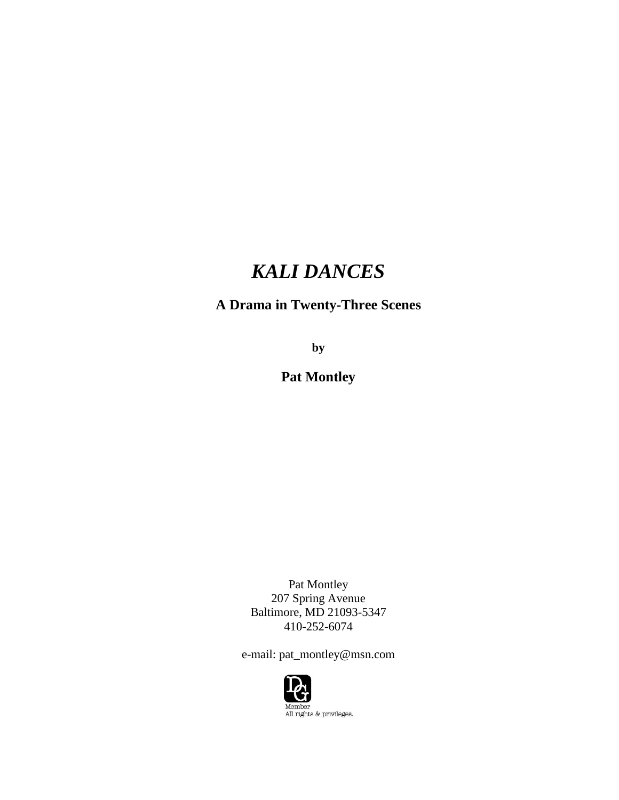# *KALI DANCES*

# **A Drama in Twenty-Three Scenes**

**by**

**Pat Montley**

Pat Montley 207 Spring Avenue Baltimore, MD 21093-5347 410-252-6074

e-mail: pat\_montley@msn.com

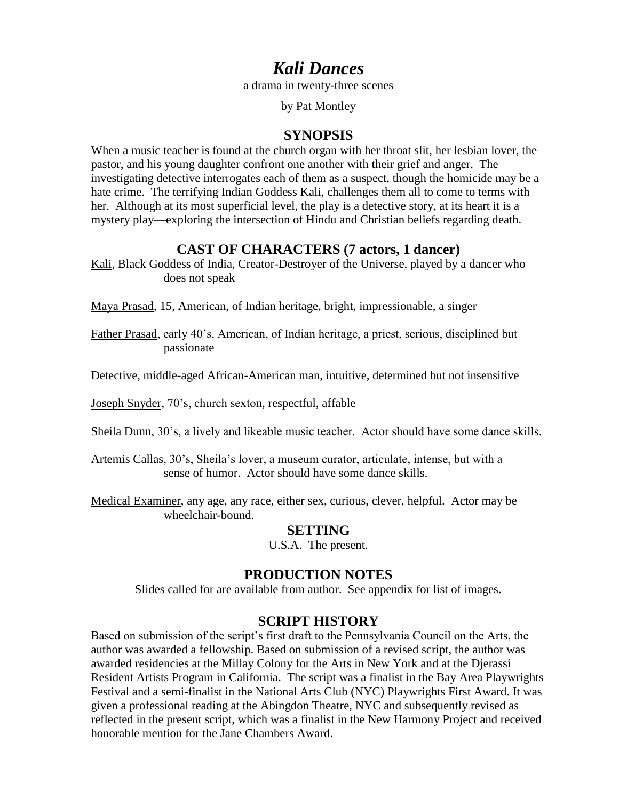# *Kali Dances*

a drama in twenty-three scenes

by Pat Montley

# **SYNOPSIS**

When a music teacher is found at the church organ with her throat slit, her lesbian lover, the pastor, and his young daughter confront one another with their grief and anger. The investigating detective interrogates each of them as a suspect, though the homicide may be a hate crime. The terrifying Indian Goddess Kali, challenges them all to come to terms with her. Although at its most superficial level, the play is a detective story, at its heart it is a mystery play—exploring the intersection of Hindu and Christian beliefs regarding death.

# **CAST OF CHARACTERS (7 actors, 1 dancer)**

Kali, Black Goddess of India, Creator-Destroyer of the Universe, played by a dancer who does not speak

Maya Prasad, 15, American, of Indian heritage, bright, impressionable, a singer

Father Prasad, early 40's, American, of Indian heritage, a priest, serious, disciplined but passionate

Detective, middle-aged African-American man, intuitive, determined but not insensitive

Joseph Snyder, 70's, church sexton, respectful, affable

Sheila Dunn, 30's, a lively and likeable music teacher. Actor should have some dance skills.

Artemis Callas, 30's, Sheila's lover, a museum curator, articulate, intense, but with a sense of humor. Actor should have some dance skills.

Medical Examiner, any age, any race, either sex, curious, clever, helpful. Actor may be wheelchair-bound.

# **SETTING**

U.S.A. The present.

# **PRODUCTION NOTES**

Slides called for are available from author. See appendix for list of images.

# **SCRIPT HISTORY**

Based on submission of the script's first draft to the Pennsylvania Council on the Arts, the author was awarded a fellowship. Based on submission of a revised script, the author was awarded residencies at the Millay Colony for the Arts in New York and at the Djerassi Resident Artists Program in California. The script was a finalist in the Bay Area Playwrights Festival and a semi-finalist in the National Arts Club (NYC) Playwrights First Award. It was given a professional reading at the Abingdon Theatre, NYC and subsequently revised as reflected in the present script, which was a finalist in the New Harmony Project and received honorable mention for the Jane Chambers Award.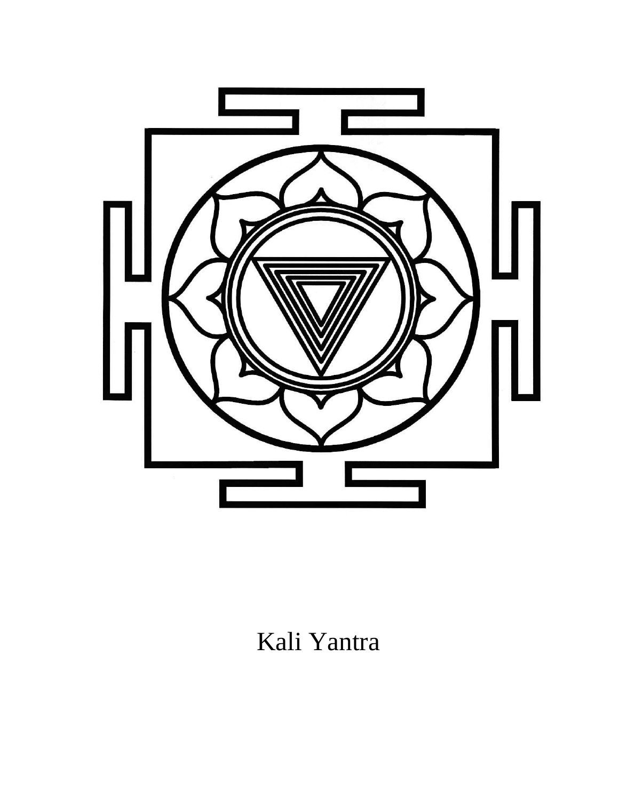

# Kali Yantra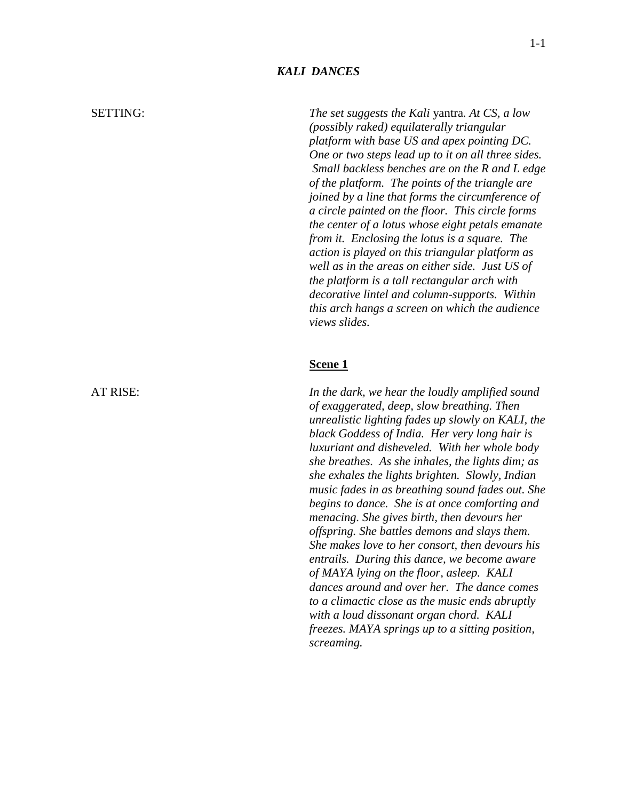#### *KALI DANCES*

SETTING: *The set suggests the Kali* yantra*. At CS, a low (possibly raked) equilaterally triangular platform with base US and apex pointing DC. One or two steps lead up to it on all three sides. Small backless benches are on the R and L edge of the platform. The points of the triangle are joined by a line that forms the circumference of a circle painted on the floor. This circle forms the center of a lotus whose eight petals emanate from it. Enclosing the lotus is a square. The action is played on this triangular platform as well as in the areas on either side. Just US of the platform is a tall rectangular arch with decorative lintel and column-supports. Within this arch hangs a screen on which the audience views slides.*

#### **Scene 1**

AT RISE: *In the dark, we hear the loudly amplified sound of exaggerated, deep, slow breathing. Then unrealistic lighting fades up slowly on KALI, the black Goddess of India. Her very long hair is luxuriant and disheveled. With her whole body she breathes. As she inhales, the lights dim; as she exhales the lights brighten. Slowly, Indian music fades in as breathing sound fades out. She begins to dance. She is at once comforting and menacing. She gives birth, then devours her offspring. She battles demons and slays them. She makes love to her consort, then devours his entrails. During this dance, we become aware of MAYA lying on the floor, asleep. KALI dances around and over her. The dance comes to a climactic close as the music ends abruptly with a loud dissonant organ chord. KALI freezes. MAYA springs up to a sitting position, screaming.*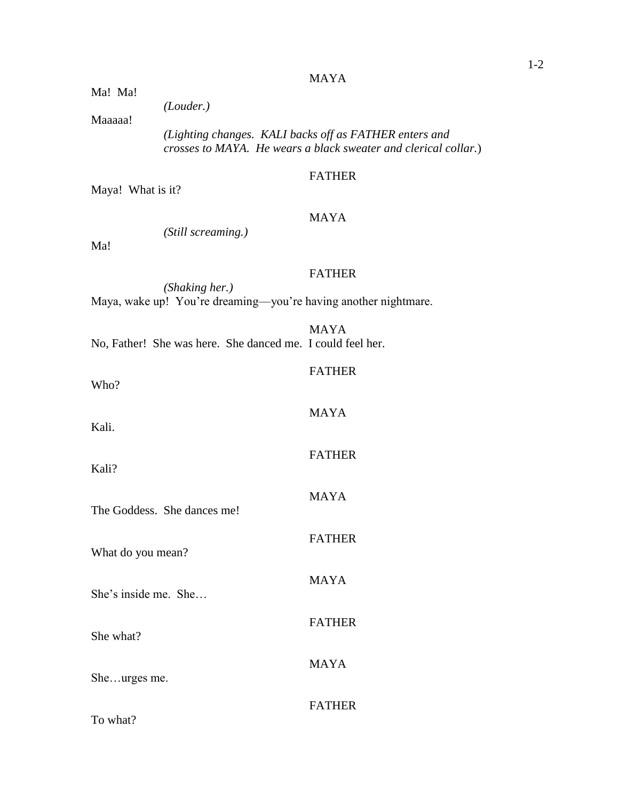#### MAYA

Ma! Ma!

*(Louder.)*

Maaaaa!

*(Lighting changes. KALI backs off as FATHER enters and crosses to MAYA. He wears a black sweater and clerical collar.*)

# FATHER

Maya! What is it?

# MAYA

*(Still screaming.)*

Ma!

Who?

# FATHER

*(Shaking her.)* Maya, wake up! You're dreaming—you're having another nightmare.

|  |                                                            | <b>MAYA</b> |
|--|------------------------------------------------------------|-------------|
|  | No, Father! She was here. She danced me. I could feel her. |             |

# FATHER

| Kali.                       | <b>MAYA</b>   |
|-----------------------------|---------------|
| Kali?                       | <b>FATHER</b> |
| The Goddess. She dances me! | <b>MAYA</b>   |
|                             | <b>FATHER</b> |
| What do you mean?           | <b>MAYA</b>   |
| She's inside me. She        | <b>FATHER</b> |
| She what?                   | <b>MAYA</b>   |
| Sheurges me.                | <b>FATHER</b> |
| To what?                    |               |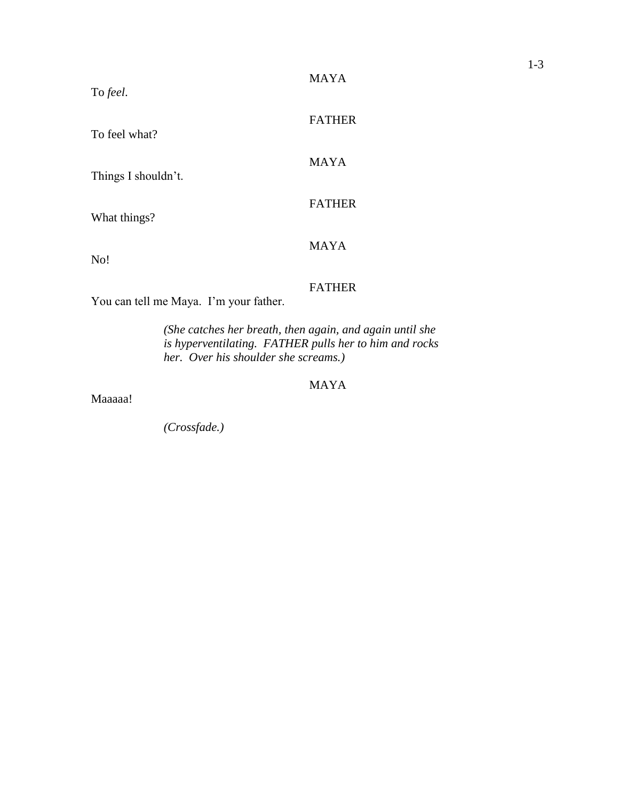| To feel.            | <b>MAYA</b>   |
|---------------------|---------------|
| To feel what?       | <b>FATHER</b> |
| Things I shouldn't. | <b>MAYA</b>   |
| What things?        | <b>FATHER</b> |
| No!                 | <b>MAYA</b>   |

# FATHER

You can tell me Maya. I'm your father.

*(She catches her breath, then again, and again until she is hyperventilating. FATHER pulls her to him and rocks her. Over his shoulder she screams.)*

# MAYA

Maaaaa!

*(Crossfade.)*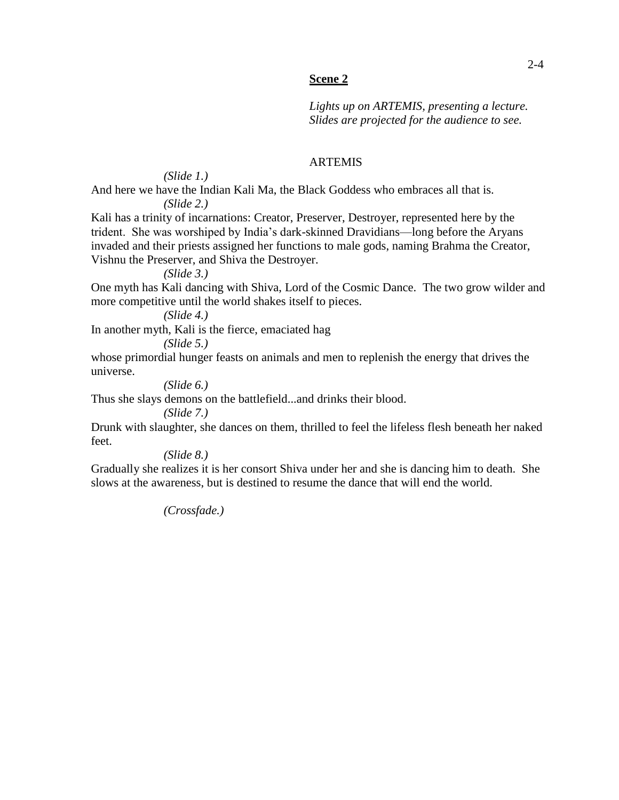#### **Scene 2**

*Lights up on ARTEMIS, presenting a lecture. Slides are projected for the audience to see.*

# ARTEMIS

*(Slide 1.)* And here we have the Indian Kali Ma, the Black Goddess who embraces all that is. *(Slide 2.)*

Kali has a trinity of incarnations: Creator, Preserver, Destroyer, represented here by the trident. She was worshiped by India's dark-skinned Dravidians—long before the Aryans invaded and their priests assigned her functions to male gods, naming Brahma the Creator, Vishnu the Preserver, and Shiva the Destroyer.

*(Slide 3.)*

One myth has Kali dancing with Shiva, Lord of the Cosmic Dance. The two grow wilder and more competitive until the world shakes itself to pieces.

*(Slide 4.)*

In another myth, Kali is the fierce, emaciated hag *(Slide 5.)*

whose primordial hunger feasts on animals and men to replenish the energy that drives the universe.

*(Slide 6.)*

Thus she slays demons on the battlefield...and drinks their blood.

*(Slide 7.)*

Drunk with slaughter, she dances on them, thrilled to feel the lifeless flesh beneath her naked feet.

*(Slide 8.)*

Gradually she realizes it is her consort Shiva under her and she is dancing him to death. She slows at the awareness, but is destined to resume the dance that will end the world.

*(Crossfade.)*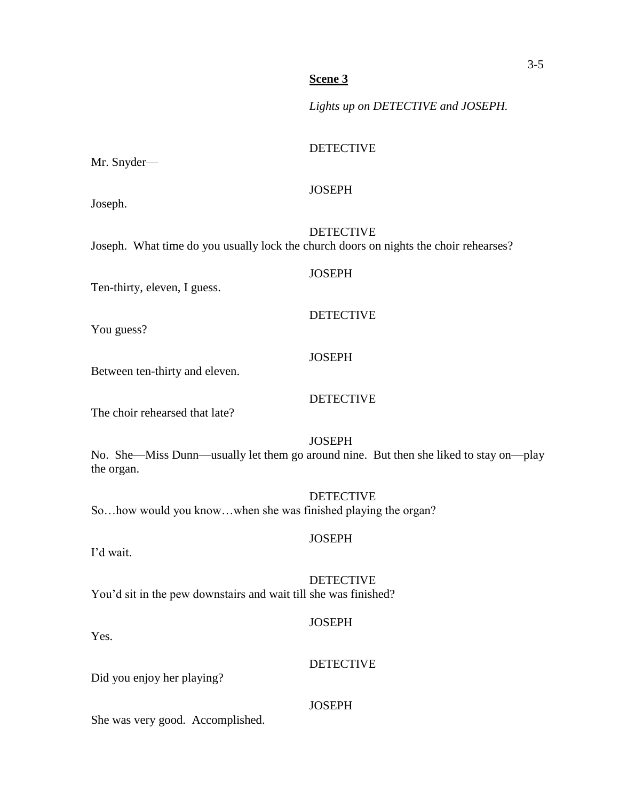### **Scene 3**

*Lights up on DETECTIVE and JOSEPH.*

### DETECTIVE

Mr. Snyder—

Joseph.

DETECTIVE

**JOSEPH** 

**JOSEPH** 

DETECTIVE

DETECTIVE

**JOSEPH** 

Joseph. What time do you usually lock the church doors on nights the choir rehearses?

Ten-thirty, eleven, I guess.

You guess?

# Between ten-thirty and eleven.

The choir rehearsed that late?

# **JOSEPH**

No. She—Miss Dunn—usually let them go around nine. But then she liked to stay on—play the organ.

DETECTIVE So…how would you know…when she was finished playing the organ?

I'd wait.

# **DETECTIVE**

**JOSEPH** 

You'd sit in the pew downstairs and wait till she was finished?

# **JOSEPH**

DETECTIVE

Yes.

Did you enjoy her playing?

# **JOSEPH**

She was very good. Accomplished.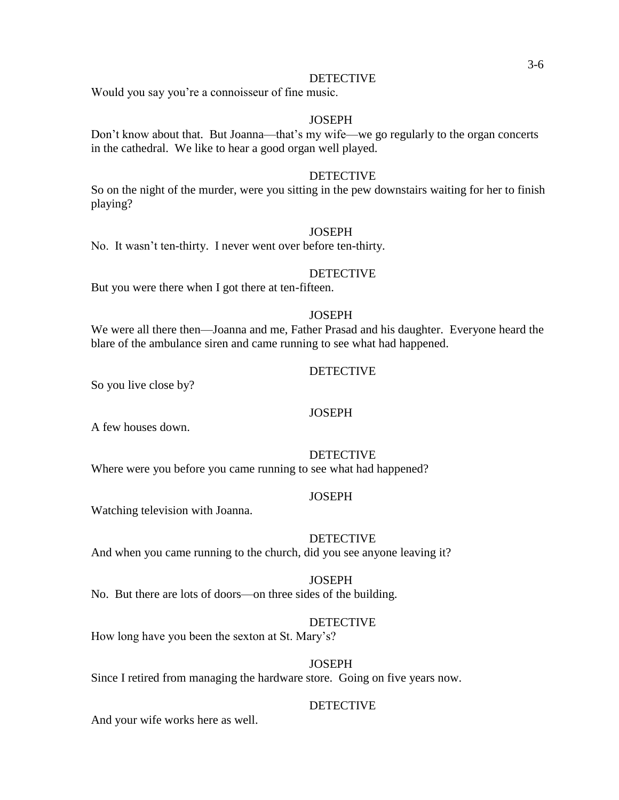#### DETECTIVE

Would you say you're a connoisseur of fine music.

#### **JOSEPH**

Don't know about that. But Joanna—that's my wife—we go regularly to the organ concerts in the cathedral. We like to hear a good organ well played.

#### DETECTIVE

So on the night of the murder, were you sitting in the pew downstairs waiting for her to finish playing?

#### **JOSEPH**

No. It wasn't ten-thirty. I never went over before ten-thirty.

#### DETECTIVE

But you were there when I got there at ten-fifteen.

#### **JOSEPH**

We were all there then—Joanna and me, Father Prasad and his daughter. Everyone heard the blare of the ambulance siren and came running to see what had happened.

#### DETECTIVE

So you live close by?

### **JOSEPH**

A few houses down.

# DETECTIVE

Where were you before you came running to see what had happened?

#### **JOSEPH**

Watching television with Joanna.

#### DETECTIVE

And when you came running to the church, did you see anyone leaving it?

#### **JOSEPH** No. But there are lots of doors—on three sides of the building.

#### DETECTIVE

How long have you been the sexton at St. Mary's?

#### **JOSEPH**

Since I retired from managing the hardware store. Going on five years now.

# DETECTIVE

And your wife works here as well.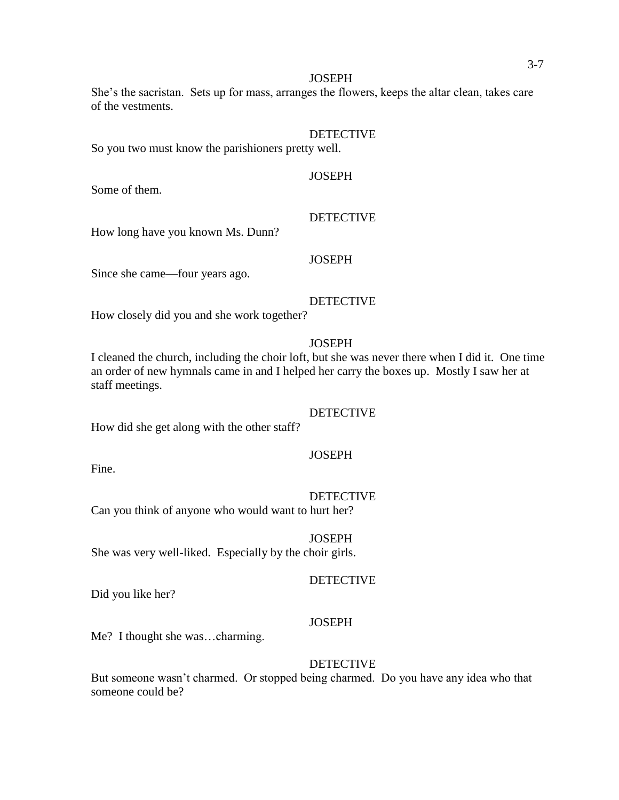#### **JOSEPH**

She's the sacristan. Sets up for mass, arranges the flowers, keeps the altar clean, takes care of the vestments.

#### DETECTIVE

So you two must know the parishioners pretty well.

# **JOSEPH**

Some of them.

How long have you known Ms. Dunn?

#### **JOSEPH**

Since she came—four years ago.

#### **DETECTIVE**

DETECTIVE

How closely did you and she work together?

#### **JOSEPH**

I cleaned the church, including the choir loft, but she was never there when I did it. One time an order of new hymnals came in and I helped her carry the boxes up. Mostly I saw her at staff meetings.

#### **DETECTIVE**

How did she get along with the other staff?

#### **JOSEPH**

Fine.

#### DETECTIVE

Can you think of anyone who would want to hurt her?

#### **JOSEPH**

She was very well-liked. Especially by the choir girls.

#### DETECTIVE

Did you like her?

#### **JOSEPH**

Me? I thought she was…charming.

#### DETECTIVE

But someone wasn't charmed. Or stopped being charmed. Do you have any idea who that someone could be?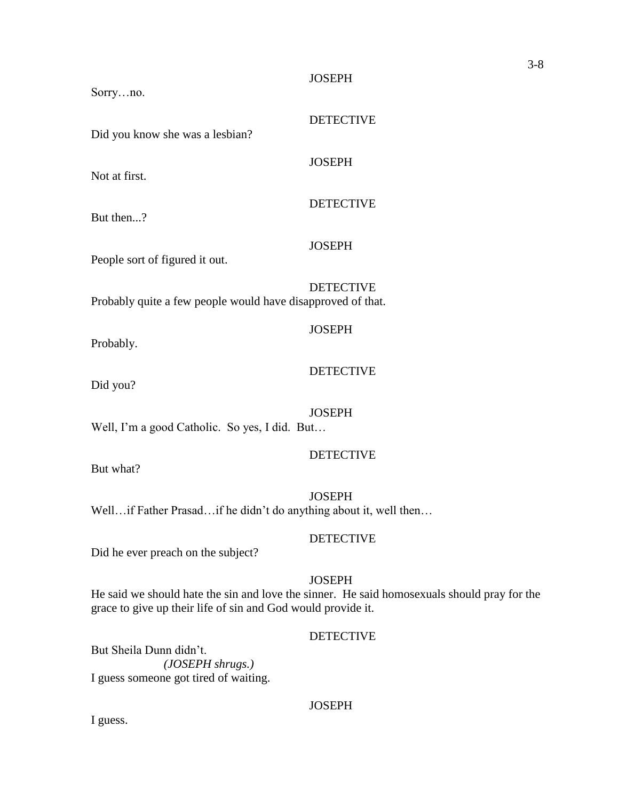#### JOSEPH

DETECTIVE

DETECTIVE

**JOSEPH** 

**JOSEPH** 

**JOSEPH** 

Did you know she was a lesbian?

Not at first.

Sorry…no.

But then...?

People sort of figured it out.

DETECTIVE Probably quite a few people would have disapproved of that.

Probably.

#### **DETECTIVE**

Did you?

# **JOSEPH**

Well, I'm a good Catholic. So yes, I did. But…

#### DETECTIVE

But what?

**JOSEPH** Well…if Father Prasad…if he didn't do anything about it, well then...

#### DETECTIVE

Did he ever preach on the subject?

# **JOSEPH**

He said we should hate the sin and love the sinner. He said homosexuals should pray for the grace to give up their life of sin and God would provide it.

# DETECTIVE

But Sheila Dunn didn't. *(JOSEPH shrugs.)* I guess someone got tired of waiting.

#### **JOSEPH**

I guess.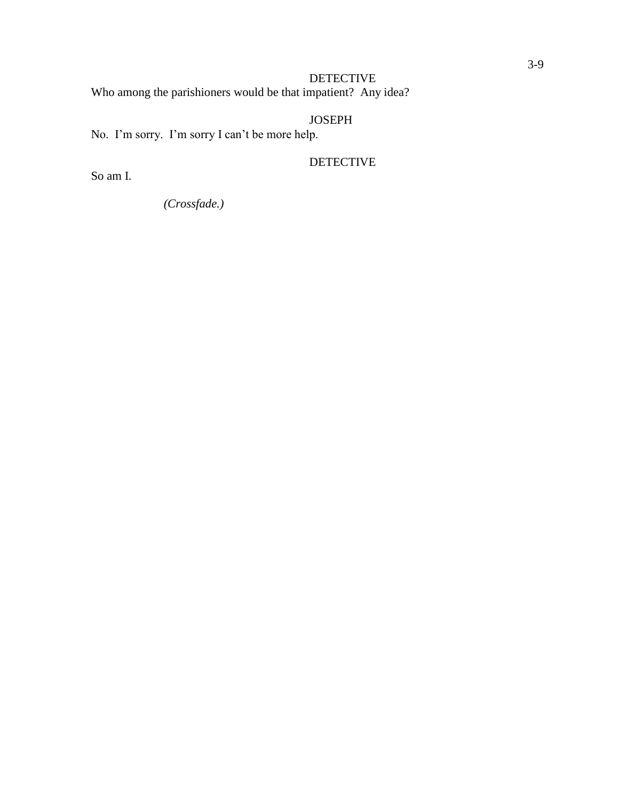# DETECTIVE Who among the parishioners would be that impatient? Any idea?

# JOSEPH

No. I'm sorry. I'm sorry I can't be more help.

DETECTIVE

So am I.

*(Crossfade.)*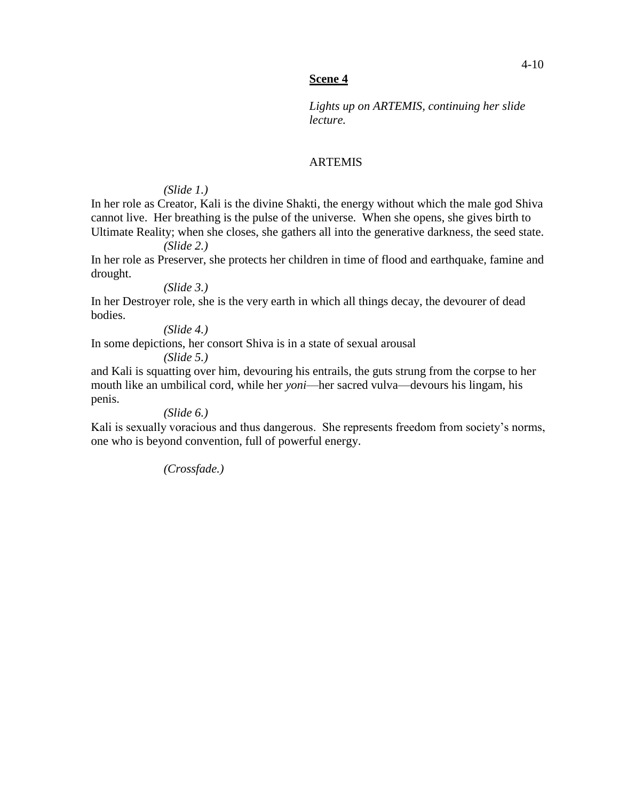# **Scene 4**

*Lights up on ARTEMIS, continuing her slide lecture.* 

# ARTEMIS

# *(Slide 1.)*

In her role as Creator, Kali is the divine Shakti, the energy without which the male god Shiva cannot live. Her breathing is the pulse of the universe. When she opens, she gives birth to Ultimate Reality; when she closes, she gathers all into the generative darkness, the seed state.

*(Slide 2.)*

In her role as Preserver, she protects her children in time of flood and earthquake, famine and drought.

*(Slide 3.)*

In her Destroyer role, she is the very earth in which all things decay, the devourer of dead bodies.

*(Slide 4.)*

In some depictions, her consort Shiva is in a state of sexual arousal

*(Slide 5.)*

and Kali is squatting over him, devouring his entrails, the guts strung from the corpse to her mouth like an umbilical cord, while her *yoni*—her sacred vulva—devours his lingam, his penis.

*(Slide 6.)*

Kali is sexually voracious and thus dangerous. She represents freedom from society's norms, one who is beyond convention, full of powerful energy.

*(Crossfade.)*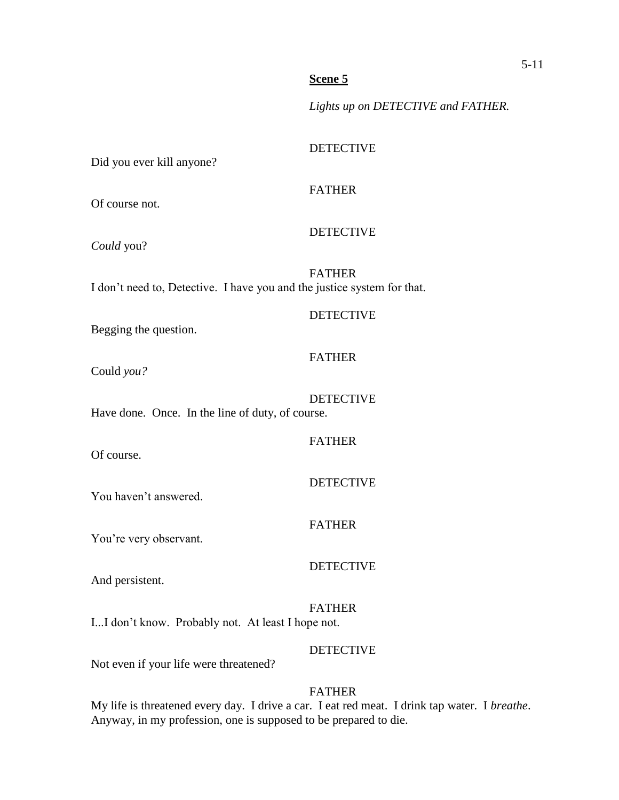# **Scene 5**

*Lights up on DETECTIVE and FATHER.*

# DETECTIVE Did you ever kill anyone? FATHER Of course not. DETECTIVE *Could* you? FATHER I don't need to, Detective. I have you and the justice system for that. DETECTIVE Begging the question. FATHER Could *you?* DETECTIVE Have done. Once. In the line of duty, of course. FATHER Of course. DETECTIVE You haven't answered. FATHER You're very observant. DETECTIVE And persistent. FATHER I...I don't know. Probably not. At least I hope not. **DETECTIVE**

Not even if your life were threatened?

# FATHER

My life is threatened every day. I drive a car. I eat red meat. I drink tap water. I *breathe*. Anyway, in my profession, one is supposed to be prepared to die.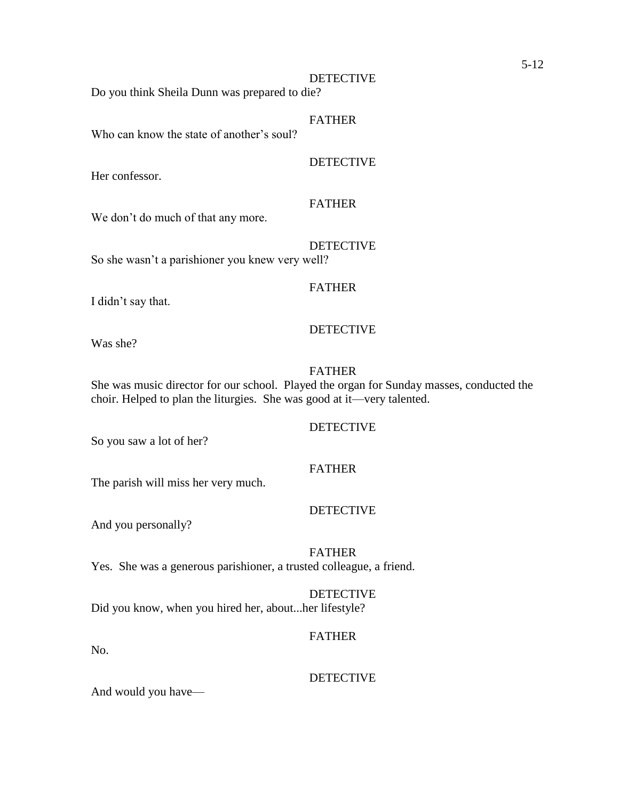#### DETECTIVE

Do you think Sheila Dunn was prepared to die?

#### FATHER

Who can know the state of another's soul?

# DETECTIVE

Her confessor.

#### FATHER

We don't do much of that any more.

DETECTIVE

So she wasn't a parishioner you knew very well?

#### FATHER

I didn't say that.

#### DETECTIVE

Was she?

#### FATHER

She was music director for our school. Played the organ for Sunday masses, conducted the choir. Helped to plan the liturgies. She was good at it—very talented.

#### DETECTIVE

So you saw a lot of her?

# FATHER

The parish will miss her very much.

#### DETECTIVE

And you personally?

# FATHER Yes. She was a generous parishioner, a trusted colleague, a friend.

# DETECTIVE

Did you know, when you hired her, about...her lifestyle?

# FATHER

No.

# DETECTIVE

And would you have—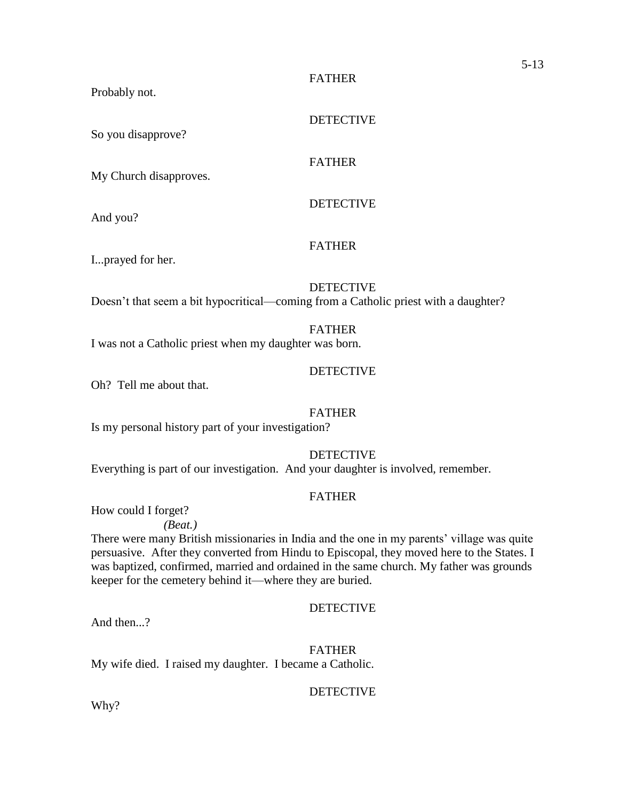FATHER

Probably not.

So you disapprove?

DETECTIVE

**DETECTIVE** 

# FATHER

My Church disapproves.

And you?

FATHER

I...prayed for her.

DETECTIVE

Doesn't that seem a bit hypocritical—coming from a Catholic priest with a daughter?

# FATHER

I was not a Catholic priest when my daughter was born.

# DETECTIVE

Oh? Tell me about that.

# FATHER

Is my personal history part of your investigation?

DETECTIVE

Everything is part of our investigation. And your daughter is involved, remember.

# FATHER

How could I forget?

*(Beat.)*

There were many British missionaries in India and the one in my parents' village was quite persuasive. After they converted from Hindu to Episcopal, they moved here to the States. I was baptized, confirmed, married and ordained in the same church. My father was grounds keeper for the cemetery behind it—where they are buried.

# **DETECTIVE**

And then...?

FATHER My wife died. I raised my daughter. I became a Catholic.

# DETECTIVE

Why?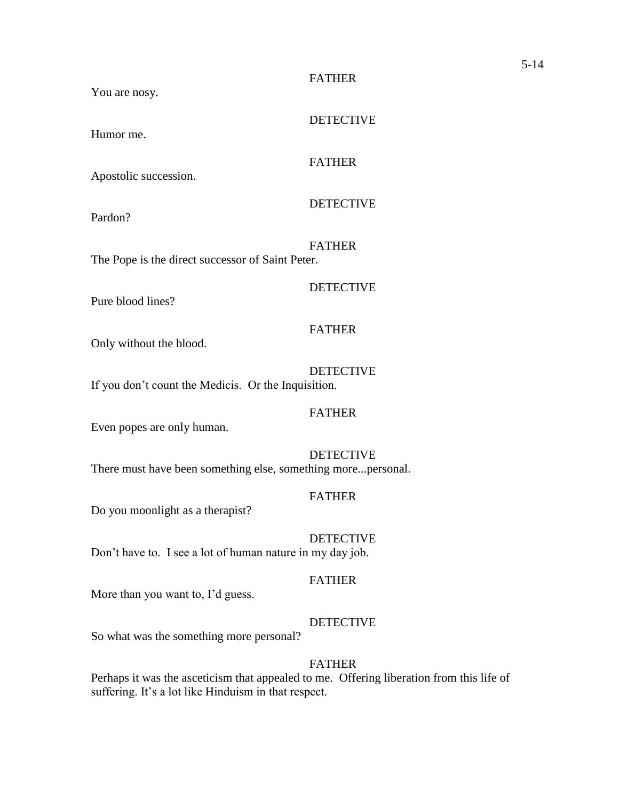#### FATHER

DETECTIVE

You are nosy.

Humor me.

# FATHER

Apostolic succession.

**DETECTIVE** 

Pardon?

FATHER The Pope is the direct successor of Saint Peter.

#### DETECTIVE

Pure blood lines?

### FATHER

Only without the blood.

**DETECTIVE** If you don't count the Medicis. Or the Inquisition.

#### FATHER

Even popes are only human.

DETECTIVE There must have been something else, something more...personal.

#### FATHER

Do you moonlight as a therapist?

DETECTIVE

Don't have to. I see a lot of human nature in my day job.

# FATHER

More than you want to, I'd guess.

#### DETECTIVE

So what was the something more personal?

## FATHER

Perhaps it was the asceticism that appealed to me. Offering liberation from this life of suffering. It's a lot like Hinduism in that respect.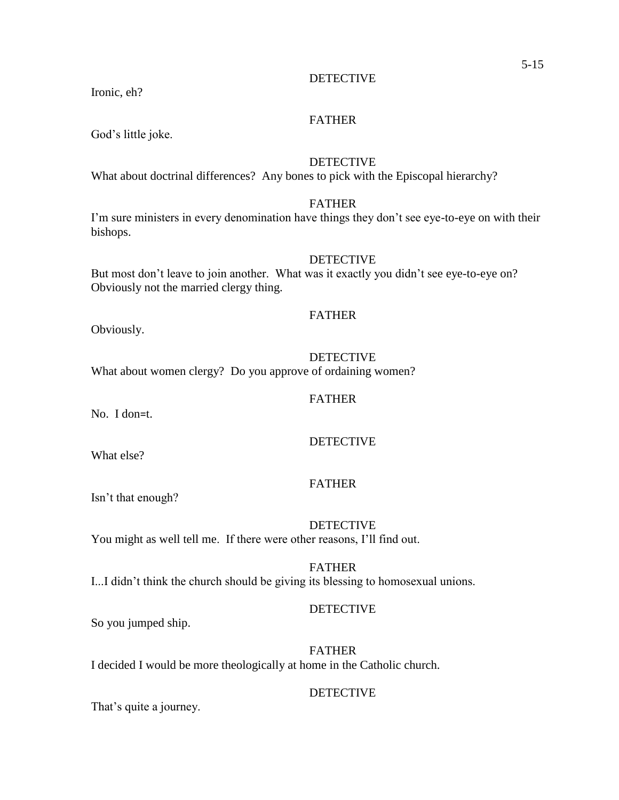DETECTIVE

# FATHER

God's little joke.

Ironic, eh?

# DETECTIVE

What about doctrinal differences? Any bones to pick with the Episcopal hierarchy?

#### FATHER

I'm sure ministers in every denomination have things they don't see eye-to-eye on with their bishops.

#### DETECTIVE

But most don't leave to join another. What was it exactly you didn't see eye-to-eye on? Obviously not the married clergy thing.

#### FATHER

Obviously.

#### **DETECTIVE**

What about women clergy? Do you approve of ordaining women?

### FATHER

No. I don=t.

# DETECTIVE

What else?

FATHER

Isn't that enough?

#### DETECTIVE You might as well tell me. If there were other reasons, I'll find out.

# FATHER

I...I didn't think the church should be giving its blessing to homosexual unions.

# DETECTIVE

So you jumped ship.

# FATHER

I decided I would be more theologically at home in the Catholic church.

# DETECTIVE

That's quite a journey.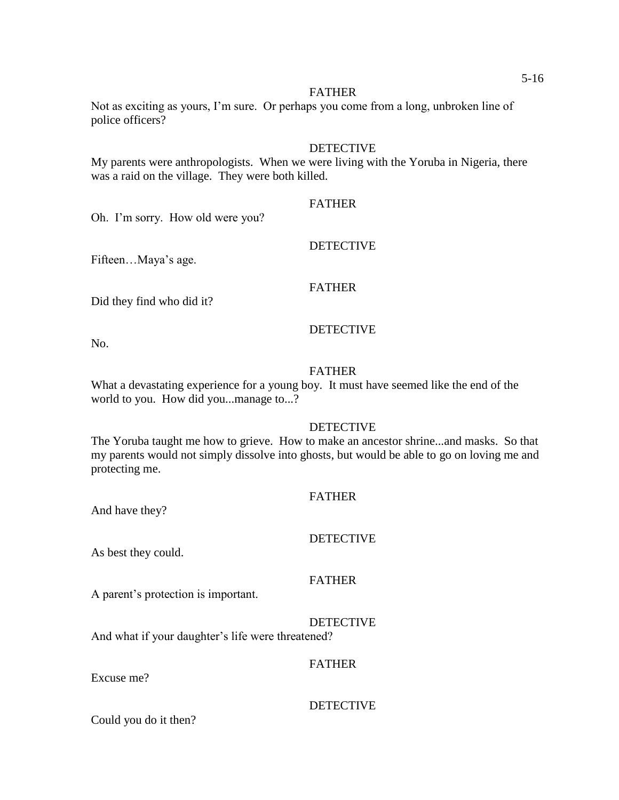#### FATHER

Not as exciting as yours, I'm sure. Or perhaps you come from a long, unbroken line of police officers?

### DETECTIVE

My parents were anthropologists. When we were living with the Yoruba in Nigeria, there was a raid on the village. They were both killed.

#### FATHER

DETECTIVE

Oh. I'm sorry. How old were you?

Fifteen…Maya's age.

#### FATHER

Did they find who did it?

#### DETECTIVE

No.

#### FATHER

What a devastating experience for a young boy. It must have seemed like the end of the world to you. How did you...manage to...?

#### DETECTIVE

The Yoruba taught me how to grieve. How to make an ancestor shrine...and masks. So that my parents would not simply dissolve into ghosts, but would be able to go on loving me and protecting me.

#### **FATHER**

And have they?

# DETECTIVE

As best they could.

# FATHER

A parent's protection is important.

DETECTIVE And what if your daughter's life were threatened?

#### FATHER

Excuse me?

# DETECTIVE

Could you do it then?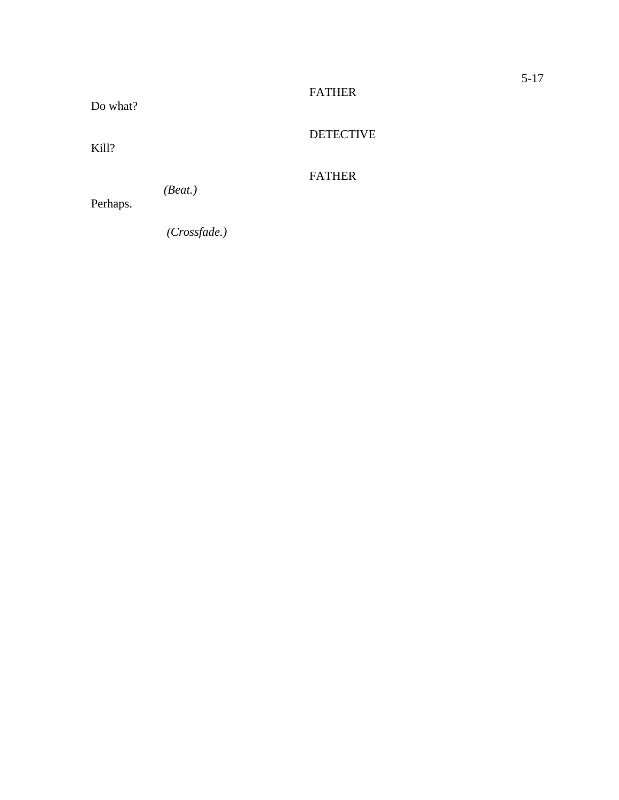# FATHER

Do what?

DETECTIVE

Kill?

# FATHER

*(Beat.)*

Perhaps.

 *(Crossfade.)*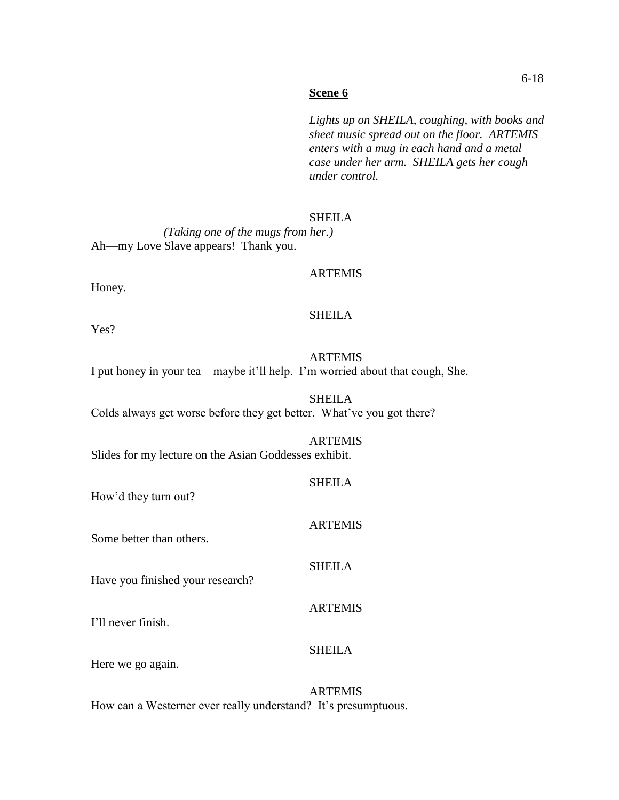#### **Scene 6**

*Lights up on SHEILA, coughing, with books and sheet music spread out on the floor. ARTEMIS enters with a mug in each hand and a metal case under her arm. SHEILA gets her cough under control.*

#### SHEILA

*(Taking one of the mugs from her.)* Ah—my Love Slave appears! Thank you.

#### ARTEMIS

Honey.

#### SHEILA

Yes?

#### ARTEMIS I put honey in your tea—maybe it'll help. I'm worried about that cough, She.

SHEILA Colds always get worse before they get better. What've you got there?

#### ARTEMIS

Slides for my lecture on the Asian Goddesses exhibit.

# **SHEILA**

How'd they turn out?

# ARTEMIS

SHEILA

ARTEMIS

SHEILA

Some better than others.

Have you finished your research?

I'll never finish.

Here we go again.

# ARTEMIS

How can a Westerner ever really understand? It's presumptuous.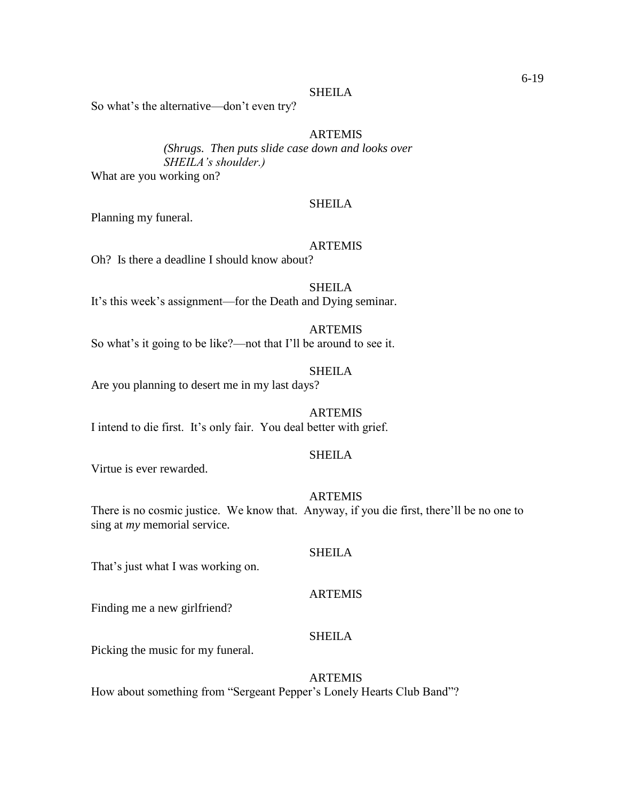#### **SHEILA**

So what's the alternative—don't even try?

# **ARTEMIS**

*(Shrugs. Then puts slide case down and looks over SHEILA's shoulder.)*

What are you working on?

#### **SHEILA**

Planning my funeral.

#### ARTEMIS

Oh? Is there a deadline I should know about?

SHEILA

It's this week's assignment—for the Death and Dying seminar.

# **ARTEMIS**

So what's it going to be like?—not that I'll be around to see it.

#### SHEILA

Are you planning to desert me in my last days?

#### **ARTEMIS**

I intend to die first. It's only fair. You deal better with grief.

# SHEILA

Virtue is ever rewarded.

#### ARTEMIS

There is no cosmic justice. We know that. Anyway, if you die first, there'll be no one to sing at *my* memorial service.

#### SHEILA

That's just what I was working on.

#### ARTEMIS

Finding me a new girlfriend?

# **SHEILA**

Picking the music for my funeral.

#### ARTEMIS

How about something from "Sergeant Pepper's Lonely Hearts Club Band"?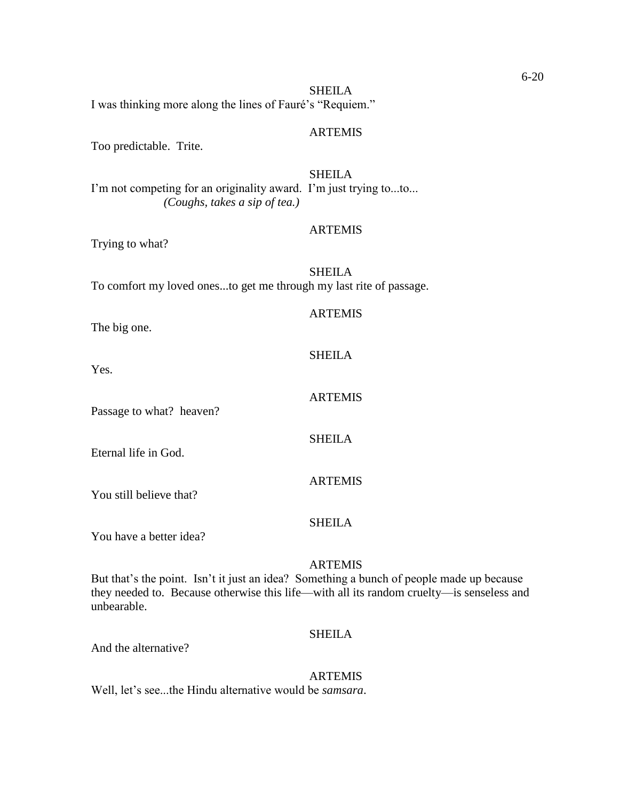SHEILA I was thinking more along the lines of Fauré's "Requiem."

#### ARTEMIS

Too predictable. Trite.

SHEILA I'm not competing for an originality award. I'm just trying to...to... *(Coughs, takes a sip of tea.)*

#### ARTEMIS

Trying to what?

SHEILA To comfort my loved ones...to get me through my last rite of passage.

# **ARTEMIS**

**SHEILA** 

ARTEMIS

SHEILA

ARTEMIS

The big one.

Yes.

Passage to what? heaven?

Eternal life in God.

You still believe that?

You have a better idea?

#### **ARTEMIS**

SHEILA

But that's the point. Isn't it just an idea? Something a bunch of people made up because they needed to. Because otherwise this life—with all its random cruelty—is senseless and unbearable.

# SHEILA

And the alternative?

#### ARTEMIS

Well, let's see...the Hindu alternative would be *samsara*.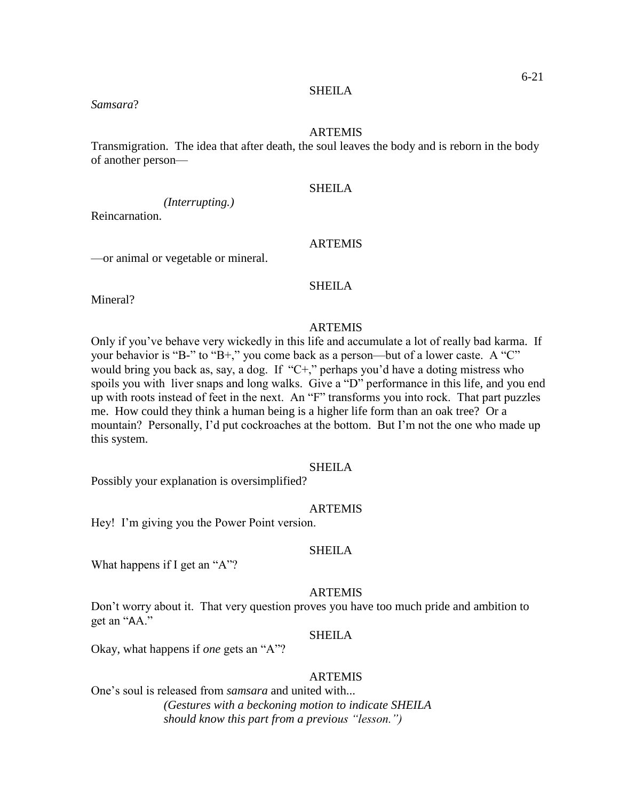#### SHEILA

#### *Samsara*?

#### ARTEMIS

Transmigration. The idea that after death, the soul leaves the body and is reborn in the body of another person—

#### SHEILA

*(Interrupting.)*

Reincarnation.

#### ARTEMIS

—or animal or vegetable or mineral.

#### SHEILA

Mineral?

# ARTEMIS

Only if you've behave very wickedly in this life and accumulate a lot of really bad karma. If your behavior is "B-" to "B+," you come back as a person—but of a lower caste. A "C" would bring you back as, say, a dog. If "C+," perhaps you'd have a doting mistress who spoils you with liver snaps and long walks. Give a "D" performance in this life, and you end up with roots instead of feet in the next. An "F" transforms you into rock. That part puzzles me. How could they think a human being is a higher life form than an oak tree? Or a mountain? Personally, I'd put cockroaches at the bottom. But I'm not the one who made up this system.

#### SHEILA

Possibly your explanation is oversimplified?

#### ARTEMIS

Hey! I'm giving you the Power Point version.

#### SHEILA

What happens if I get an "A"?

#### ARTEMIS

Don't worry about it. That very question proves you have too much pride and ambition to get an "AA."

# SHEILA

Okay, what happens if *one* gets an "A"?

#### ARTEMIS

One's soul is released from *samsara* and united with... *(Gestures with a beckoning motion to indicate SHEILA should know this part from a previous "lesson.")*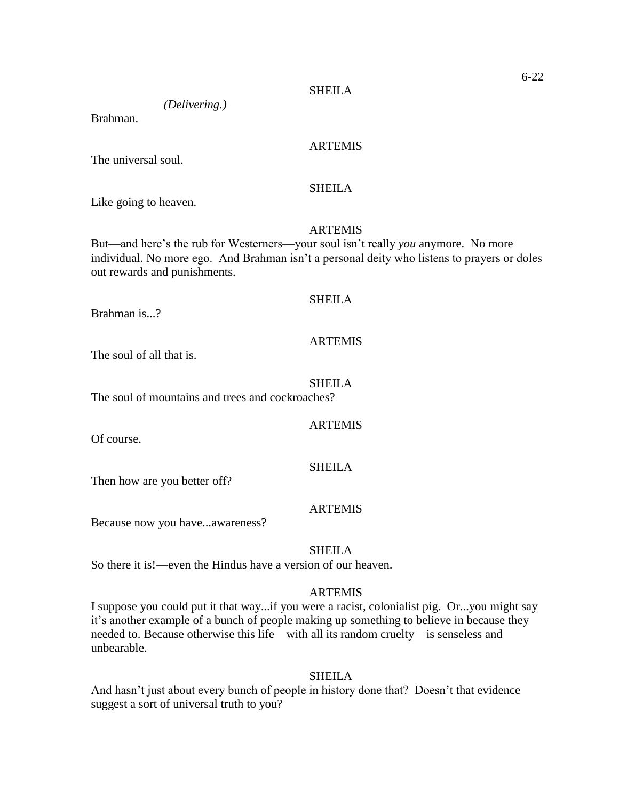# *(Delivering.)*

Brahman.

## ARTEMIS

The universal soul.

#### SHEILA

Like going to heaven.

#### ARTEMIS

But—and here's the rub for Westerners—your soul isn't really *you* anymore. No more individual. No more ego. And Brahman isn't a personal deity who listens to prayers or doles out rewards and punishments.

# SHEILA

Brahman is...?

#### ARTEMIS

The soul of all that is.

# SHEILA

The soul of mountains and trees and cockroaches?

#### ARTEMIS

SHEILA

Of course.

Then how are you better off?

#### ARTEMIS

Because now you have...awareness?

#### SHEILA

So there it is!—even the Hindus have a version of our heaven.

#### ARTEMIS

I suppose you could put it that way...if you were a racist, colonialist pig. Or...you might say it's another example of a bunch of people making up something to believe in because they needed to. Because otherwise this life—with all its random cruelty—is senseless and unbearable.

#### SHEILA

And hasn't just about every bunch of people in history done that? Doesn't that evidence suggest a sort of universal truth to you?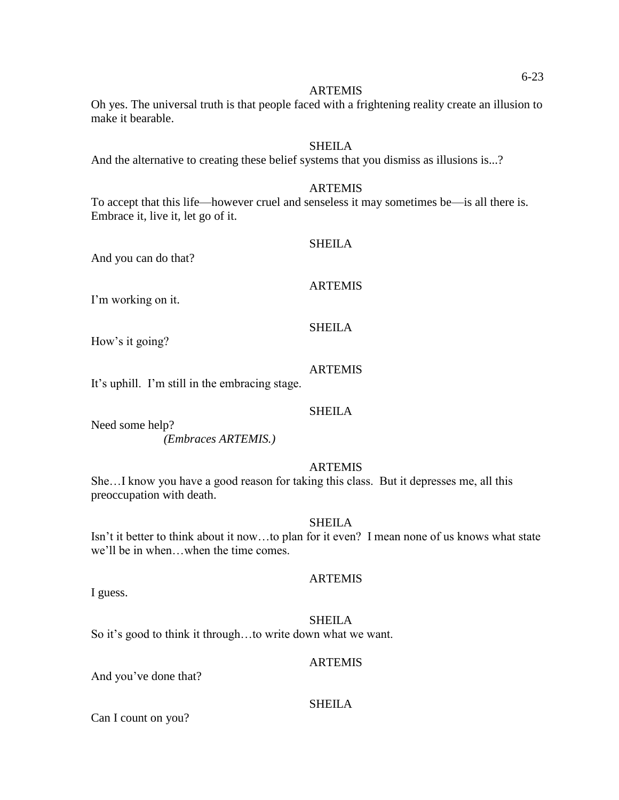#### ARTEMIS

Oh yes. The universal truth is that people faced with a frightening reality create an illusion to make it bearable.

#### **SHEILA**

And the alternative to creating these belief systems that you dismiss as illusions is...?

#### ARTEMIS

To accept that this life—however cruel and senseless it may sometimes be—is all there is. Embrace it, live it, let go of it.

And you can do that?

# **ARTEMIS**

SHEILA

I'm working on it.

# SHEILA

How's it going?

# ARTEMIS

It's uphill. I'm still in the embracing stage.

#### **SHEILA**

Need some help? *(Embraces ARTEMIS.)*

# ARTEMIS

She…I know you have a good reason for taking this class. But it depresses me, all this preoccupation with death.

#### SHEILA

Isn't it better to think about it now…to plan for it even? I mean none of us knows what state we'll be in when…when the time comes.

#### ARTEMIS

I guess.

#### **SHEILA**

So it's good to think it through…to write down what we want.

#### ARTEMIS

And you've done that?

#### SHEILA

Can I count on you?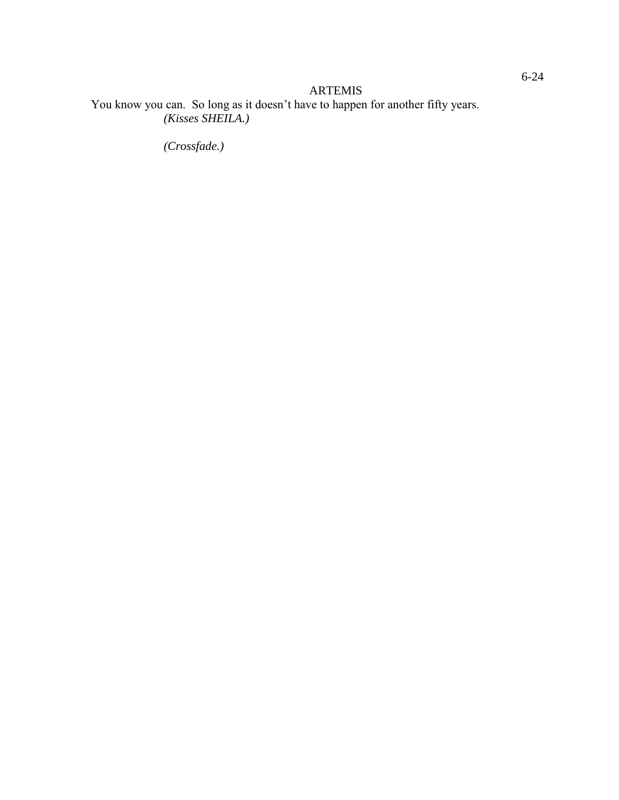# ARTEMIS

You know you can. So long as it doesn't have to happen for another fifty years. *(Kisses SHEILA.)*

*(Crossfade.)*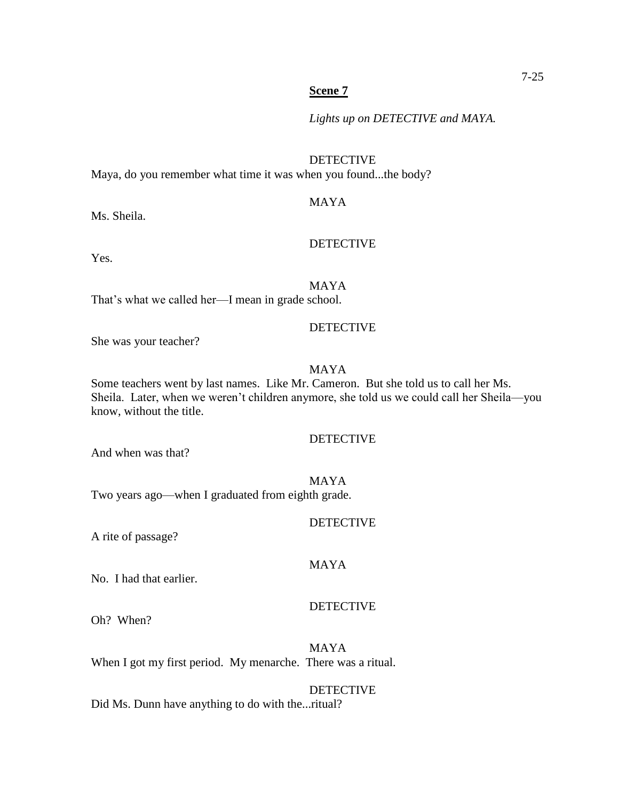#### **Scene 7**

*Lights up on DETECTIVE and MAYA.*

#### DETECTIVE

Maya, do you remember what time it was when you found...the body?

## MAYA

Ms. Sheila.

#### DETECTIVE

Yes.

MAYA

That's what we called her—I mean in grade school.

#### DETECTIVE

She was your teacher?

# MAYA

Some teachers went by last names. Like Mr. Cameron. But she told us to call her Ms. Sheila. Later, when we weren't children anymore, she told us we could call her Sheila—you know, without the title.

#### DETECTIVE

And when was that?

#### MAYA

MAYA

Two years ago—when I graduated from eighth grade.

#### **DETECTIVE**

A rite of passage?

#### No. I had that earlier.

#### DETECTIVE

Oh? When?

MAYA When I got my first period. My menarche. There was a ritual.

#### DETECTIVE

Did Ms. Dunn have anything to do with the...ritual?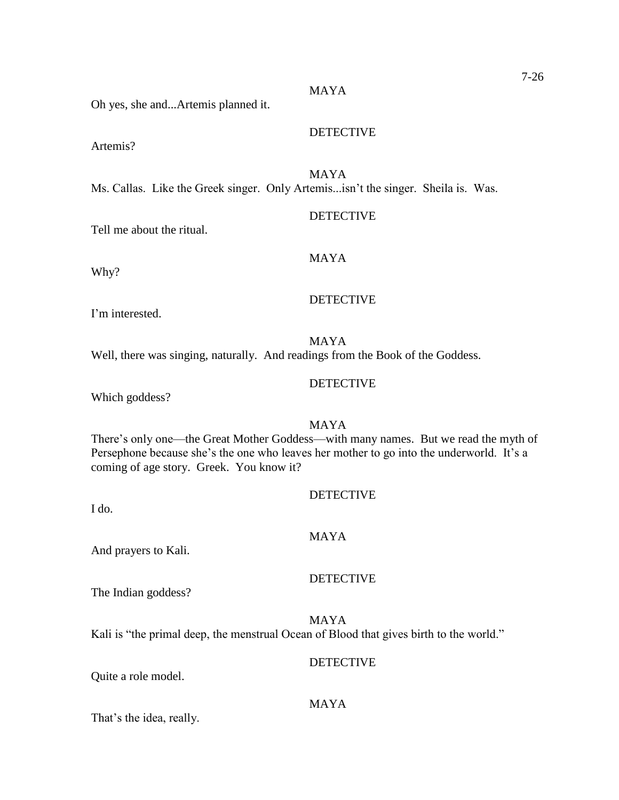#### Oh yes, she and...Artemis planned it.

Artemis?

MAYA

MAYA

Ms. Callas. Like the Greek singer. Only Artemis...isn't the singer. Sheila is. Was.

Tell me about the ritual.

Why?

#### DETECTIVE

I'm interested.

MAYA Well, there was singing, naturally. And readings from the Book of the Goddess.

Which goddess?

MAYA There's only one—the Great Mother Goddess—with many names. But we read the myth of Persephone because she's the one who leaves her mother to go into the underworld. It's a coming of age story. Greek. You know it?

I do.

# MAYA

And prayers to Kali.

#### DETECTIVE

The Indian goddess?

MAYA Kali is "the primal deep, the menstrual Ocean of Blood that gives birth to the world."

#### **DETECTIVE**

Quite a role model.

#### MAYA

That's the idea, really.

# 7-26

# **DETECTIVE**

DETECTIVE

# MAYA

**DETECTIVE** 

# DETECTIVE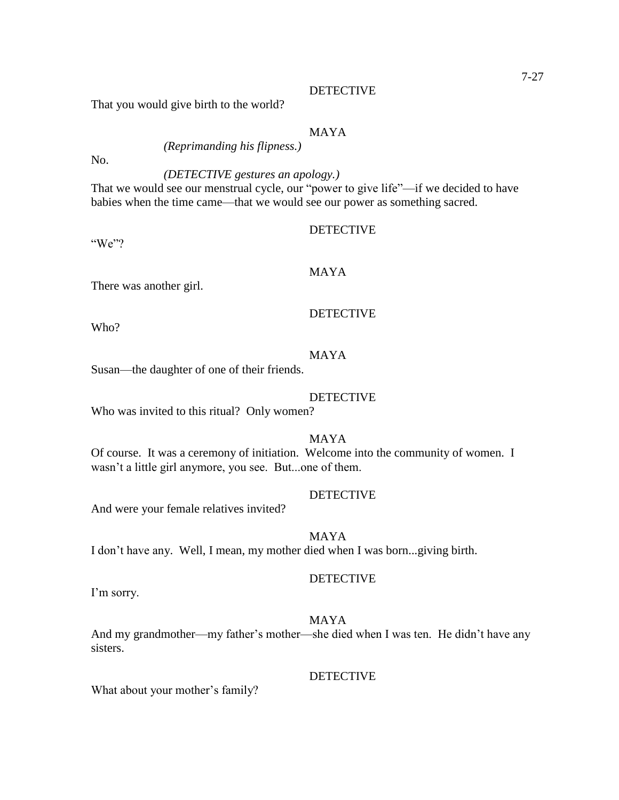#### **DETECTIVE**

That you would give birth to the world?

#### MAYA

*(Reprimanding his flipness.)*

No.

# *(DETECTIVE gestures an apology.)*

That we would see our menstrual cycle, our "power to give life"—if we decided to have babies when the time came—that we would see our power as something sacred.

#### DETECTIVE

"We"?

# MAYA

There was another girl.

# DETECTIVE

Who?

# MAYA

Susan—the daughter of one of their friends.

#### DETECTIVE

Who was invited to this ritual? Only women?

MAYA

Of course. It was a ceremony of initiation. Welcome into the community of women. I wasn't a little girl anymore, you see. But...one of them.

#### DETECTIVE

And were your female relatives invited?

#### MAYA

I don't have any. Well, I mean, my mother died when I was born...giving birth.

#### DETECTIVE

I'm sorry.

#### MAYA

And my grandmother—my father's mother—she died when I was ten. He didn't have any sisters.

#### DETECTIVE

What about your mother's family?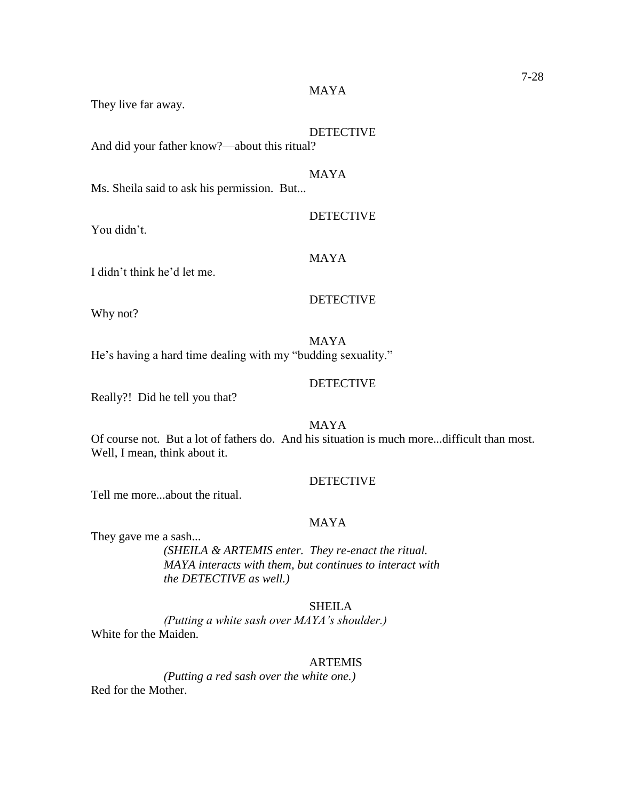They live far away.

# DETECTIVE

**DETECTIVE** 

And did your father know?—about this ritual?

# MAYA

MAYA

Ms. Sheila said to ask his permission. But...

You didn't.

#### MAYA

I didn't think he'd let me.

### DETECTIVE

Why not?

#### MAYA

He's having a hard time dealing with my "budding sexuality."

# **DETECTIVE**

Really?! Did he tell you that?

# MAYA

Of course not. But a lot of fathers do. And his situation is much more...difficult than most. Well, I mean, think about it.

# DETECTIVE

Tell me more...about the ritual.

#### MAYA

They gave me a sash...

*(SHEILA & ARTEMIS enter. They re-enact the ritual. MAYA interacts with them, but continues to interact with the DETECTIVE as well.)*

# SHEILA

*(Putting a white sash over MAYA's shoulder.)* White for the Maiden.

#### ARTEMIS

*(Putting a red sash over the white one.)* Red for the Mother.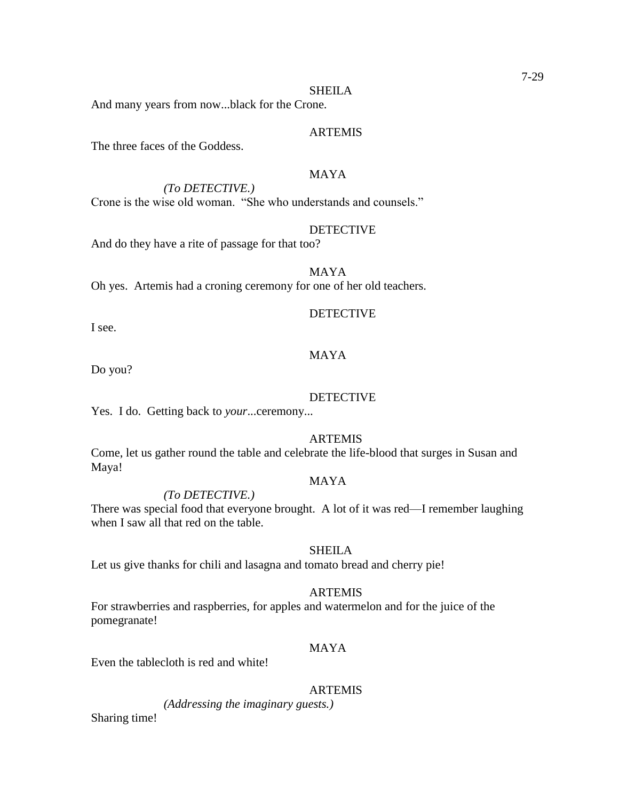#### SHEILA

And many years from now...black for the Crone.

#### ARTEMIS

The three faces of the Goddess.

# MAYA

*(To DETECTIVE.)*

Crone is the wise old woman. "She who understands and counsels."

#### **DETECTIVE**

And do they have a rite of passage for that too?

MAYA Oh yes. Artemis had a croning ceremony for one of her old teachers.

### **DETECTIVE**

I see.

# MAYA

Do you?

#### DETECTIVE

Yes. I do. Getting back to *your*...ceremony...

## ARTEMIS

Come, let us gather round the table and celebrate the life-blood that surges in Susan and Maya!

#### MAYA

#### *(To DETECTIVE.)*

There was special food that everyone brought. A lot of it was red—I remember laughing when I saw all that red on the table.

#### SHEILA

Let us give thanks for chili and lasagna and tomato bread and cherry pie!

#### ARTEMIS

For strawberries and raspberries, for apples and watermelon and for the juice of the pomegranate!

#### MAYA

Even the tablecloth is red and white!

#### ARTEMIS

*(Addressing the imaginary guests.)*

Sharing time!

#### 7-29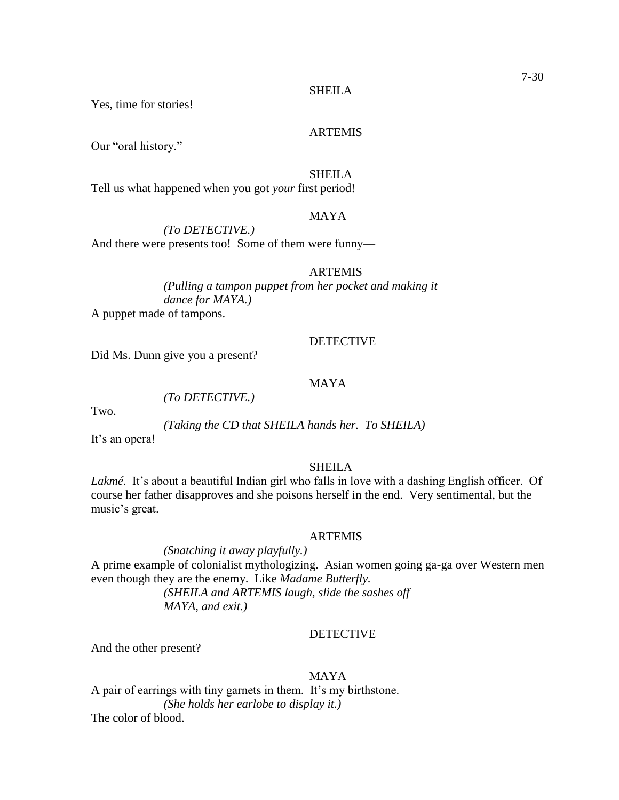Yes, time for stories!

#### ARTEMIS

Our "oral history."

#### SHEILA

Tell us what happened when you got *your* first period!

# MAYA

*(To DETECTIVE.)* And there were presents too! Some of them were funny—

#### ARTEMIS

*(Pulling a tampon puppet from her pocket and making it dance for MAYA.)* A puppet made of tampons.

#### **DETECTIVE**

Did Ms. Dunn give you a present?

*(To DETECTIVE.)*

# MAYA

Two.

*(Taking the CD that SHEILA hands her. To SHEILA)*

It's an opera!

#### SHEILA

*Lakmé*. It's about a beautiful Indian girl who falls in love with a dashing English officer. Of course her father disapproves and she poisons herself in the end. Very sentimental, but the music's great.

### ARTEMIS

*(Snatching it away playfully.)* A prime example of colonialist mythologizing. Asian women going ga-ga over Western men even though they are the enemy. Like *Madame Butterfly. (SHEILA and ARTEMIS laugh, slide the sashes off* 

*MAYA, and exit.)*

# DETECTIVE

And the other present?

#### MAYA

A pair of earrings with tiny garnets in them. It's my birthstone. *(She holds her earlobe to display it.)* The color of blood.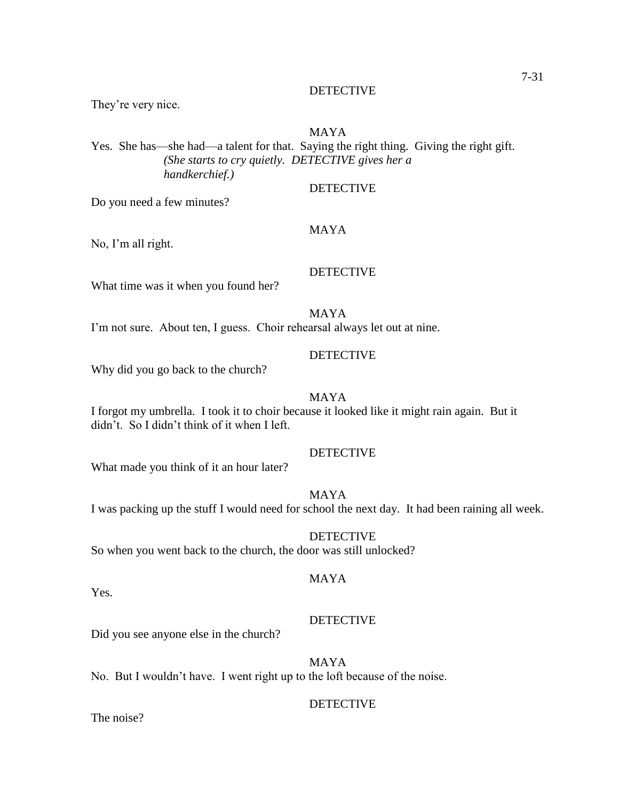#### **DETECTIVE**

They're very nice.

#### MAYA

Yes. She has—she had—a talent for that. Saying the right thing. Giving the right gift. *(She starts to cry quietly. DETECTIVE gives her a handkerchief.)*

DETECTIVE

Do you need a few minutes?

# MAYA

No, I'm all right.

# DETECTIVE

What time was it when you found her?

MAYA

I'm not sure. About ten, I guess. Choir rehearsal always let out at nine.

#### **DETECTIVE**

Why did you go back to the church?

#### MAYA

I forgot my umbrella. I took it to choir because it looked like it might rain again. But it didn't. So I didn't think of it when I left.

# **DETECTIVE**

What made you think of it an hour later?

#### MAYA

I was packing up the stuff I would need for school the next day. It had been raining all week.

DETECTIVE So when you went back to the church, the door was still unlocked?

# MAYA

Yes.

#### DETECTIVE

Did you see anyone else in the church?

# MAYA

No. But I wouldn't have. I went right up to the loft because of the noise.

#### DETECTIVE

The noise?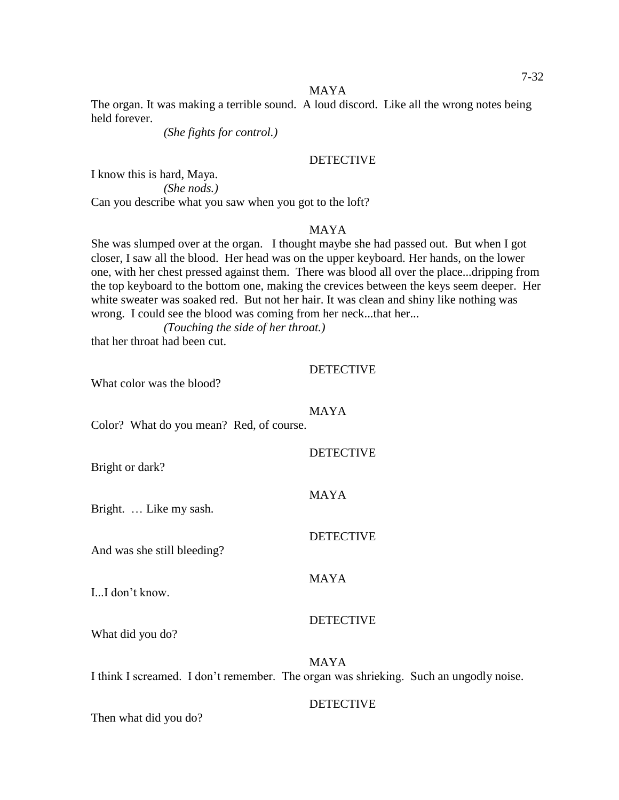MAYA

The organ. It was making a terrible sound. A loud discord. Like all the wrong notes being held forever.

*(She fights for control.)*

#### **DETECTIVE**

I know this is hard, Maya. *(She nods.)* Can you describe what you saw when you got to the loft?

#### MAYA

She was slumped over at the organ. I thought maybe she had passed out. But when I got closer, I saw all the blood. Her head was on the upper keyboard. Her hands, on the lower one, with her chest pressed against them. There was blood all over the place...dripping from the top keyboard to the bottom one, making the crevices between the keys seem deeper. Her white sweater was soaked red. But not her hair. It was clean and shiny like nothing was wrong. I could see the blood was coming from her neck...that her...

*(Touching the side of her throat.)*

that her throat had been cut.

#### DETECTIVE

**DETECTIVE** 

DETECTIVE

DETECTIVE

What color was the blood?

#### MAYA

Color? What do you mean? Red, of course.

Bright or dark?

MAYA

MAYA

Bright. … Like my sash.

And was she still bleeding?

I...I don't know.

What did you do?

MAYA I think I screamed. I don't remember. The organ was shrieking. Such an ungodly noise.

#### DETECTIVE

Then what did you do?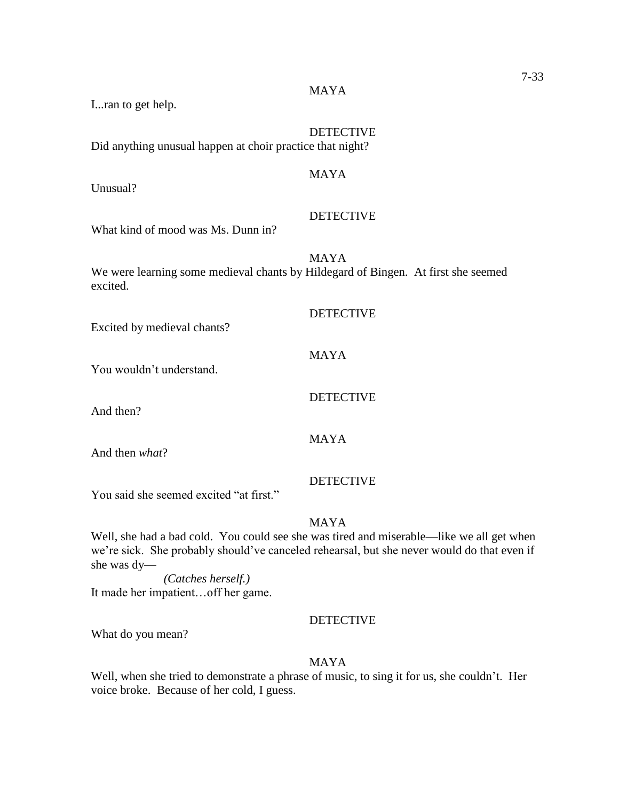I...ran to get help.

DETECTIVE Did anything unusual happen at choir practice that night?

Unusual?

**DETECTIVE** 

MAYA

MAYA

What kind of mood was Ms. Dunn in?

MAYA We were learning some medieval chants by Hildegard of Bingen. At first she seemed excited.

| Excited by medieval chants?             | <b>DETECTIVE</b> |
|-----------------------------------------|------------------|
| You wouldn't understand.                | <b>MAYA</b>      |
| And then?                               | <b>DETECTIVE</b> |
| And then what?                          | <b>MAYA</b>      |
| You said she seemed excited "at first." | <b>DETECTIVE</b> |

MAYA

Well, she had a bad cold. You could see she was tired and miserable—like we all get when we're sick. She probably should've canceled rehearsal, but she never would do that even if she was dy—

*(Catches herself.)* It made her impatient…off her game.

# DETECTIVE

What do you mean?

# MAYA

Well, when she tried to demonstrate a phrase of music, to sing it for us, she couldn't. Her voice broke. Because of her cold, I guess.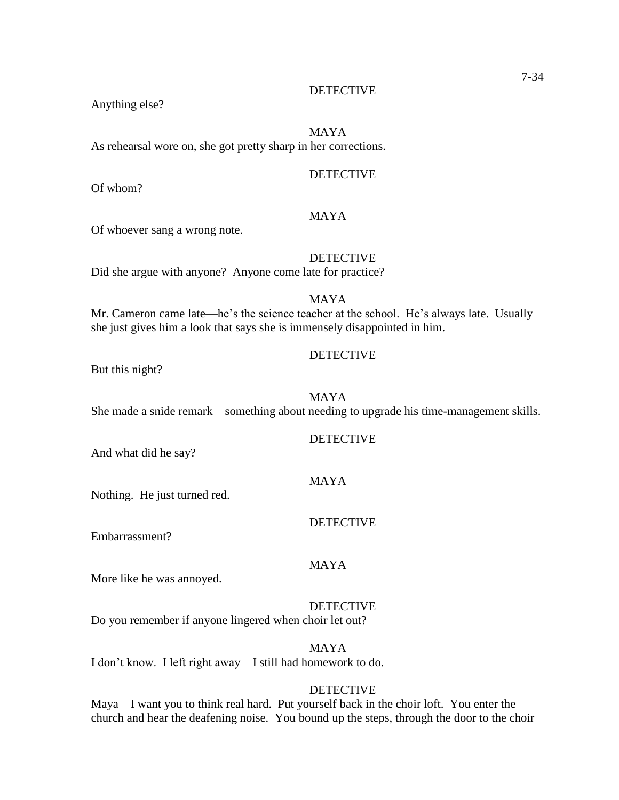Anything else?

#### MAYA

As rehearsal wore on, she got pretty sharp in her corrections.

#### **DETECTIVE**

Of whom?

### MAYA

Of whoever sang a wrong note.

### DETECTIVE

Did she argue with anyone? Anyone come late for practice?

### MAYA

Mr. Cameron came late—he's the science teacher at the school. He's always late. Usually she just gives him a look that says she is immensely disappointed in him.

#### **DETECTIVE**

But this night?

#### MAYA

She made a snide remark—something about needing to upgrade his time-management skills.

# DETECTIVE

And what did he say?

Nothing. He just turned red.

### DETECTIVE

Embarrassment?

### MAYA

MAYA

More like he was annoyed.

# DETECTIVE

Do you remember if anyone lingered when choir let out?

MAYA I don't know. I left right away—I still had homework to do.

#### DETECTIVE

Maya—I want you to think real hard. Put yourself back in the choir loft. You enter the church and hear the deafening noise. You bound up the steps, through the door to the choir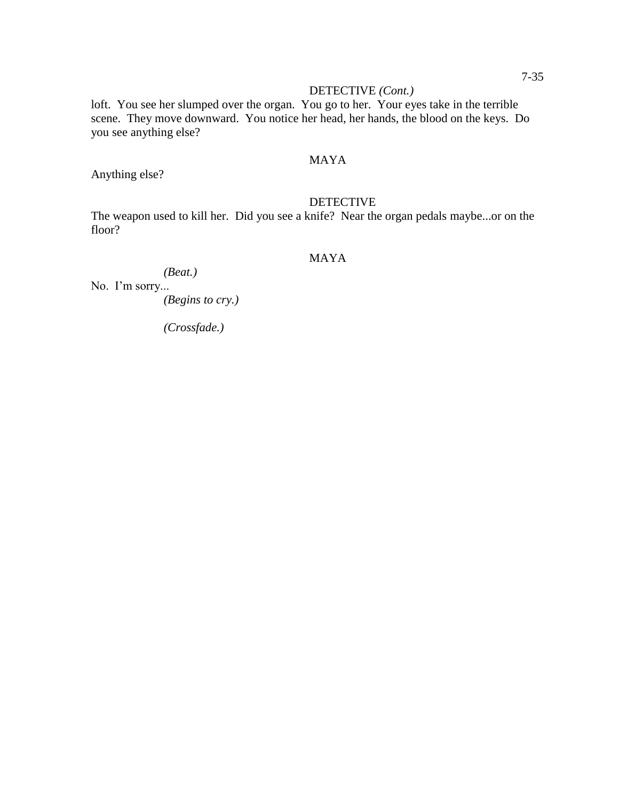### DETECTIVE *(Cont.)*

loft. You see her slumped over the organ. You go to her. Your eyes take in the terrible scene. They move downward. You notice her head, her hands, the blood on the keys. Do you see anything else?

### MAYA

Anything else?

### DETECTIVE

The weapon used to kill her. Did you see a knife? Near the organ pedals maybe...or on the floor?

### MAYA

*(Beat.)* No. I'm sorry...

*(Begins to cry.)*

*(Crossfade.)*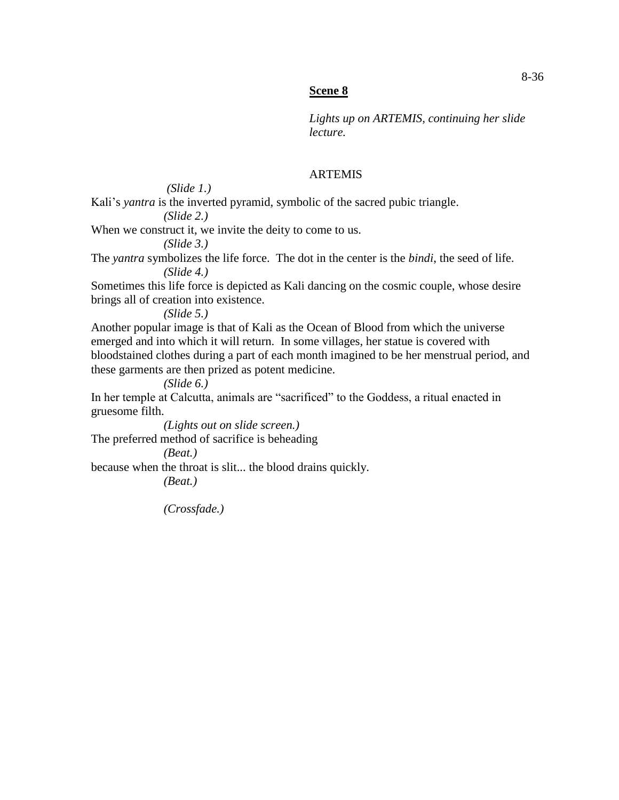### **Scene 8**

*Lights up on ARTEMIS, continuing her slide lecture.*

### ARTEMIS

*(Slide 1.)*

Kali's *yantra* is the inverted pyramid, symbolic of the sacred pubic triangle. *(Slide 2.)*

When we construct it, we invite the deity to come to us.

*(Slide 3.)*

The *yantra* symbolizes the life force. The dot in the center is the *bindi*, the seed of life. *(Slide 4.)*

Sometimes this life force is depicted as Kali dancing on the cosmic couple, whose desire brings all of creation into existence.

*(Slide 5.)*

Another popular image is that of Kali as the Ocean of Blood from which the universe emerged and into which it will return. In some villages, her statue is covered with bloodstained clothes during a part of each month imagined to be her menstrual period, and these garments are then prized as potent medicine.

*(Slide 6.)*

In her temple at Calcutta, animals are "sacrificed" to the Goddess, a ritual enacted in gruesome filth.

*(Lights out on slide screen.)* The preferred method of sacrifice is beheading

*(Beat.)*

because when the throat is slit... the blood drains quickly.

*(Beat.)*

*(Crossfade.)*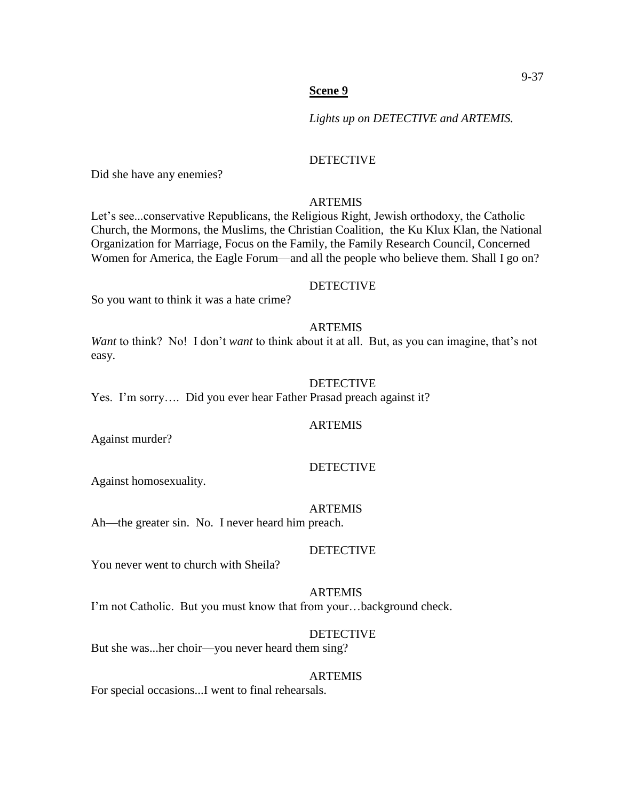*Lights up on DETECTIVE and ARTEMIS.*

### DETECTIVE

Did she have any enemies?

### ARTEMIS

Let's see...conservative Republicans, the Religious Right, Jewish orthodoxy, the Catholic Church, the Mormons, the Muslims, the Christian Coalition, the Ku Klux Klan, the National Organization for Marriage, Focus on the Family, the Family Research Council, Concerned Women for America, the Eagle Forum—and all the people who believe them. Shall I go on?

#### **DETECTIVE**

So you want to think it was a hate crime?

### ARTEMIS

*Want* to think? No! I don't *want* to think about it at all. But, as you can imagine, that's not easy.

### **DETECTIVE**

Yes. I'm sorry…. Did you ever hear Father Prasad preach against it?

#### **ARTEMIS**

Against murder?

#### DETECTIVE

Against homosexuality.

#### ARTEMIS

Ah—the greater sin. No. I never heard him preach.

### DETECTIVE

You never went to church with Sheila?

#### ARTEMIS

I'm not Catholic. But you must know that from your…background check.

### DETECTIVE

But she was...her choir—you never heard them sing?

#### ARTEMIS

For special occasions...I went to final rehearsals.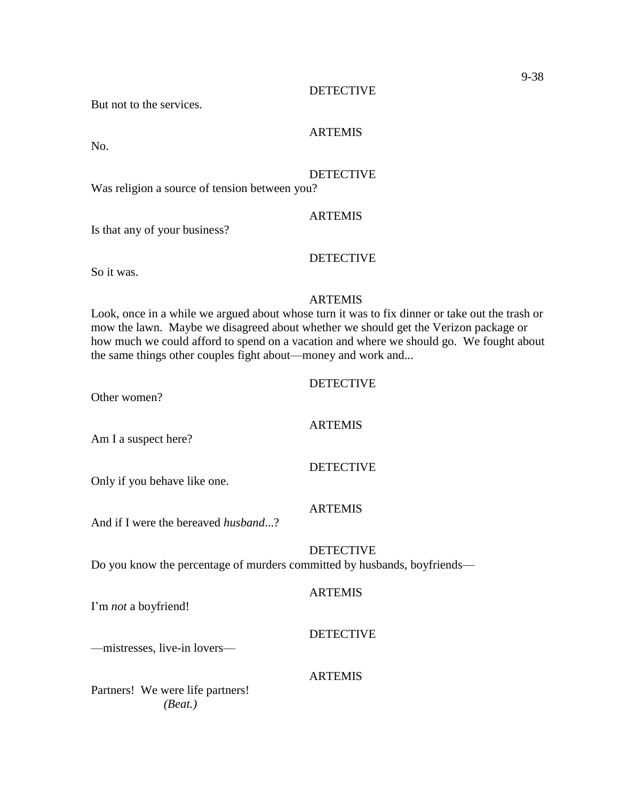But not to the services.

### ARTEMIS

No.

### **DETECTIVE**

Was religion a source of tension between you?

### ARTEMIS

Is that any of your business?

### DETECTIVE

So it was.

### ARTEMIS

Look, once in a while we argued about whose turn it was to fix dinner or take out the trash or mow the lawn. Maybe we disagreed about whether we should get the Verizon package or how much we could afford to spend on a vacation and where we should go. We fought about the same things other couples fight about—money and work and...

### DETECTIVE

Other women?

### **ARTEMIS**

Am I a suspect here?

Only if you behave like one.

#### ARTEMIS

DETECTIVE

And if I were the bereaved *husband*...?

DETECTIVE Do you know the percentage of murders committed by husbands, boyfriends—

#### **ARTEMIS**

I'm *not* a boyfriend!

### DETECTIVE

—mistresses, live-in lovers—

#### ARTEMIS

Partners! We were life partners! *(Beat.)*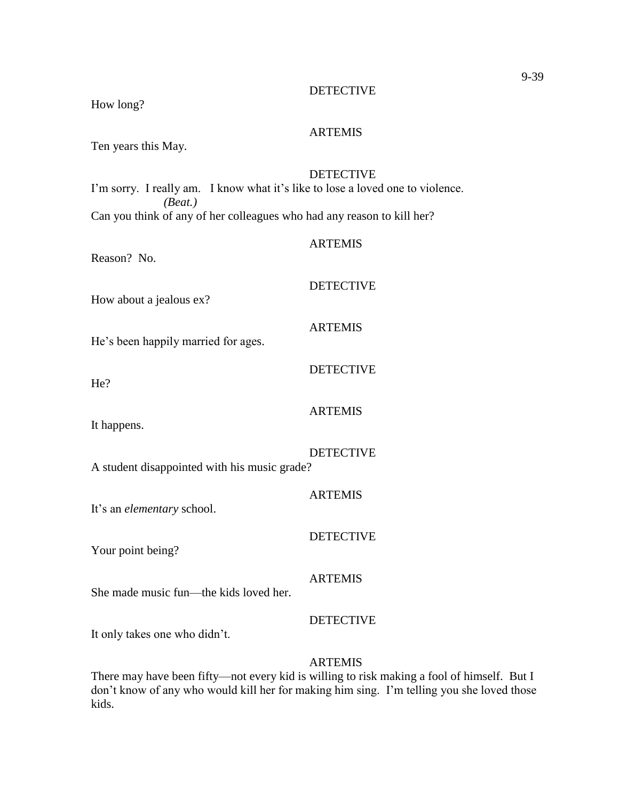| How long?                                                                                 |                  |  |
|-------------------------------------------------------------------------------------------|------------------|--|
| Ten years this May.                                                                       | <b>ARTEMIS</b>   |  |
| I'm sorry. I really am. I know what it's like to lose a loved one to violence.<br>(Beat.) | <b>DETECTIVE</b> |  |
| Can you think of any of her colleagues who had any reason to kill her?                    |                  |  |
| Reason? No.                                                                               | <b>ARTEMIS</b>   |  |
| How about a jealous ex?                                                                   | <b>DETECTIVE</b> |  |
| He's been happily married for ages.                                                       | <b>ARTEMIS</b>   |  |
| He?                                                                                       | <b>DETECTIVE</b> |  |
| It happens.                                                                               | <b>ARTEMIS</b>   |  |
| A student disappointed with his music grade?                                              | <b>DETECTIVE</b> |  |
| It's an <i>elementary</i> school.                                                         | <b>ARTEMIS</b>   |  |
| Your point being?                                                                         | <b>DETECTIVE</b> |  |
| She made music fun—the kids loved her.                                                    | <b>ARTEMIS</b>   |  |
| It only takes one who didn't.                                                             | <b>DETECTIVE</b> |  |
|                                                                                           | <b>ARTEMIS</b>   |  |

There may have been fifty—not every kid is willing to risk making a fool of himself. But I don't know of any who would kill her for making him sing. I'm telling you she loved those kids.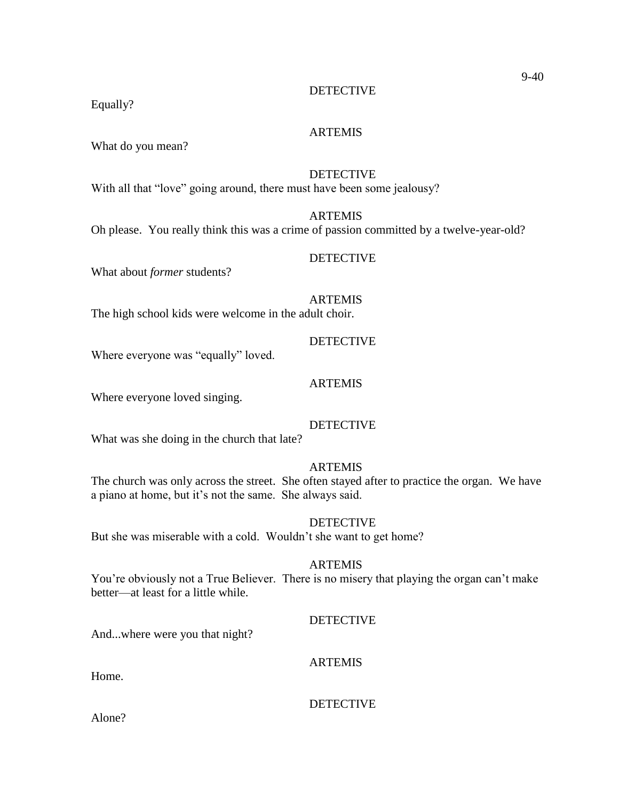Equally?

### ARTEMIS

What do you mean?

### **DETECTIVE**

With all that "love" going around, there must have been some jealousy?

### ARTEMIS

Oh please. You really think this was a crime of passion committed by a twelve-year-old?

### DETECTIVE

What about *former* students?

### ARTEMIS

The high school kids were welcome in the adult choir.

#### **DETECTIVE**

Where everyone was "equally" loved.

### **ARTEMIS**

Where everyone loved singing.

### **DETECTIVE**

What was she doing in the church that late?

### ARTEMIS

The church was only across the street. She often stayed after to practice the organ. We have a piano at home, but it's not the same. She always said.

### **DETECTIVE**

But she was miserable with a cold. Wouldn't she want to get home?

#### ARTEMIS

You're obviously not a True Believer. There is no misery that playing the organ can't make better—at least for a little while.

#### DETECTIVE

And...where were you that night?

### ARTEMIS

Home.

#### DETECTIVE

Alone?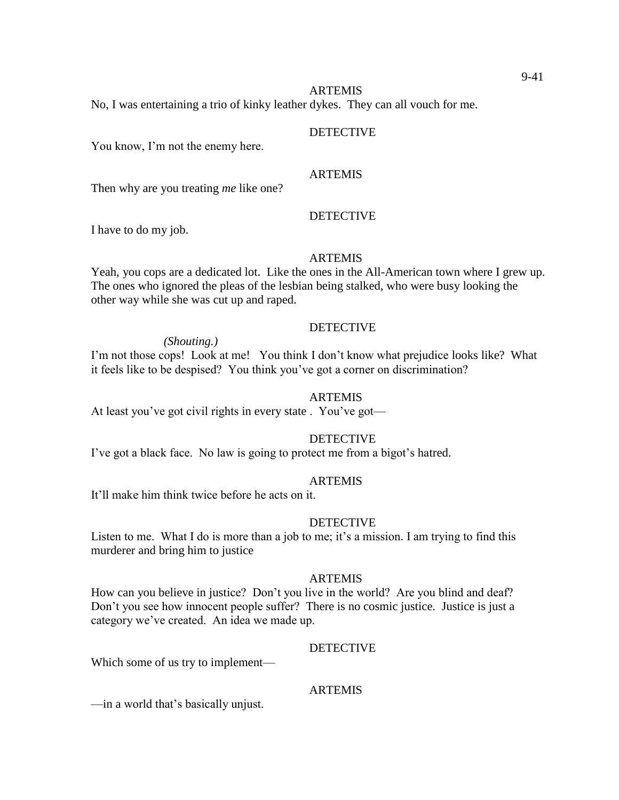#### ARTEMIS No, I was entertaining a trio of kinky leather dykes. They can all vouch for me.

DETECTIVE

# You know, I'm not the enemy here.

### ARTEMIS

**DETECTIVE** 

Then why are you treating *me* like one?

I have to do my job.

### ARTEMIS

Yeah, you cops are a dedicated lot. Like the ones in the All-American town where I grew up. The ones who ignored the pleas of the lesbian being stalked, who were busy looking the other way while she was cut up and raped.

### DETECTIVE

*(Shouting.)*

I'm not those cops! Look at me! You think I don't know what prejudice looks like? What it feels like to be despised? You think you've got a corner on discrimination?

### ARTEMIS

At least you've got civil rights in every state . You've got—

DETECTIVE

I've got a black face. No law is going to protect me from a bigot's hatred.

### ARTEMIS

It'll make him think twice before he acts on it.

### **DETECTIVE**

Listen to me. What I do is more than a job to me; it's a mission. I am trying to find this murderer and bring him to justice

#### ARTEMIS

How can you believe in justice? Don't you live in the world? Are you blind and deaf? Don't you see how innocent people suffer? There is no cosmic justice. Justice is just a category we've created. An idea we made up.

### **DETECTIVE**

Which some of us try to implement—

### ARTEMIS

—in a world that's basically unjust.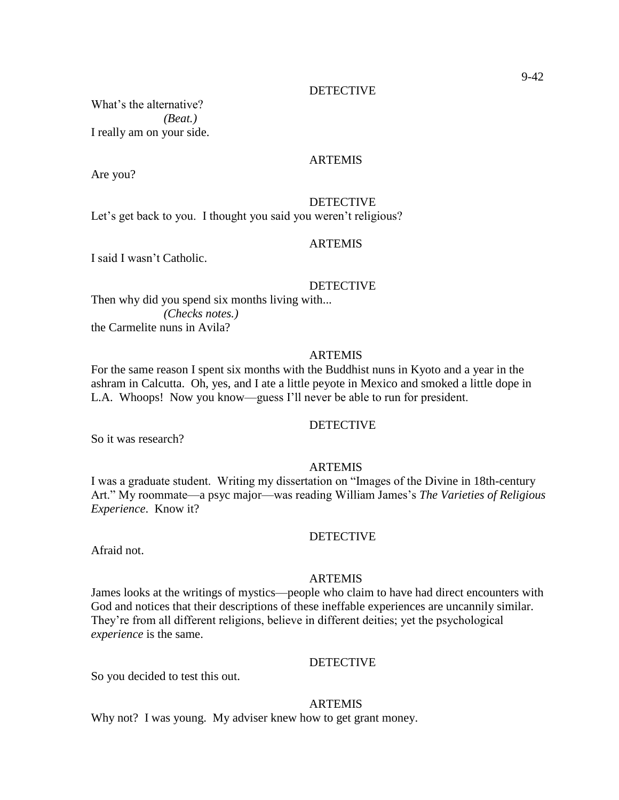What's the alternative? *(Beat.)* I really am on your side.

#### ARTEMIS

Are you?

**DETECTIVE** Let's get back to you. I thought you said you weren't religious?

#### ARTEMIS

I said I wasn't Catholic.

#### **DETECTIVE**

Then why did you spend six months living with... *(Checks notes.)* the Carmelite nuns in Avila?

#### ARTEMIS

For the same reason I spent six months with the Buddhist nuns in Kyoto and a year in the ashram in Calcutta. Oh, yes, and I ate a little peyote in Mexico and smoked a little dope in L.A. Whoops! Now you know—guess I'll never be able to run for president.

#### **DETECTIVE**

So it was research?

#### ARTEMIS

I was a graduate student. Writing my dissertation on "Images of the Divine in 18th-century Art." My roommate—a psyc major—was reading William James's *The Varieties of Religious Experience*. Know it?

#### DETECTIVE

Afraid not.

#### ARTEMIS

James looks at the writings of mystics—people who claim to have had direct encounters with God and notices that their descriptions of these ineffable experiences are uncannily similar. They're from all different religions, believe in different deities; yet the psychological *experience* is the same.

#### **DETECTIVE**

So you decided to test this out.

#### ARTEMIS

Why not? I was young. My adviser knew how to get grant money.

9-42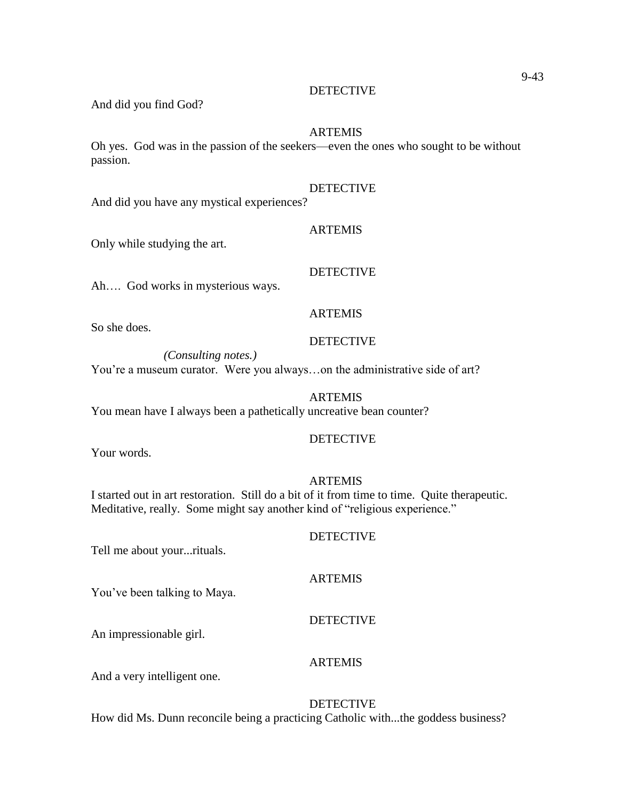#### ARTEMIS

Oh yes. God was in the passion of the seekers—even the ones who sought to be without passion.

### DETECTIVE

And did you have any mystical experiences?

#### ARTEMIS

Only while studying the art.

### DETECTIVE

Ah…. God works in mysterious ways.

### **ARTEMIS**

So she does.

### **DETECTIVE**

*(Consulting notes.)* You're a museum curator. Were you always…on the administrative side of art?

### ARTEMIS

You mean have I always been a pathetically uncreative bean counter?

### DETECTIVE

Your words.

#### ARTEMIS

I started out in art restoration. Still do a bit of it from time to time. Quite therapeutic. Meditative, really. Some might say another kind of "religious experience."

#### DETECTIVE

### ARTEMIS

You've been talking to Maya.

Tell me about your...rituals.

### DETECTIVE

An impressionable girl.

#### **ARTEMIS**

And a very intelligent one.

#### DETECTIVE

How did Ms. Dunn reconcile being a practicing Catholic with...the goddess business?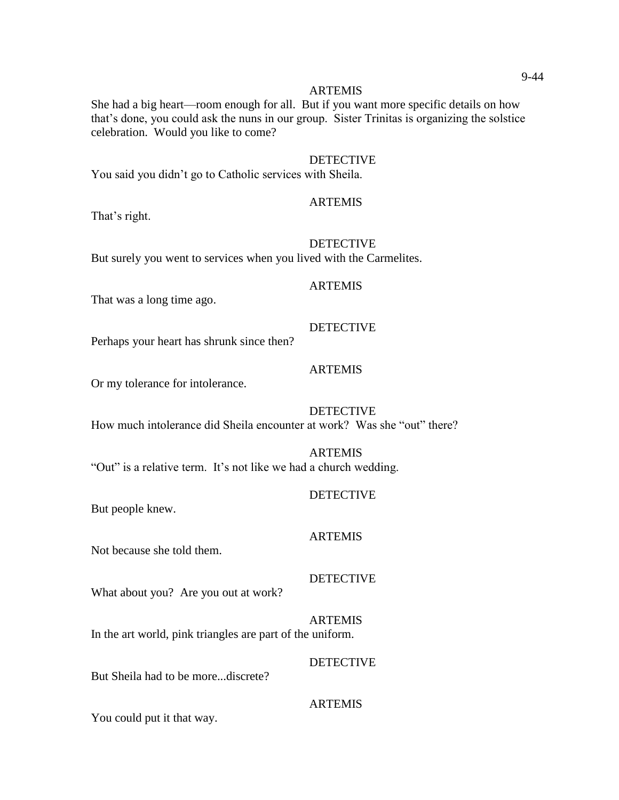She had a big heart—room enough for all. But if you want more specific details on how that's done, you could ask the nuns in our group. Sister Trinitas is organizing the solstice celebration. Would you like to come?

#### DETECTIVE

You said you didn't go to Catholic services with Sheila.

#### ARTEMIS

That's right.

#### DETECTIVE

But surely you went to services when you lived with the Carmelites.

#### ARTEMIS

That was a long time ago.

#### DETECTIVE

Perhaps your heart has shrunk since then?

### ARTEMIS

Or my tolerance for intolerance.

#### DETECTIVE

How much intolerance did Sheila encounter at work? Was she "out" there?

### ARTEMIS "Out" is a relative term. It's not like we had a church wedding.

#### **DETECTIVE**

But people knew.

#### ARTEMIS

Not because she told them.

#### DETECTIVE

What about you? Are you out at work?

ARTEMIS In the art world, pink triangles are part of the uniform.

### **DETECTIVE**

But Sheila had to be more...discrete?

#### **ARTEMIS**

You could put it that way.

#### 9-44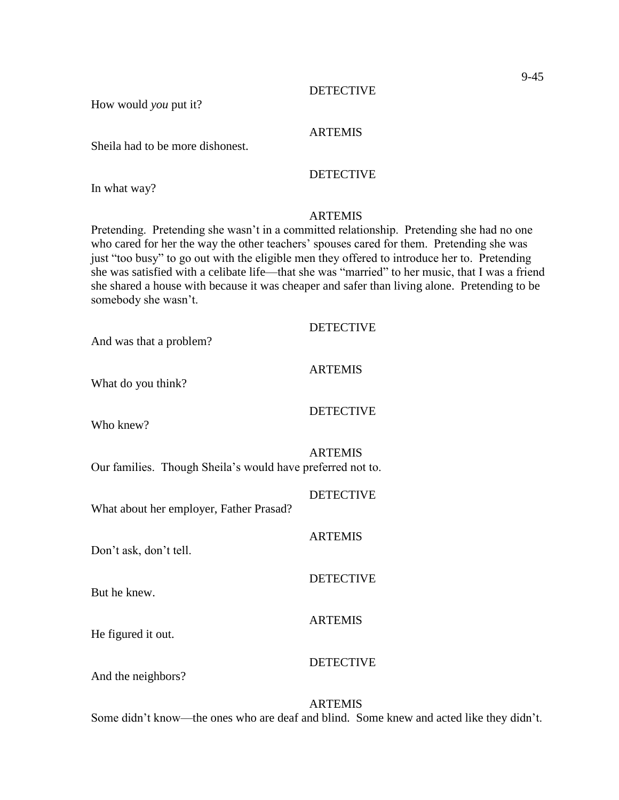ARTEMIS

How would *you* put it?

Sheila had to be more dishonest.

### **DETECTIVE**

In what way?

### ARTEMIS

Pretending. Pretending she wasn't in a committed relationship. Pretending she had no one who cared for her the way the other teachers' spouses cared for them. Pretending she was just "too busy" to go out with the eligible men they offered to introduce her to. Pretending she was satisfied with a celibate life—that she was "married" to her music, that I was a friend she shared a house with because it was cheaper and safer than living alone. Pretending to be somebody she wasn't.

| And was that a problem?                                    | <b>DETECTIVE</b> |
|------------------------------------------------------------|------------------|
| What do you think?                                         | <b>ARTEMIS</b>   |
| Who knew?                                                  | <b>DETECTIVE</b> |
| Our families. Though Sheila's would have preferred not to. | <b>ARTEMIS</b>   |
| What about her employer, Father Prasad?                    | <b>DETECTIVE</b> |
| Don't ask, don't tell.                                     | <b>ARTEMIS</b>   |
| But he knew.                                               | <b>DETECTIVE</b> |
| He figured it out.                                         | <b>ARTEMIS</b>   |
| And the neighbors?                                         | <b>DETECTIVE</b> |

Some didn't know—the ones who are deaf and blind. Some knew and acted like they didn't.

ARTEMIS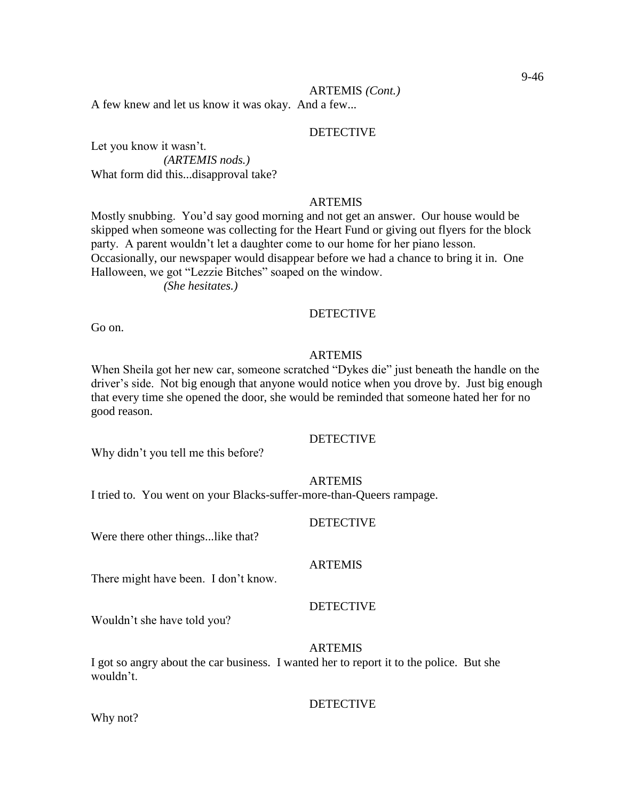#### ARTEMIS *(Cont.)*

A few knew and let us know it was okay. And a few...

#### DETECTIVE

Let you know it wasn't. *(ARTEMIS nods.)* What form did this...disapproval take?

### ARTEMIS

Mostly snubbing. You'd say good morning and not get an answer. Our house would be skipped when someone was collecting for the Heart Fund or giving out flyers for the block party. A parent wouldn't let a daughter come to our home for her piano lesson. Occasionally, our newspaper would disappear before we had a chance to bring it in. One Halloween, we got "Lezzie Bitches" soaped on the window.

*(She hesitates.)*

### **DETECTIVE**

Go on.

### ARTEMIS

When Sheila got her new car, someone scratched "Dykes die" just beneath the handle on the driver's side. Not big enough that anyone would notice when you drove by. Just big enough that every time she opened the door, she would be reminded that someone hated her for no good reason.

### DETECTIVE

Why didn't you tell me this before?

#### ARTEMIS

I tried to. You went on your Blacks-suffer-more-than-Queers rampage.

#### **DETECTIVE**

Were there other things...like that?

#### **ARTEMIS**

There might have been. I don't know.

### DETECTIVE

Wouldn't she have told you?

#### ARTEMIS

I got so angry about the car business. I wanted her to report it to the police. But she wouldn't.

#### DETECTIVE

Why not?

#### 9-46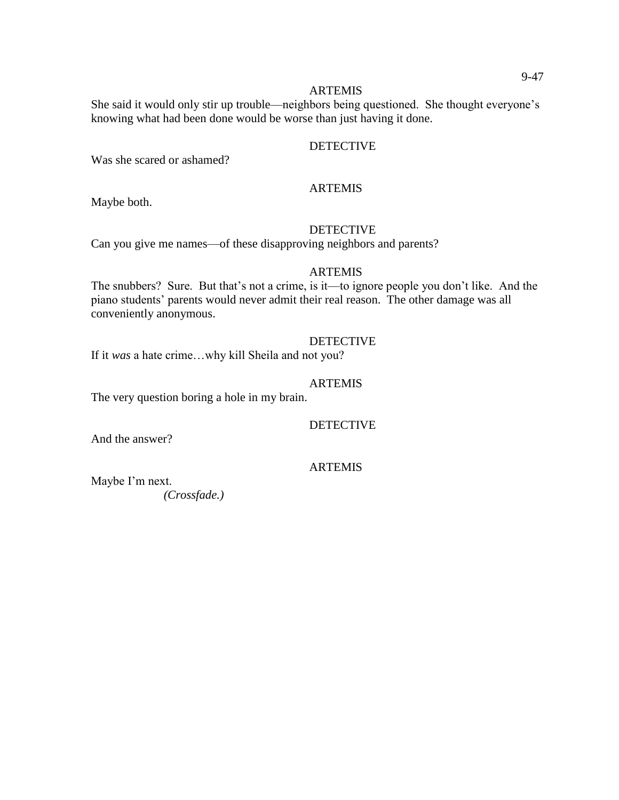#### **ARTEMIS**

She said it would only stir up trouble—neighbors being questioned. She thought everyone's knowing what had been done would be worse than just having it done.

### **DETECTIVE**

Was she scared or ashamed?

### ARTEMIS

Maybe both.

### DETECTIVE

Can you give me names—of these disapproving neighbors and parents?

#### ARTEMIS

The snubbers? Sure. But that's not a crime, is it—to ignore people you don't like. And the piano students' parents would never admit their real reason. The other damage was all conveniently anonymous.

#### DETECTIVE

If it *was* a hate crime…why kill Sheila and not you?

### ARTEMIS

The very question boring a hole in my brain.

### **DETECTIVE**

And the answer?

### ARTEMIS

Maybe I'm next. *(Crossfade.)*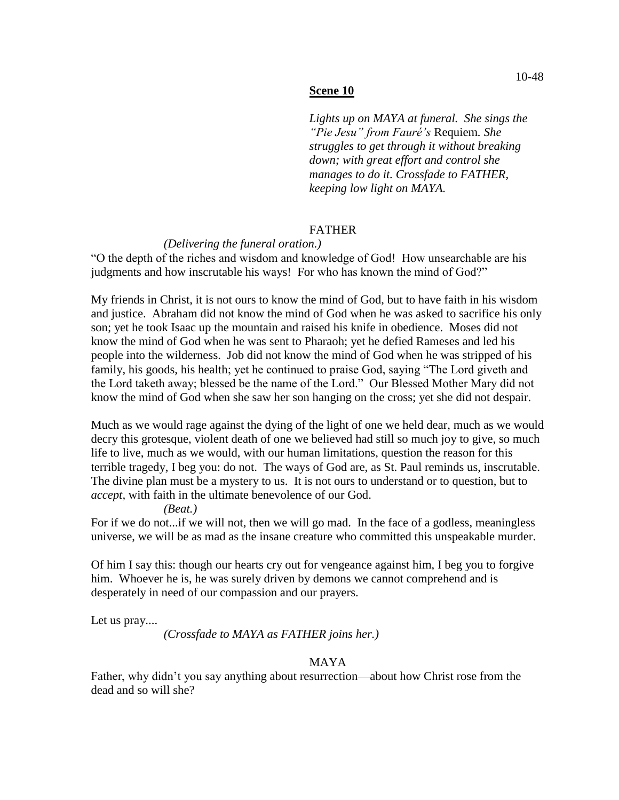#### **Scene 10**

*Lights up on MAYA at funeral. She sings the "Pie Jesu" from Fauré's* Requiem*. She struggles to get through it without breaking down; with great effort and control she manages to do it. Crossfade to FATHER, keeping low light on MAYA.*

### FATHER

### *(Delivering the funeral oration.)*

"O the depth of the riches and wisdom and knowledge of God! How unsearchable are his judgments and how inscrutable his ways! For who has known the mind of God?"

My friends in Christ, it is not ours to know the mind of God, but to have faith in his wisdom and justice. Abraham did not know the mind of God when he was asked to sacrifice his only son; yet he took Isaac up the mountain and raised his knife in obedience. Moses did not know the mind of God when he was sent to Pharaoh; yet he defied Rameses and led his people into the wilderness. Job did not know the mind of God when he was stripped of his family, his goods, his health; yet he continued to praise God, saying "The Lord giveth and the Lord taketh away; blessed be the name of the Lord." Our Blessed Mother Mary did not know the mind of God when she saw her son hanging on the cross; yet she did not despair.

Much as we would rage against the dying of the light of one we held dear, much as we would decry this grotesque, violent death of one we believed had still so much joy to give, so much life to live, much as we would, with our human limitations, question the reason for this terrible tragedy, I beg you: do not. The ways of God are, as St. Paul reminds us, inscrutable. The divine plan must be a mystery to us. It is not ours to understand or to question, but to *accept,* with faith in the ultimate benevolence of our God.

#### *(Beat.)*

For if we do not...if we will not, then we will go mad. In the face of a godless, meaningless universe, we will be as mad as the insane creature who committed this unspeakable murder.

Of him I say this: though our hearts cry out for vengeance against him, I beg you to forgive him. Whoever he is, he was surely driven by demons we cannot comprehend and is desperately in need of our compassion and our prayers.

Let us pray....

*(Crossfade to MAYA as FATHER joins her.)*

### MAYA

Father, why didn't you say anything about resurrection—about how Christ rose from the dead and so will she?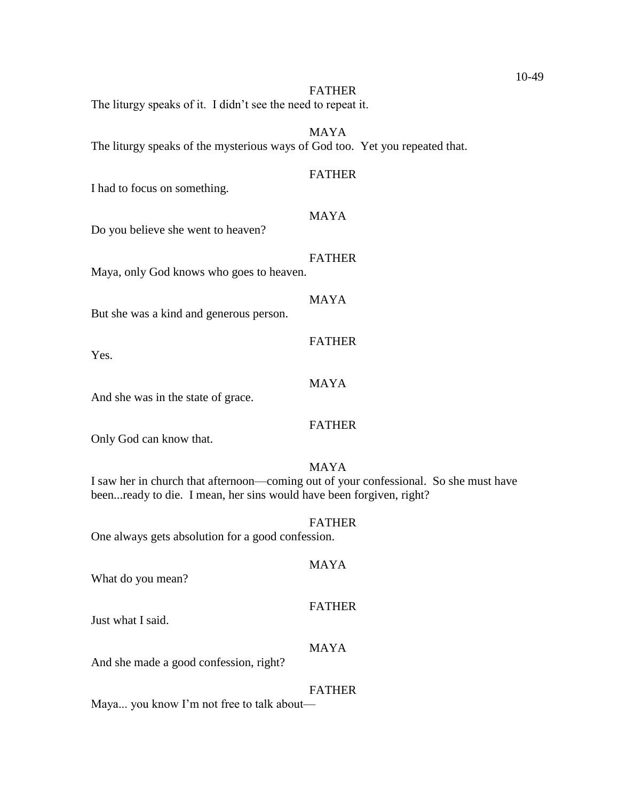| The liturgy speaks of it. I didn't see the need to repeat it.                | <b>FATHER</b>                                                                                       |
|------------------------------------------------------------------------------|-----------------------------------------------------------------------------------------------------|
| The liturgy speaks of the mysterious ways of God too. Yet you repeated that. | <b>MAYA</b>                                                                                         |
| I had to focus on something.                                                 | <b>FATHER</b>                                                                                       |
| Do you believe she went to heaven?                                           | <b>MAYA</b>                                                                                         |
| Maya, only God knows who goes to heaven.                                     | <b>FATHER</b>                                                                                       |
| But she was a kind and generous person.                                      | <b>MAYA</b>                                                                                         |
| Yes.                                                                         | <b>FATHER</b>                                                                                       |
| And she was in the state of grace.                                           | <b>MAYA</b>                                                                                         |
| Only God can know that.                                                      | <b>FATHER</b>                                                                                       |
| beenready to die. I mean, her sins would have been forgiven, right?          | <b>MAYA</b><br>I saw her in church that afternoon—coming out of your confessional. So she must have |
| One always gets absolution for a good confession                             | <b>FATHER</b>                                                                                       |
| What do you mean?                                                            | <b>MAYA</b>                                                                                         |
| Just what I said.                                                            | <b>FATHER</b>                                                                                       |
| And she made a good confession, right?                                       | <b>MAYA</b>                                                                                         |
|                                                                              | <b>FATHER</b>                                                                                       |

Maya... you know I'm not free to talk about—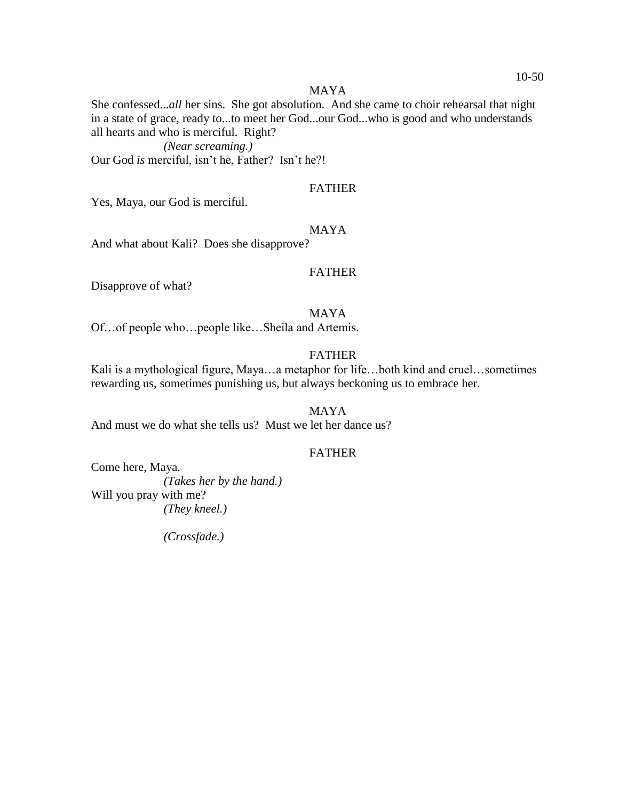#### MAYA

She confessed...*all* her sins. She got absolution. And she came to choir rehearsal that night in a state of grace, ready to...to meet her God...our God...who is good and who understands all hearts and who is merciful. Right?

*(Near screaming.)*

Our God *is* merciful, isn't he, Father? Isn't he?!

### FATHER

Yes, Maya, our God is merciful.

#### MAYA

And what about Kali? Does she disapprove?

### FATHER

Disapprove of what?

### MAYA

Of…of people who…people like…Sheila and Artemis.

### FATHER

Kali is a mythological figure, Maya…a metaphor for life…both kind and cruel…sometimes rewarding us, sometimes punishing us, but always beckoning us to embrace her.

MAYA

And must we do what she tells us? Must we let her dance us?

### FATHER

Come here, Maya. *(Takes her by the hand.)* Will you pray with me? *(They kneel.)*

*(Crossfade.)*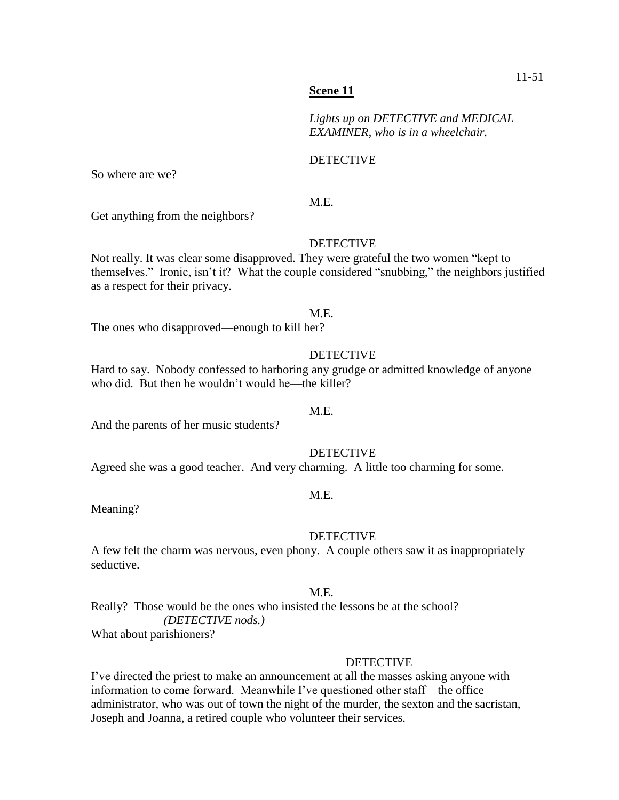#### **Scene 11**

*Lights up on DETECTIVE and MEDICAL EXAMINER, who is in a wheelchair.*

#### **DETECTIVE**

So where are we?

### M.E.

Get anything from the neighbors?

#### DETECTIVE

Not really. It was clear some disapproved. They were grateful the two women "kept to themselves." Ironic, isn't it? What the couple considered "snubbing," the neighbors justified as a respect for their privacy.

#### M.E.

The ones who disapproved—enough to kill her?

#### DETECTIVE

Hard to say. Nobody confessed to harboring any grudge or admitted knowledge of anyone who did. But then he wouldn't would he—the killer?

### M.E.

And the parents of her music students?

### **DETECTIVE**

Agreed she was a good teacher. And very charming. A little too charming for some.

#### M.E.

Meaning?

#### DETECTIVE

A few felt the charm was nervous, even phony. A couple others saw it as inappropriately seductive.

#### M.E.

Really? Those would be the ones who insisted the lessons be at the school? *(DETECTIVE nods.)*

What about parishioners?

#### **DETECTIVE**

I've directed the priest to make an announcement at all the masses asking anyone with information to come forward. Meanwhile I've questioned other staff—the office administrator, who was out of town the night of the murder, the sexton and the sacristan, Joseph and Joanna, a retired couple who volunteer their services.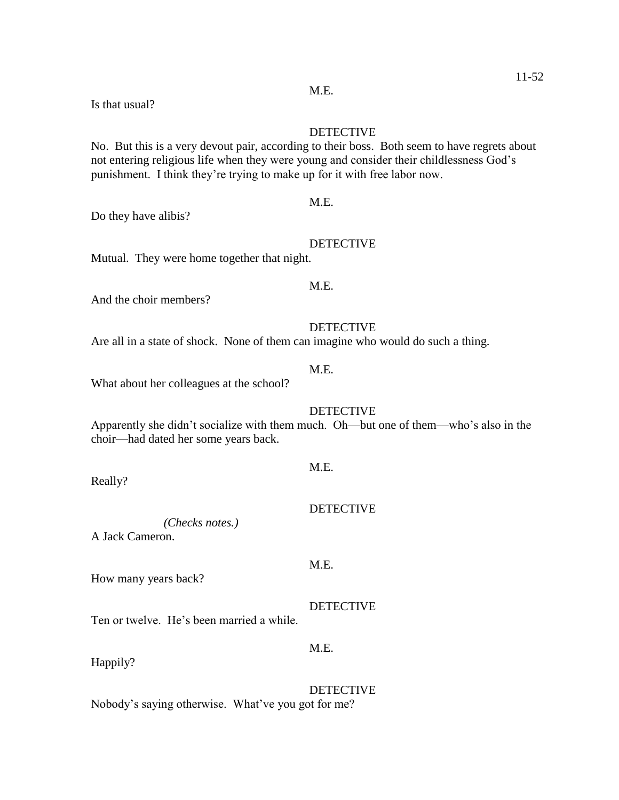Is that usual?

#### DETECTIVE

No. But this is a very devout pair, according to their boss. Both seem to have regrets about not entering religious life when they were young and consider their childlessness God's punishment. I think they're trying to make up for it with free labor now.

### M.E.

Do they have alibis?

#### DETECTIVE

Mutual. They were home together that night.

### M.E.

M.E.

And the choir members?

#### DETECTIVE

Are all in a state of shock. None of them can imagine who would do such a thing.

What about her colleagues at the school?

### DETECTIVE

Apparently she didn't socialize with them much. Oh—but one of them—who's also in the choir—had dated her some years back.

#### Really?

*(Checks notes.)*

A Jack Cameron.

How many years back?

Ten or twelve. He's been married a while.

Happily?

### DETECTIVE Nobody's saying otherwise. What've you got for me?

M.E.

## DETECTIVE

M.E.

DETECTIVE

M.E.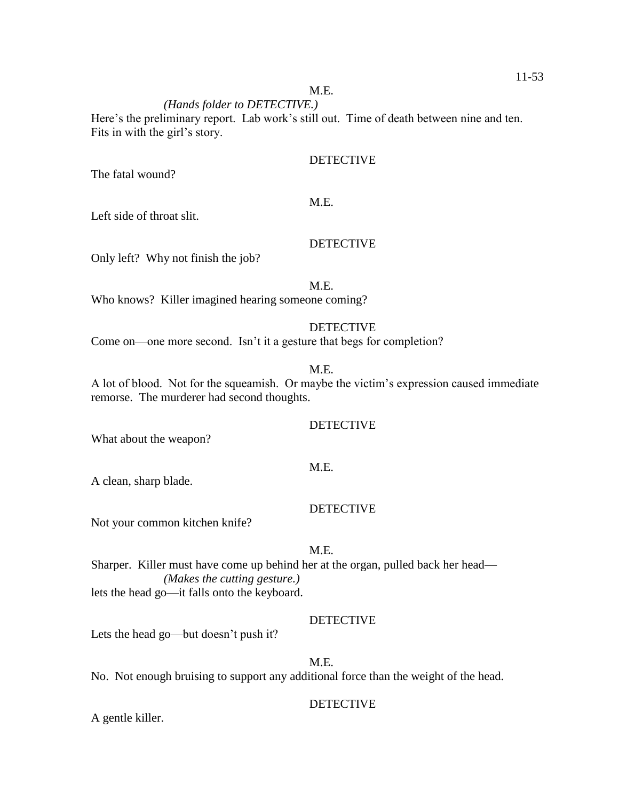#### *(Hands folder to DETECTIVE.)*

Here's the preliminary report. Lab work's still out. Time of death between nine and ten. Fits in with the girl's story.

#### DETECTIVE

The fatal wound?

### M.E.

Left side of throat slit.

### DETECTIVE

Only left? Why not finish the job?

### M.E.

Who knows? Killer imagined hearing someone coming?

### DETECTIVE

Come on—one more second. Isn't it a gesture that begs for completion?

### M.E.

A lot of blood. Not for the squeamish. Or maybe the victim's expression caused immediate remorse. The murderer had second thoughts.

#### **DETECTIVE**

What about the weapon?

#### M.E.

A clean, sharp blade.

#### DETECTIVE

Not your common kitchen knife?

### M.E.

Sharper. Killer must have come up behind her at the organ, pulled back her head— *(Makes the cutting gesture.)* lets the head go—it falls onto the keyboard.

#### DETECTIVE

Lets the head go—but doesn't push it?

#### M.E.

No. Not enough bruising to support any additional force than the weight of the head.

#### DETECTIVE

A gentle killer.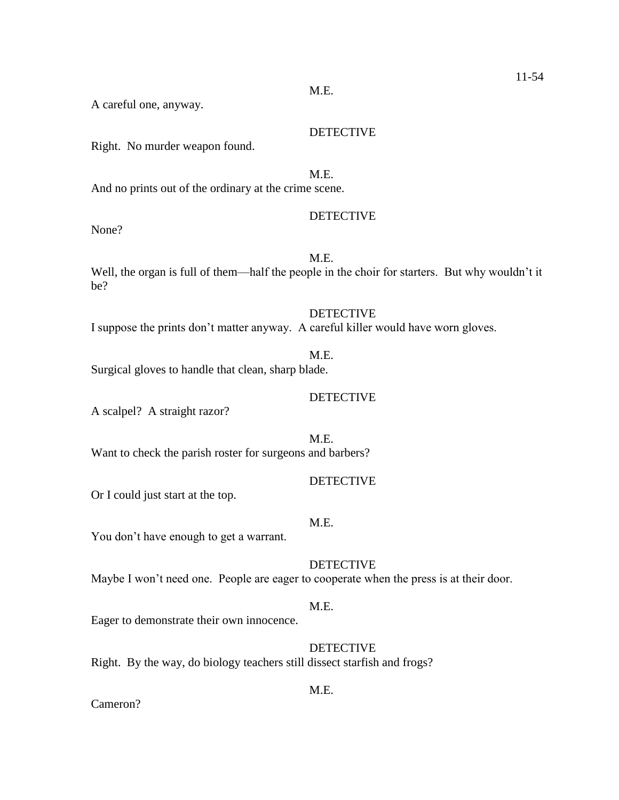M.E.

A careful one, anyway.

Right. No murder weapon found.

And no prints out of the ordinary at the crime scene.

### DETECTIVE

DETECTIVE

None?

## M.E.

Well, the organ is full of them—half the people in the choir for starters. But why wouldn't it be?

**DETECTIVE** I suppose the prints don't matter anyway. A careful killer would have worn gloves.

### M.E.

Surgical gloves to handle that clean, sharp blade.

### DETECTIVE

A scalpel? A straight razor?

M.E. Want to check the parish roster for surgeons and barbers?

### DETECTIVE

Or I could just start at the top.

### M.E.

You don't have enough to get a warrant.

### **DETECTIVE**

Maybe I won't need one. People are eager to cooperate when the press is at their door.

### M.E.

Eager to demonstrate their own innocence.

### DETECTIVE

Right. By the way, do biology teachers still dissect starfish and frogs?

### M.E.

Cameron?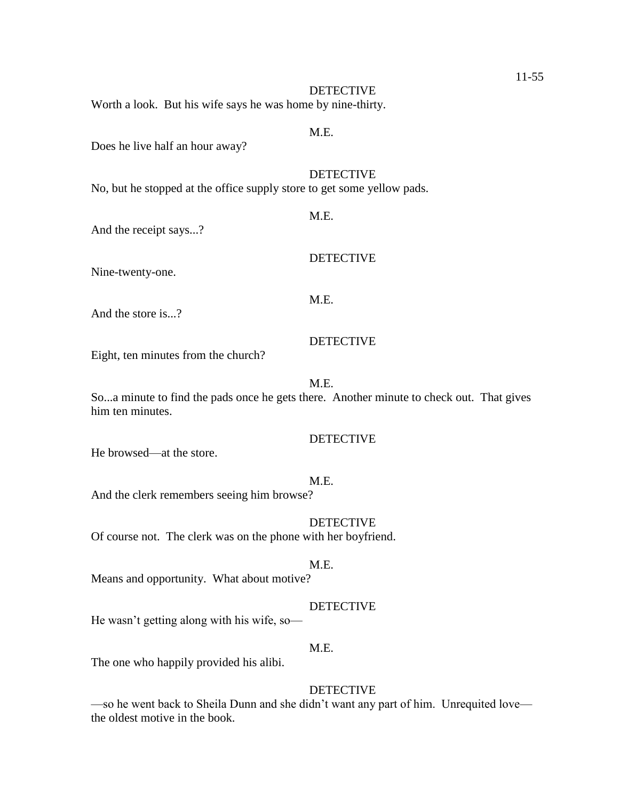Worth a look. But his wife says he was home by nine-thirty.

### M.E.

M.E.

Does he live half an hour away?

### **DETECTIVE**

No, but he stopped at the office supply store to get some yellow pads.

And the receipt says...?

DETECTIVE

Nine-twenty-one.

## M.E.

And the store is...?

#### DETECTIVE

Eight, ten minutes from the church?

#### M.E.

So...a minute to find the pads once he gets there. Another minute to check out. That gives him ten minutes.

### DETECTIVE

He browsed—at the store.

#### M.E.

And the clerk remembers seeing him browse?

### DETECTIVE

Of course not. The clerk was on the phone with her boyfriend.

### M.E.

Means and opportunity. What about motive?

### DETECTIVE

He wasn't getting along with his wife, so—

### M.E.

The one who happily provided his alibi.

### DETECTIVE

—so he went back to Sheila Dunn and she didn't want any part of him. Unrequited love the oldest motive in the book.

### 11-55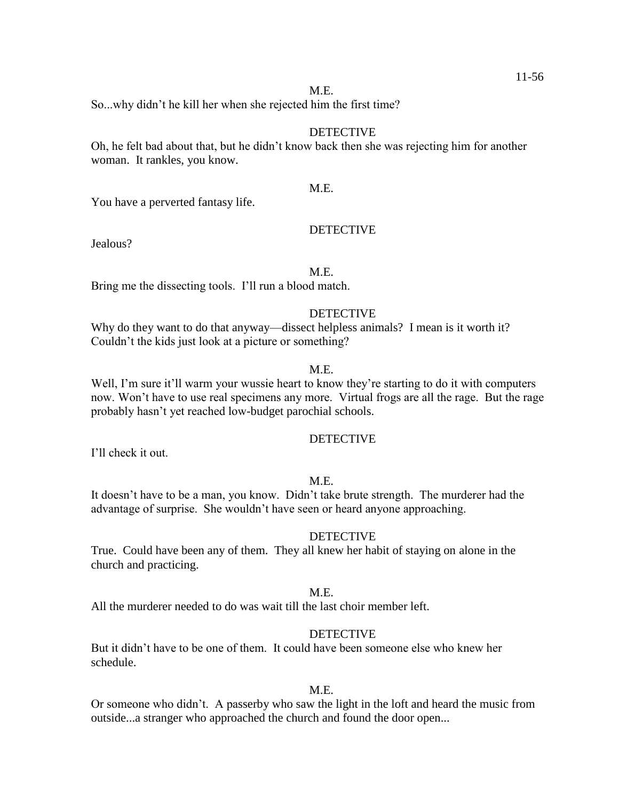So...why didn't he kill her when she rejected him the first time?

#### DETECTIVE

Oh, he felt bad about that, but he didn't know back then she was rejecting him for another woman. It rankles, you know.

### M.E.

You have a perverted fantasy life.

### **DETECTIVE**

Jealous?

#### M.E.

Bring me the dissecting tools. I'll run a blood match.

### **DETECTIVE**

Why do they want to do that anyway—dissect helpless animals? I mean is it worth it? Couldn't the kids just look at a picture or something?

### M.E.

Well, I'm sure it'll warm your wussie heart to know they're starting to do it with computers now. Won't have to use real specimens any more. Virtual frogs are all the rage. But the rage probably hasn't yet reached low-budget parochial schools.

### DETECTIVE

I'll check it out.

#### M.E.

It doesn't have to be a man, you know. Didn't take brute strength. The murderer had the advantage of surprise. She wouldn't have seen or heard anyone approaching.

#### DETECTIVE

True. Could have been any of them. They all knew her habit of staying on alone in the church and practicing.

#### M.E.

All the murderer needed to do was wait till the last choir member left.

#### **DETECTIVE**

But it didn't have to be one of them. It could have been someone else who knew her schedule.

### M.E.

Or someone who didn't. A passerby who saw the light in the loft and heard the music from outside...a stranger who approached the church and found the door open...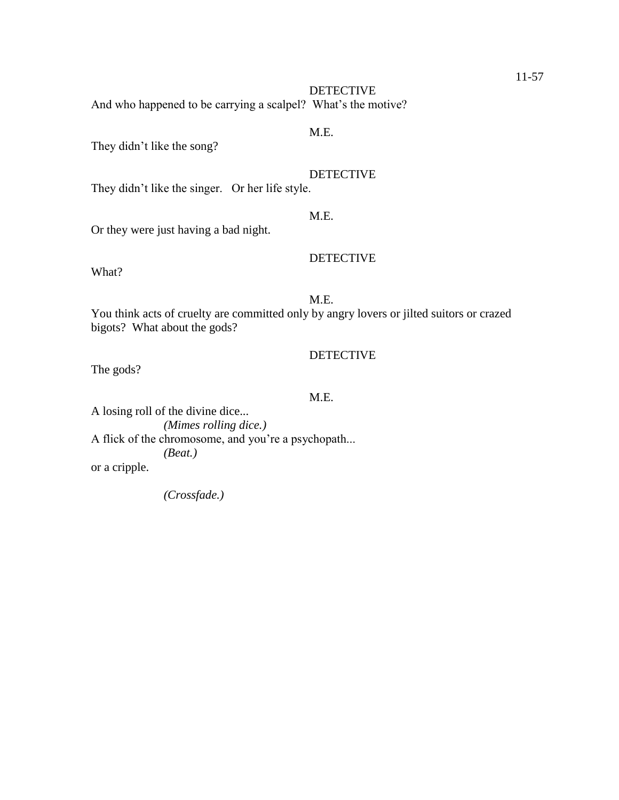DETECTIVE And who happened to be carrying a scalpel? What's the motive?

### M.E.

They didn't like the song?

### DETECTIVE

They didn't like the singer. Or her life style.

### M.E.

Or they were just having a bad night.

### DETECTIVE

What?

### M.E.

You think acts of cruelty are committed only by angry lovers or jilted suitors or crazed bigots? What about the gods?

### DETECTIVE

The gods?

### M.E.

A losing roll of the divine dice... *(Mimes rolling dice.)* A flick of the chromosome, and you're a psychopath... *(Beat.)* or a cripple.

*(Crossfade.)*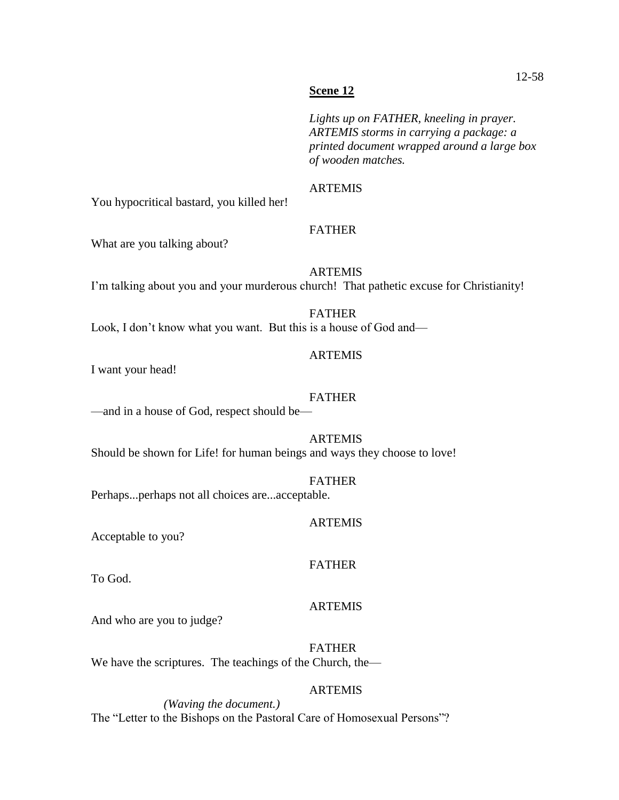*Lights up on FATHER, kneeling in prayer. ARTEMIS storms in carrying a package: a printed document wrapped around a large box of wooden matches.*

### ARTEMIS

You hypocritical bastard, you killed her!

### FATHER

What are you talking about?

ARTEMIS I'm talking about you and your murderous church! That pathetic excuse for Christianity!

FATHER Look, I don't know what you want. But this is a house of God and—

### ARTEMIS

I want your head!

### FATHER

—and in a house of God, respect should be—

ARTEMIS Should be shown for Life! for human beings and ways they choose to love!

FATHER Perhaps...perhaps not all choices are...acceptable.

### ARTEMIS

Acceptable to you?

### FATHER

To God.

### ARTEMIS

And who are you to judge?

FATHER We have the scriptures. The teachings of the Church, the—

### ARTEMIS

*(Waving the document.)* The "Letter to the Bishops on the Pastoral Care of Homosexual Persons"?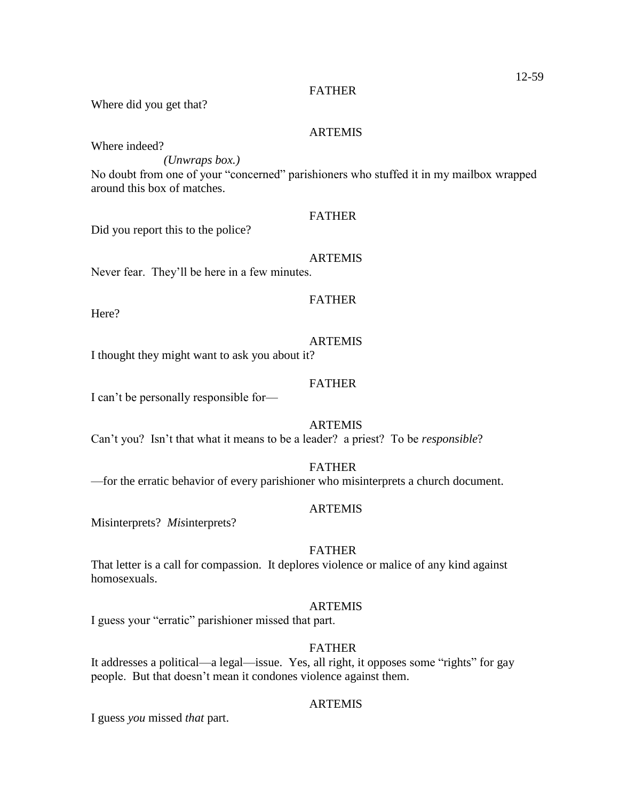Where did you get that?

#### ARTEMIS

Where indeed?

*(Unwraps box.)*

No doubt from one of your "concerned" parishioners who stuffed it in my mailbox wrapped around this box of matches.

#### FATHER

Did you report this to the police?

ARTEMIS

Never fear. They'll be here in a few minutes.

### FATHER

Here?

### ARTEMIS

I thought they might want to ask you about it?

### FATHER

I can't be personally responsible for—

### **ARTEMIS**

Can't you? Isn't that what it means to be a leader? a priest? To be *responsible*?

FATHER

—for the erratic behavior of every parishioner who misinterprets a church document.

### ARTEMIS

Misinterprets? *Mis*interprets?

### FATHER

That letter is a call for compassion. It deplores violence or malice of any kind against homosexuals.

#### ARTEMIS

I guess your "erratic" parishioner missed that part.

### **FATHER**

It addresses a political—a legal—issue. Yes, all right, it opposes some "rights" for gay people. But that doesn't mean it condones violence against them.

### ARTEMIS

I guess *you* missed *that* part.

### 12-59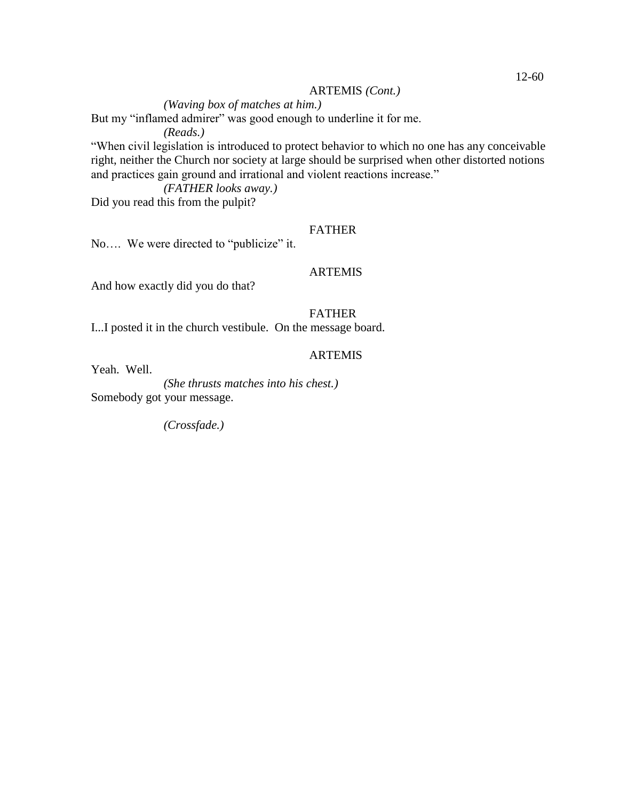#### ARTEMIS *(Cont.)*

*(Waving box of matches at him.)*

But my "inflamed admirer" was good enough to underline it for me.

*(Reads.)*

"When civil legislation is introduced to protect behavior to which no one has any conceivable right, neither the Church nor society at large should be surprised when other distorted notions and practices gain ground and irrational and violent reactions increase."

*(FATHER looks away.)*

Did you read this from the pulpit?

### FATHER

No.... We were directed to "publicize" it.

#### ARTEMIS

And how exactly did you do that?

### FATHER

I...I posted it in the church vestibule. On the message board.

### **ARTEMIS**

Yeah. Well.

*(She thrusts matches into his chest.)* Somebody got your message.

*(Crossfade.)*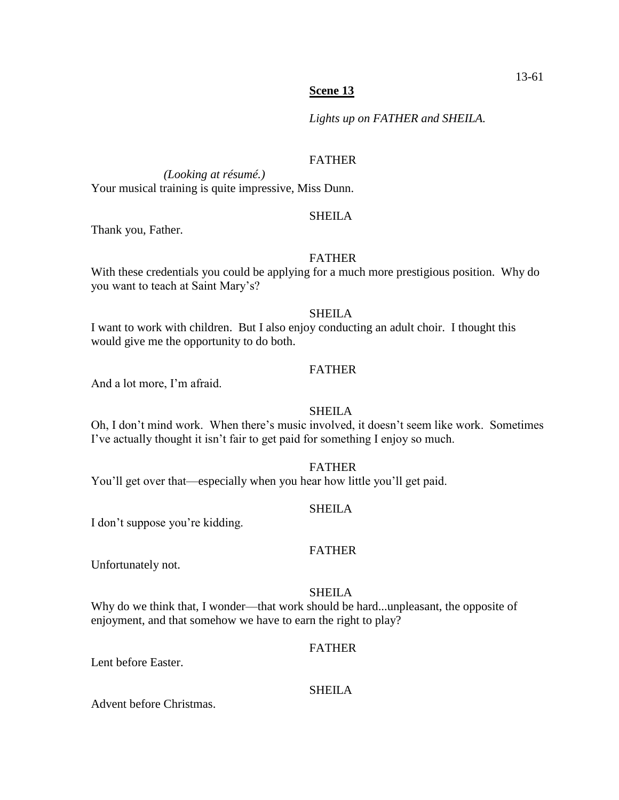*Lights up on FATHER and SHEILA.*

### FATHER

*(Looking at résumé.)* Your musical training is quite impressive, Miss Dunn.

### **SHEILA**

Thank you, Father.

### FATHER

With these credentials you could be applying for a much more prestigious position. Why do you want to teach at Saint Mary's?

#### SHEILA

I want to work with children. But I also enjoy conducting an adult choir. I thought this would give me the opportunity to do both.

### FATHER

And a lot more, I'm afraid.

### SHEILA

Oh, I don't mind work. When there's music involved, it doesn't seem like work. Sometimes I've actually thought it isn't fair to get paid for something I enjoy so much.

### FATHER

You'll get over that—especially when you hear how little you'll get paid.

#### SHEILA

I don't suppose you're kidding.

### FATHER

Unfortunately not.

### SHEILA

Why do we think that, I wonder—that work should be hard...unpleasant, the opposite of enjoyment, and that somehow we have to earn the right to play?

#### FATHER

Lent before Easter.

### SHEILA

Advent before Christmas.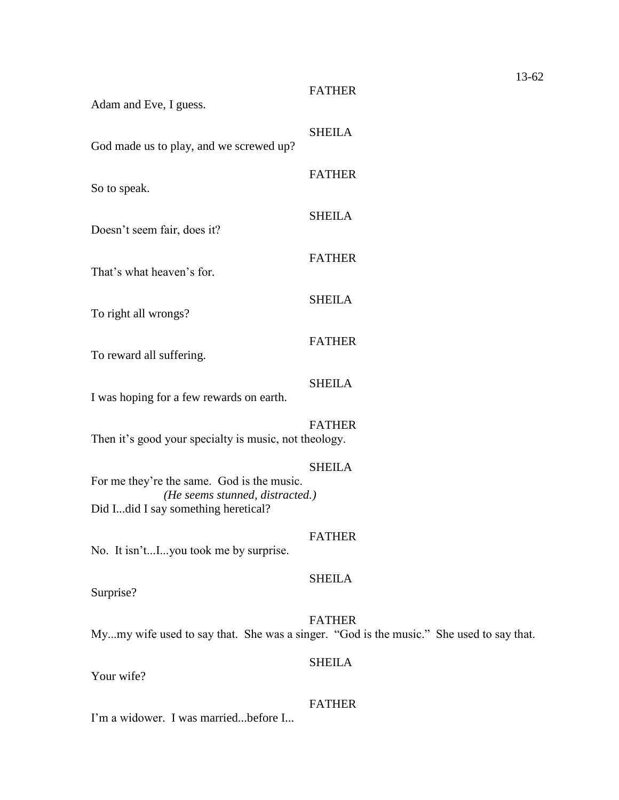| Adam and Eve, I guess.                                                                                               | <b>FATHER</b>                                                                                            |
|----------------------------------------------------------------------------------------------------------------------|----------------------------------------------------------------------------------------------------------|
| God made us to play, and we screwed up?                                                                              | <b>SHEILA</b>                                                                                            |
| So to speak.                                                                                                         | <b>FATHER</b>                                                                                            |
| Doesn't seem fair, does it?                                                                                          | <b>SHEILA</b>                                                                                            |
| That's what heaven's for.                                                                                            | <b>FATHER</b>                                                                                            |
| To right all wrongs?                                                                                                 | <b>SHEILA</b>                                                                                            |
| To reward all suffering.                                                                                             | <b>FATHER</b>                                                                                            |
| I was hoping for a few rewards on earth.                                                                             | <b>SHEILA</b>                                                                                            |
| Then it's good your specialty is music, not theology.                                                                | <b>FATHER</b>                                                                                            |
| For me they're the same. God is the music.<br>(He seems stunned, distracted.)<br>Did Idid I say something heretical? | <b>SHEILA</b>                                                                                            |
| No. It isn'tIyou took me by surprise.                                                                                | <b>FATHER</b>                                                                                            |
| Surprise?                                                                                                            | <b>SHEILA</b>                                                                                            |
|                                                                                                                      | <b>FATHER</b><br>Mymy wife used to say that. She was a singer. "God is the music." She used to say that. |
| Your wife?                                                                                                           | <b>SHEILA</b>                                                                                            |

FATHER

I'm a widower. I was married...before I...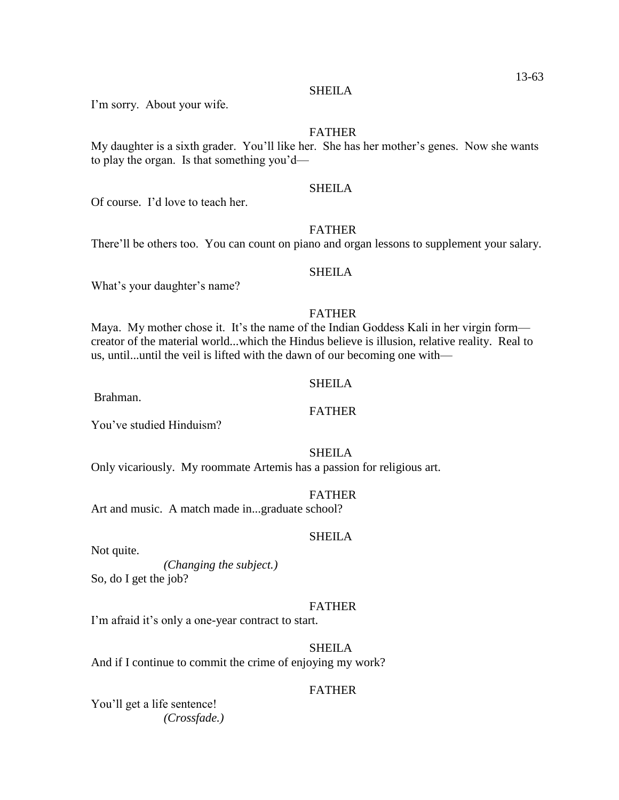#### SHEILA

I'm sorry. About your wife.

### FATHER

My daughter is a sixth grader. You'll like her. She has her mother's genes. Now she wants to play the organ. Is that something you'd—

### SHEILA

Of course. I'd love to teach her.

### FATHER

There'll be others too. You can count on piano and organ lessons to supplement your salary.

#### **SHEILA**

What's your daughter's name?

### FATHER

Maya. My mother chose it. It's the name of the Indian Goddess Kali in her virgin form creator of the material world...which the Hindus believe is illusion, relative reality. Real to us, until...until the veil is lifted with the dawn of our becoming one with—

### SHEILA

Brahman.

You've studied Hinduism?

#### SHEILA

Only vicariously. My roommate Artemis has a passion for religious art.

#### FATHER

Art and music. A match made in...graduate school?

#### SHEILA

Not quite.

*(Changing the subject.)* So, do I get the job?

#### FATHER

I'm afraid it's only a one-year contract to start.

### SHEILA

And if I continue to commit the crime of enjoying my work?

### FATHER

You'll get a life sentence! *(Crossfade.)*

### FATHER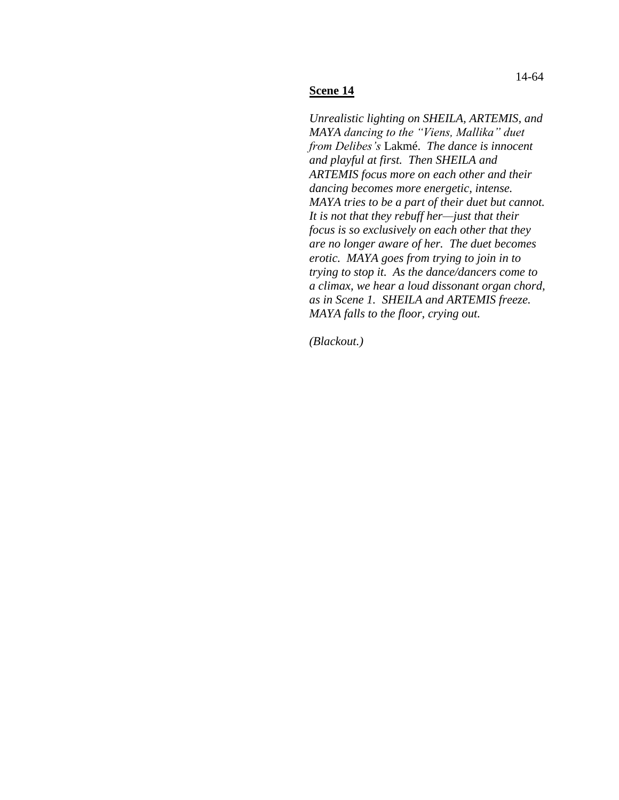#### **Scene 14**

*Unrealistic lighting on SHEILA, ARTEMIS, and MAYA dancing to the "Viens, Mallika" duet from Delibes's* Lakmé. *The dance is innocent and playful at first. Then SHEILA and ARTEMIS focus more on each other and their dancing becomes more energetic, intense. MAYA tries to be a part of their duet but cannot. It is not that they rebuff her—just that their focus is so exclusively on each other that they are no longer aware of her. The duet becomes erotic. MAYA goes from trying to join in to trying to stop it. As the dance/dancers come to a climax, we hear a loud dissonant organ chord, as in Scene 1. SHEILA and ARTEMIS freeze. MAYA falls to the floor, crying out.* 

*(Blackout.)*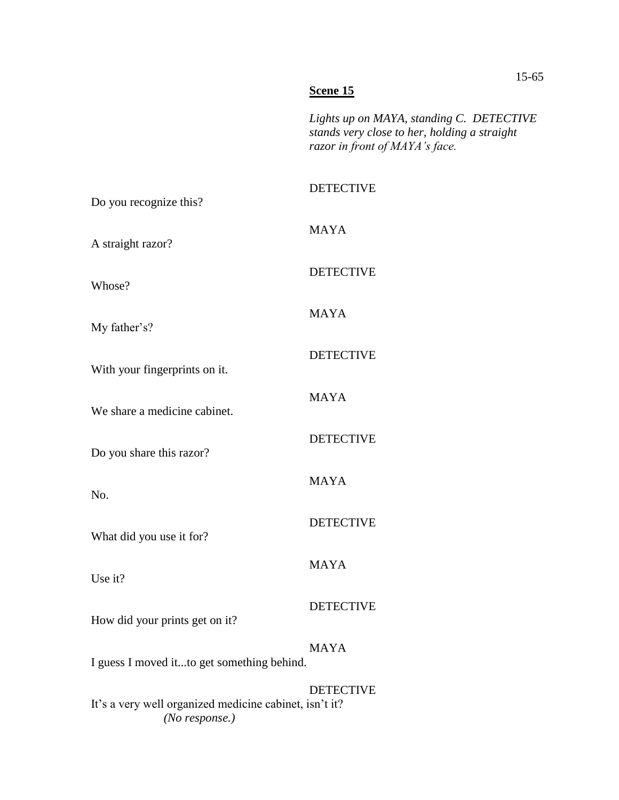### **Scene 15**

*Lights up on MAYA, standing C. DETECTIVE stands very close to her, holding a straight razor in front of MAYA's face.*

# DETECTIVE

| Do you recognize this?                                                                       |                  |  |
|----------------------------------------------------------------------------------------------|------------------|--|
| A straight razor?                                                                            | <b>MAYA</b>      |  |
| Whose?                                                                                       | <b>DETECTIVE</b> |  |
| My father's?                                                                                 | <b>MAYA</b>      |  |
| With your fingerprints on it.                                                                | <b>DETECTIVE</b> |  |
| We share a medicine cabinet.                                                                 | <b>MAYA</b>      |  |
|                                                                                              | <b>DETECTIVE</b> |  |
| Do you share this razor?                                                                     | <b>MAYA</b>      |  |
| No.                                                                                          | <b>DETECTIVE</b> |  |
| What did you use it for?                                                                     | <b>MAYA</b>      |  |
| Use it?                                                                                      | <b>DETECTIVE</b> |  |
| How did your prints get on it?                                                               | <b>MAYA</b>      |  |
| I guess I moved itto get something behind.                                                   |                  |  |
| <b>DETECTIVE</b><br>It's a very well organized medicine cabinet, isn't it?<br>(No response.) |                  |  |

### 15-65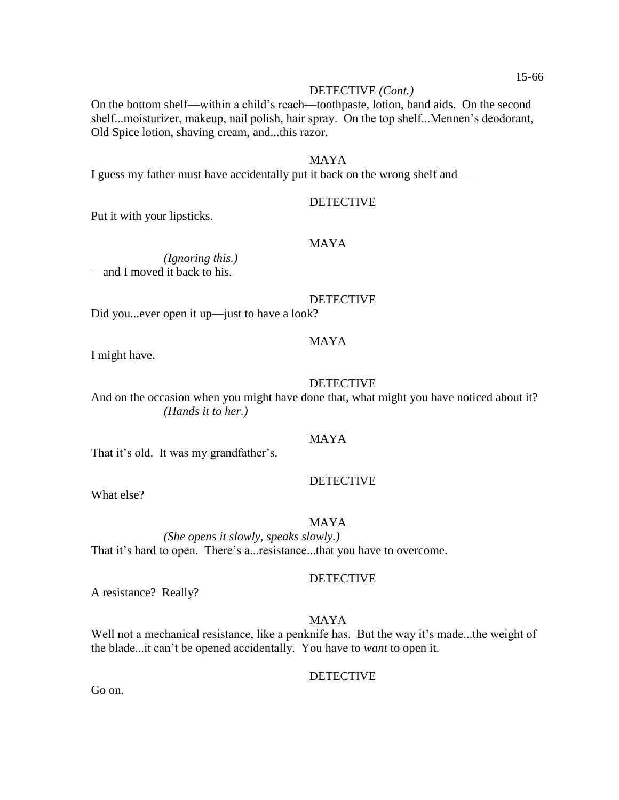#### DETECTIVE *(Cont.)*

On the bottom shelf—within a child's reach—toothpaste, lotion, band aids. On the second shelf...moisturizer, makeup, nail polish, hair spray. On the top shelf...Mennen's deodorant, Old Spice lotion, shaving cream, and...this razor.

#### MAYA

I guess my father must have accidentally put it back on the wrong shelf and—

### **DETECTIVE**

Put it with your lipsticks.

#### MAYA

*(Ignoring this.)* —and I moved it back to his.

### DETECTIVE

Did you...ever open it up—just to have a look?

#### MAYA

I might have.

### DETECTIVE

And on the occasion when you might have done that, what might you have noticed about it? *(Hands it to her.)*

### MAYA

That it's old. It was my grandfather's.

### DETECTIVE

What else?

#### MAYA

*(She opens it slowly, speaks slowly.)* That it's hard to open. There's a...resistance...that you have to overcome.

#### DETECTIVE

A resistance? Really?

### MAYA

Well not a mechanical resistance, like a penknife has. But the way it's made...the weight of the blade...it can't be opened accidentally. You have to *want* to open it.

#### DETECTIVE

Go on.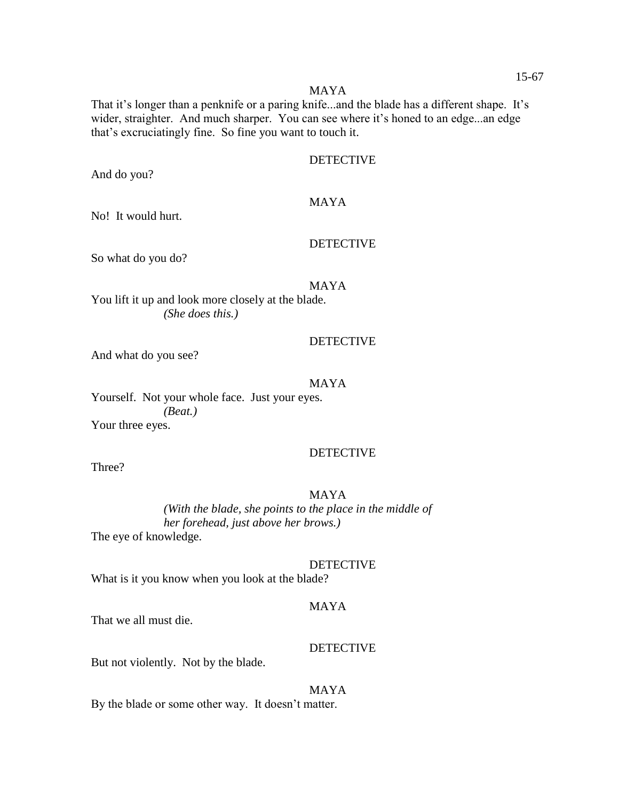#### MAYA

That it's longer than a penknife or a paring knife...and the blade has a different shape. It's wider, straighter. And much sharper. You can see where it's honed to an edge...an edge that's excruciatingly fine. So fine you want to touch it.

### DETECTIVE

And do you?

### MAYA

No! It would hurt.

### DETECTIVE

So what do you do?

### MAYA

You lift it up and look more closely at the blade. *(She does this.)*

#### DETECTIVE

And what do you see?

### MAYA

Yourself. Not your whole face. Just your eyes. *(Beat.)* Your three eyes.

### **DETECTIVE**

Three?

### MAYA

*(With the blade, she points to the place in the middle of her forehead, just above her brows.)*

The eye of knowledge.

#### DETECTIVE

What is it you know when you look at the blade?

### MAYA

That we all must die.

#### DETECTIVE

But not violently. Not by the blade.

### MAYA

By the blade or some other way. It doesn't matter.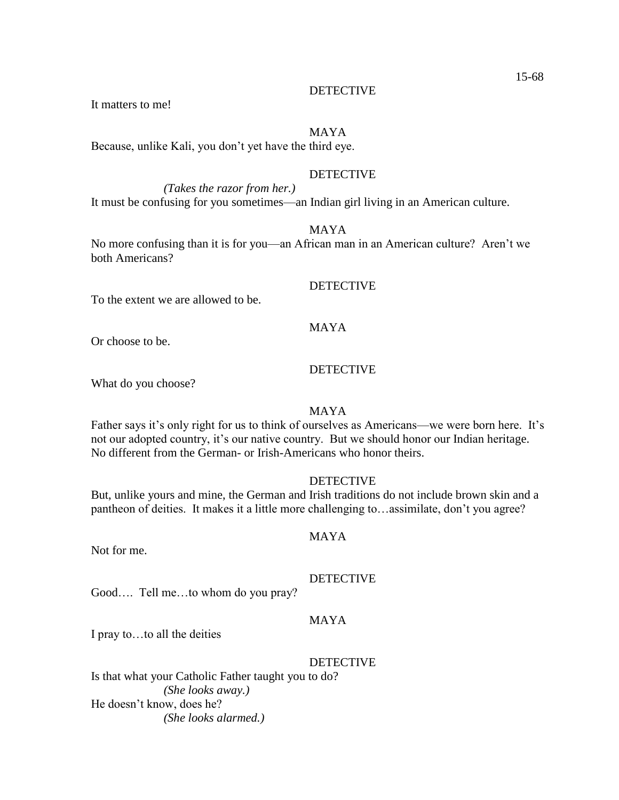It matters to me!

### MAYA

Because, unlike Kali, you don't yet have the third eye.

### DETECTIVE

*(Takes the razor from her.)* It must be confusing for you sometimes—an Indian girl living in an American culture.

#### MAYA

No more confusing than it is for you—an African man in an American culture? Aren't we both Americans?

#### **DETECTIVE**

To the extent we are allowed to be.

### MAYA

Or choose to be.

### DETECTIVE

What do you choose?

### MAYA

Father says it's only right for us to think of ourselves as Americans—we were born here. It's not our adopted country, it's our native country. But we should honor our Indian heritage. No different from the German- or Irish-Americans who honor theirs.

### DETECTIVE

But, unlike yours and mine, the German and Irish traditions do not include brown skin and a pantheon of deities. It makes it a little more challenging to…assimilate, don't you agree?

#### MAYA

Not for me.

### DETECTIVE

Good…. Tell me…to whom do you pray?

### MAYA

I pray to…to all the deities

#### **DETECTIVE**

Is that what your Catholic Father taught you to do? *(She looks away.)* He doesn't know, does he? *(She looks alarmed.)*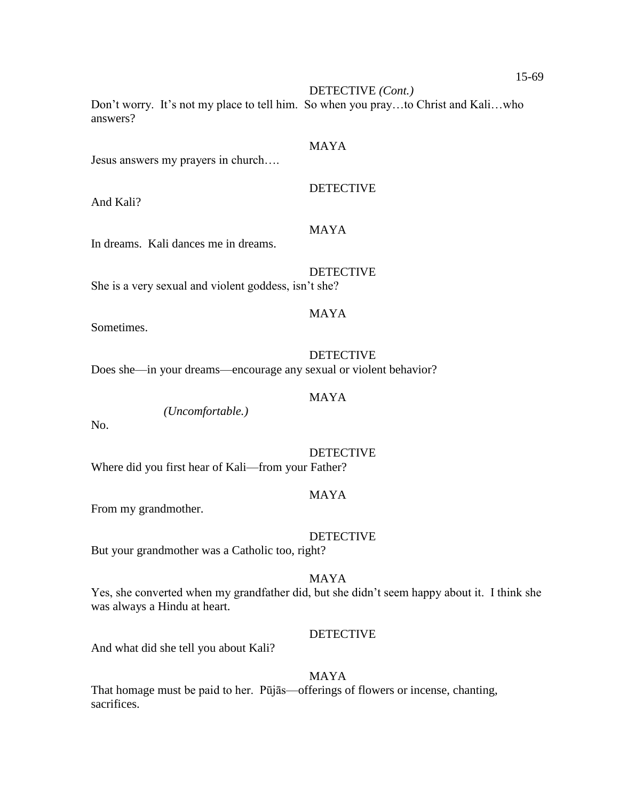15-69

DETECTIVE *(Cont.)*

Don't worry. It's not my place to tell him. So when you pray…to Christ and Kali…who answers?

### MAYA

Jesus answers my prayers in church….

And Kali?

# MAYA

In dreams. Kali dances me in dreams.

She is a very sexual and violent goddess, isn't she?

### MAYA

Sometimes.

### **DETECTIVE** Does she—in your dreams—encourage any sexual or violent behavior?

#### MAYA

*(Uncomfortable.)*

No.

**DETECTIVE** Where did you first hear of Kali—from your Father?

### MAYA

From my grandmother.

#### DETECTIVE

But your grandmother was a Catholic too, right?

### MAYA

Yes, she converted when my grandfather did, but she didn't seem happy about it. I think she was always a Hindu at heart.

### DETECTIVE

And what did she tell you about Kali?

#### MAYA

That homage must be paid to her. Pūjās—offerings of flowers or incense, chanting, sacrifices.

DETECTIVE

### DETECTIVE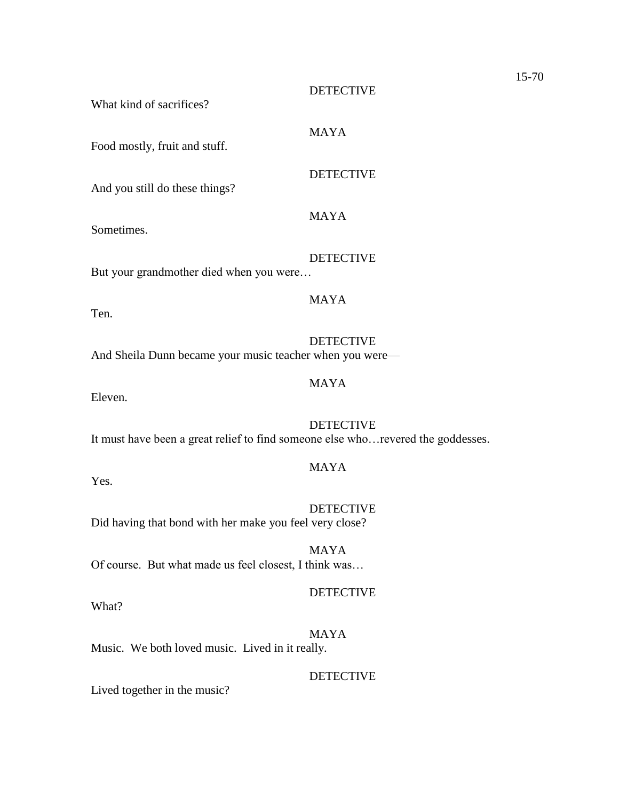|                                                                                 | <b>DETECTIVE</b> |
|---------------------------------------------------------------------------------|------------------|
| What kind of sacrifices?                                                        |                  |
| Food mostly, fruit and stuff.                                                   | <b>MAYA</b>      |
| And you still do these things?                                                  | <b>DETECTIVE</b> |
| Sometimes.                                                                      | <b>MAYA</b>      |
| But your grandmother died when you were                                         | <b>DETECTIVE</b> |
| Ten.                                                                            | <b>MAYA</b>      |
| And Sheila Dunn became your music teacher when you were-                        | <b>DETECTIVE</b> |
| Eleven.                                                                         | <b>MAYA</b>      |
| It must have been a great relief to find someone else whorevered the goddesses. | <b>DETECTIVE</b> |
| Yes.                                                                            | <b>MAYA</b>      |
| Did having that bond with her make you feel very close?                         | <b>DETECTIVE</b> |
|                                                                                 | <b>MAYA</b>      |

15-70

Of course. But what made us feel closest, I think was…

# DETECTIVE

What?

MAYA Music. We both loved music. Lived in it really.

DETECTIVE

Lived together in the music?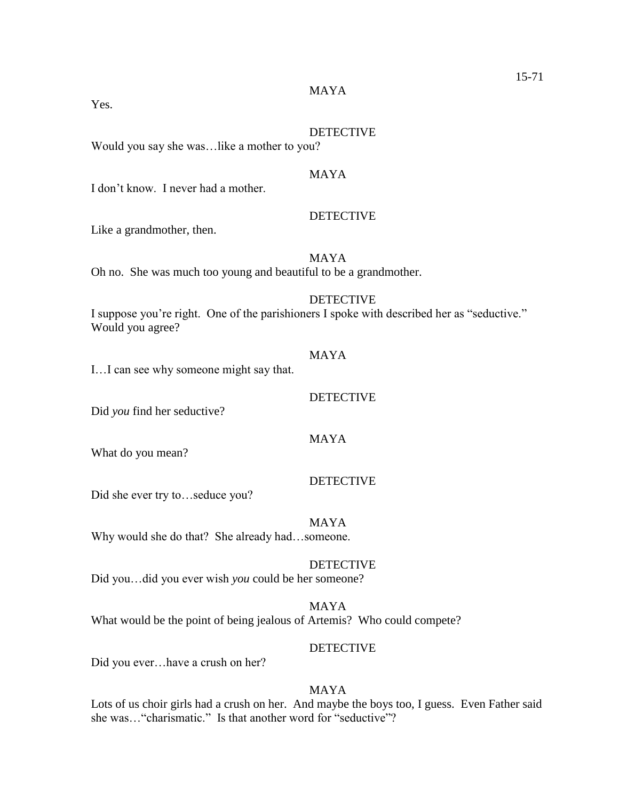#### MAYA

Yes.

#### DETECTIVE

**DETECTIVE** 

Would you say she was…like a mother to you?

#### MAYA

I don't know. I never had a mother.

# Like a grandmother, then.

MAYA Oh no. She was much too young and beautiful to be a grandmother.

#### DETECTIVE

I suppose you're right. One of the parishioners I spoke with described her as "seductive." Would you agree?

# I…I can see why someone might say that.

Did *you* find her seductive?

What do you mean?

Did she ever try to…seduce you?

MAYA Why would she do that? She already had…someone.

#### **DETECTIVE**

Did you…did you ever wish *you* could be her someone?

MAYA What would be the point of being jealous of Artemis? Who could compete?

#### DETECTIVE

Did you ever…have a crush on her?

# MAYA

Lots of us choir girls had a crush on her. And maybe the boys too, I guess. Even Father said she was…"charismatic." Is that another word for "seductive"?

## MAYA

MAYA

DETECTIVE

DETECTIVE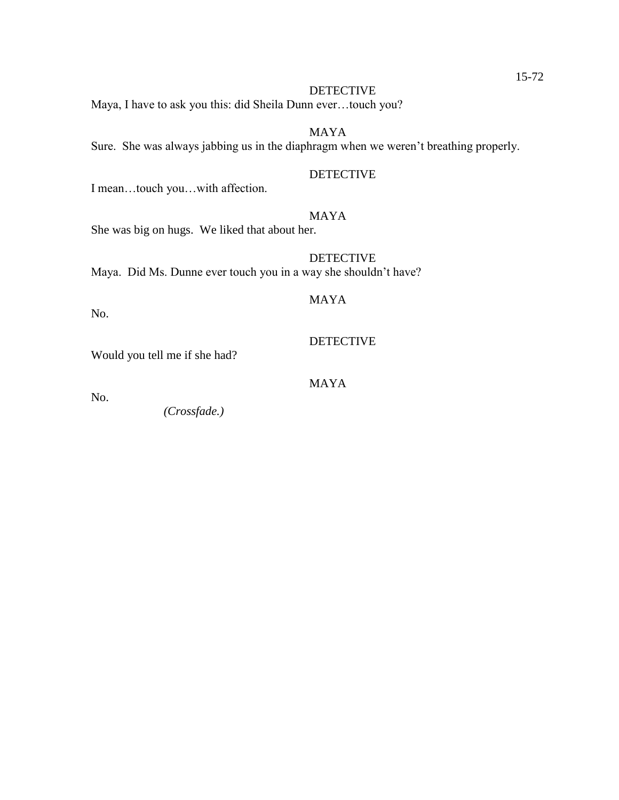Maya, I have to ask you this: did Sheila Dunn ever…touch you?

# MAYA

Sure. She was always jabbing us in the diaphragm when we weren't breathing properly.

#### DETECTIVE

I mean…touch you…with affection.

# MAYA

She was big on hugs. We liked that about her.

DETECTIVE Maya. Did Ms. Dunne ever touch you in a way she shouldn't have?

# MAYA

No.

# DETECTIVE

Would you tell me if she had?

# MAYA

No.

*(Crossfade.)*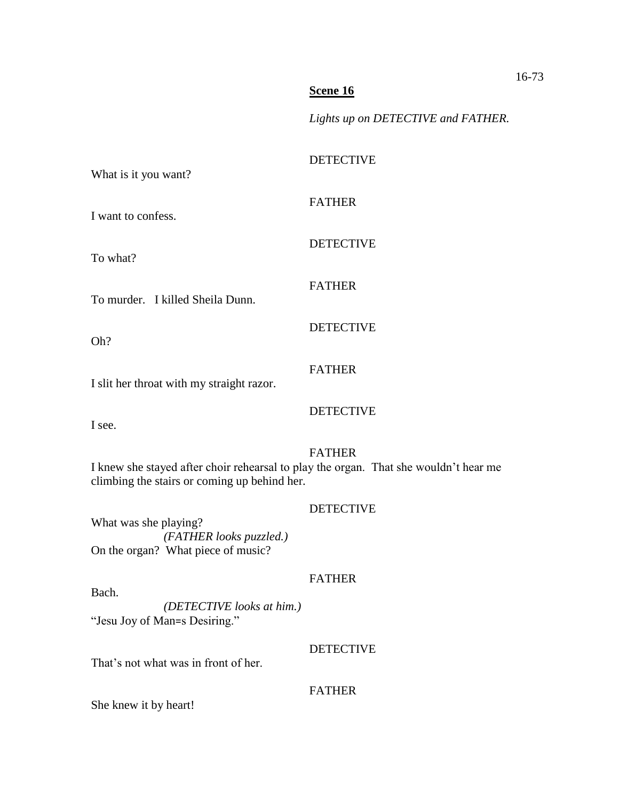*Lights up on DETECTIVE and FATHER.*

| What is it you want?                                                                                                                 | <b>DETECTIVE</b> |
|--------------------------------------------------------------------------------------------------------------------------------------|------------------|
| I want to confess.                                                                                                                   | <b>FATHER</b>    |
| To what?                                                                                                                             | <b>DETECTIVE</b> |
| To murder. I killed Sheila Dunn.                                                                                                     | <b>FATHER</b>    |
| Oh?                                                                                                                                  | <b>DETECTIVE</b> |
|                                                                                                                                      | <b>FATHER</b>    |
| I slit her throat with my straight razor.                                                                                            | <b>DETECTIVE</b> |
| I see.                                                                                                                               |                  |
| I knew she stayed after choir rehearsal to play the organ. That she wouldn't hear me<br>climbing the stairs or coming up behind her. | <b>FATHER</b>    |
| What was she playing?<br>(FATHER looks puzzled.)                                                                                     | <b>DETECTIVE</b> |
| On the organ? What piece of music?                                                                                                   |                  |
| Bach.<br>(DETECTIVE looks at him.)<br>"Jesu Joy of Man=s Desiring."                                                                  | <b>FATHER</b>    |
| That's not what was in front of her.                                                                                                 | <b>DETECTIVE</b> |
| She knew it by heart!                                                                                                                | <b>FATHER</b>    |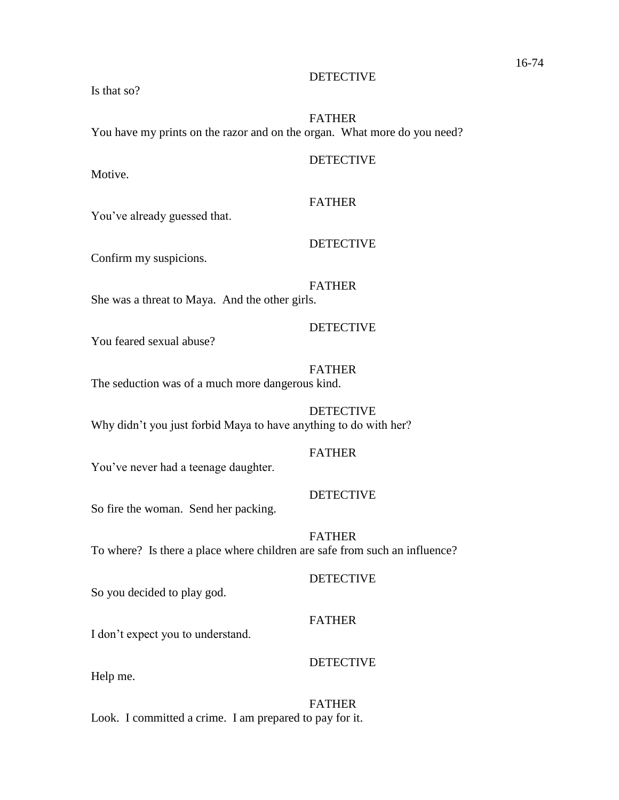Is that so?

# FATHER You have my prints on the razor and on the organ. What more do you need?

#### DETECTIVE

Motive.

# FATHER

You've already guessed that.

#### DETECTIVE

Confirm my suspicions.

# FATHER

She was a threat to Maya. And the other girls.

# DETECTIVE

You feared sexual abuse?

# FATHER

The seduction was of a much more dangerous kind.

DETECTIVE Why didn't you just forbid Maya to have anything to do with her?

# FATHER

You've never had a teenage daughter.

## **DETECTIVE**

So fire the woman. Send her packing.

## FATHER To where? Is there a place where children are safe from such an influence?

## DETECTIVE

So you decided to play god.

# FATHER

I don't expect you to understand.

# **DETECTIVE**

Help me.

#### FATHER

Look. I committed a crime. I am prepared to pay for it.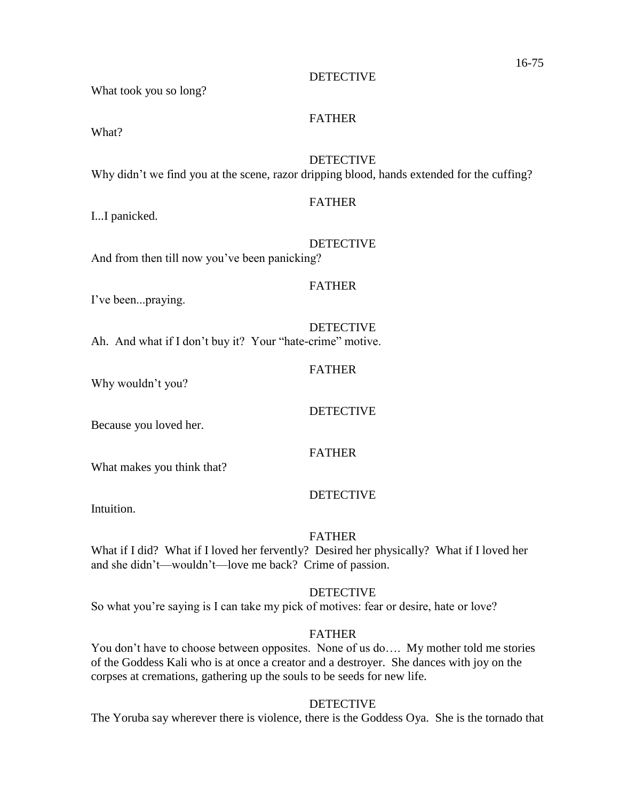What took you so long?

# FATHER

What?

DETECTIVE Why didn't we find you at the scene, razor dripping blood, hands extended for the cuffing?

# FATHER

I...I panicked.

DETECTIVE

And from then till now you've been panicking?

# FATHER

FATHER

I've been...praying.

DETECTIVE Ah. And what if I don't buy it? Your "hate-crime" motive.

## DETECTIVE

Because you loved her.

Why wouldn't you?

# FATHER

What makes you think that?

## **DETECTIVE**

Intuition.

## FATHER

What if I did? What if I loved her fervently? Desired her physically? What if I loved her and she didn't—wouldn't—love me back? Crime of passion.

### DETECTIVE

So what you're saying is I can take my pick of motives: fear or desire, hate or love?

## FATHER

You don't have to choose between opposites. None of us do…. My mother told me stories of the Goddess Kali who is at once a creator and a destroyer. She dances with joy on the corpses at cremations, gathering up the souls to be seeds for new life.

## DETECTIVE

The Yoruba say wherever there is violence, there is the Goddess Oya. She is the tornado that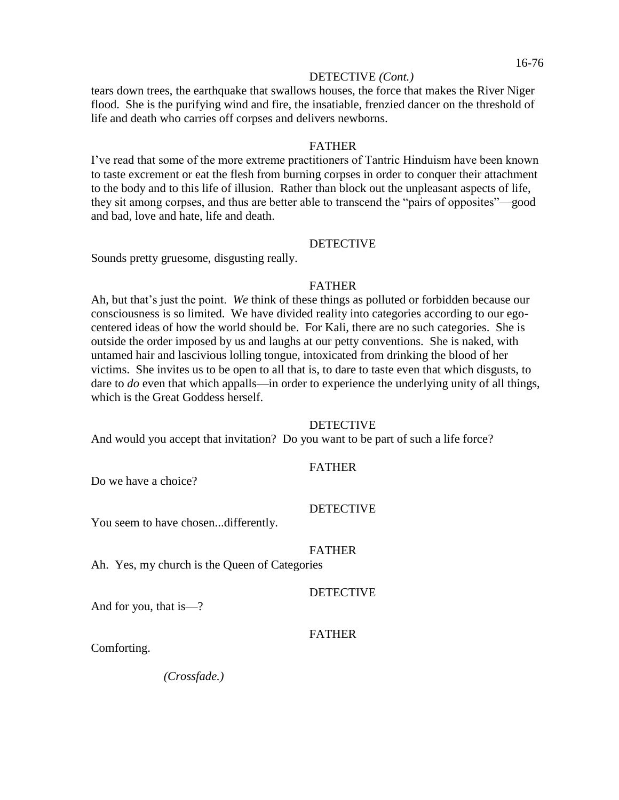#### DETECTIVE *(Cont.)*

tears down trees, the earthquake that swallows houses, the force that makes the River Niger flood. She is the purifying wind and fire, the insatiable, frenzied dancer on the threshold of life and death who carries off corpses and delivers newborns.

#### FATHER

I've read that some of the more extreme practitioners of Tantric Hinduism have been known to taste excrement or eat the flesh from burning corpses in order to conquer their attachment to the body and to this life of illusion. Rather than block out the unpleasant aspects of life, they sit among corpses, and thus are better able to transcend the "pairs of opposites"—good and bad, love and hate, life and death.

#### **DETECTIVE**

Sounds pretty gruesome, disgusting really.

#### FATHER

Ah, but that's just the point. *We* think of these things as polluted or forbidden because our consciousness is so limited. We have divided reality into categories according to our egocentered ideas of how the world should be. For Kali, there are no such categories. She is outside the order imposed by us and laughs at our petty conventions. She is naked, with untamed hair and lascivious lolling tongue, intoxicated from drinking the blood of her victims. She invites us to be open to all that is, to dare to taste even that which disgusts, to dare to *do* even that which appalls—in order to experience the underlying unity of all things, which is the Great Goddess herself.

#### **DETECTIVE**

And would you accept that invitation? Do you want to be part of such a life force?

#### FATHER

Do we have a choice?

#### DETECTIVE

You seem to have chosen...differently.

#### FATHER

Ah. Yes, my church is the Queen of Categories

#### **DETECTIVE**

And for you, that is—?

#### FATHER

Comforting.

*(Crossfade.)*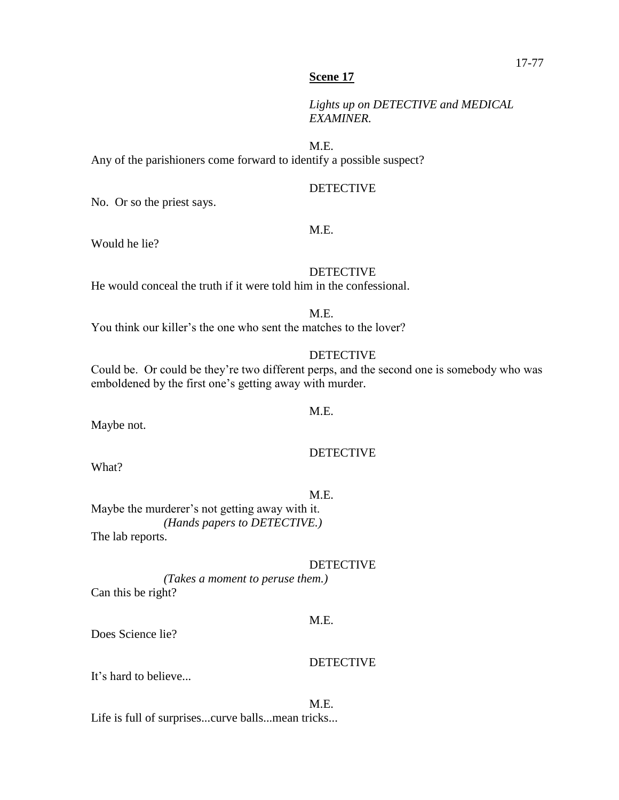*Lights up on DETECTIVE and MEDICAL EXAMINER.*

M.E.

Any of the parishioners come forward to identify a possible suspect?

#### DETECTIVE

No. Or so the priest says.

#### M.E.

Would he lie?

#### DETECTIVE

He would conceal the truth if it were told him in the confessional.

M.E.

You think our killer's the one who sent the matches to the lover?

#### **DETECTIVE**

Could be. Or could be they're two different perps, and the second one is somebody who was emboldened by the first one's getting away with murder.

#### M.E.

Maybe not.

# **DETECTIVE**

What?

#### M.E.

Maybe the murderer's not getting away with it. *(Hands papers to DETECTIVE.)* The lab reports.

#### DETECTIVE

*(Takes a moment to peruse them.)* Can this be right?

#### M.E.

Does Science lie?

#### **DETECTIVE**

It's hard to believe...

#### M.E.

Life is full of surprises...curve balls...mean tricks...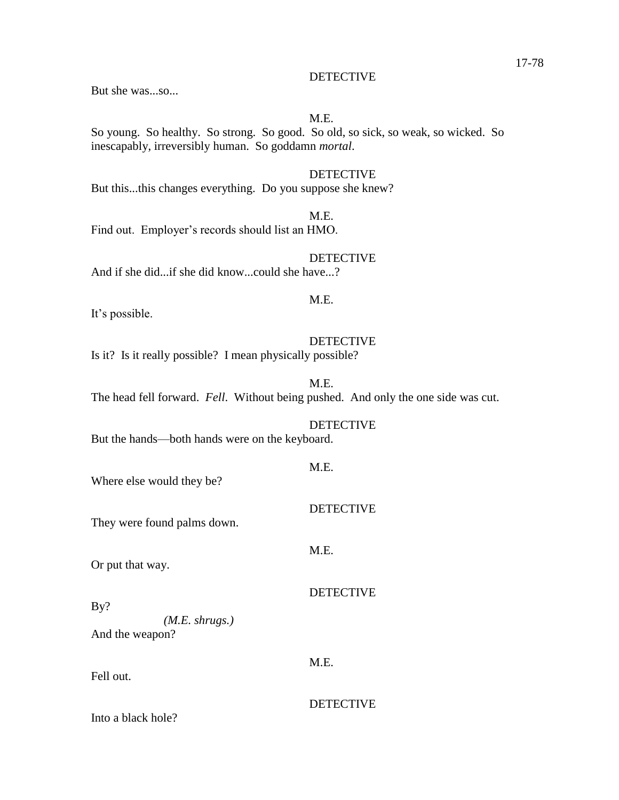But she was...so...

# M.E.

So young. So healthy. So strong. So good. So old, so sick, so weak, so wicked. So inescapably, irreversibly human. So goddamn *mortal*.

# **DETECTIVE**

But this...this changes everything. Do you suppose she knew?

Find out. Employer's records should list an HMO.

#### DETECTIVE

And if she did...if she did know...could she have...?

## M.E.

M.E.

It's possible.

#### DETECTIVE

Is it? Is it really possible? I mean physically possible?

M.E. The head fell forward. *Fell*. Without being pushed. And only the one side was cut.

#### **DETECTIVE**

But the hands—both hands were on the keyboard.

Where else would they be?

They were found palms down.

Or put that way.

By? *(M.E. shrugs.)* And the weapon?

Fell out.

#### DETECTIVE

Into a black hole?

#### M.E.

DETECTIVE

**DETECTIVE** 

#### M.E.

M.E.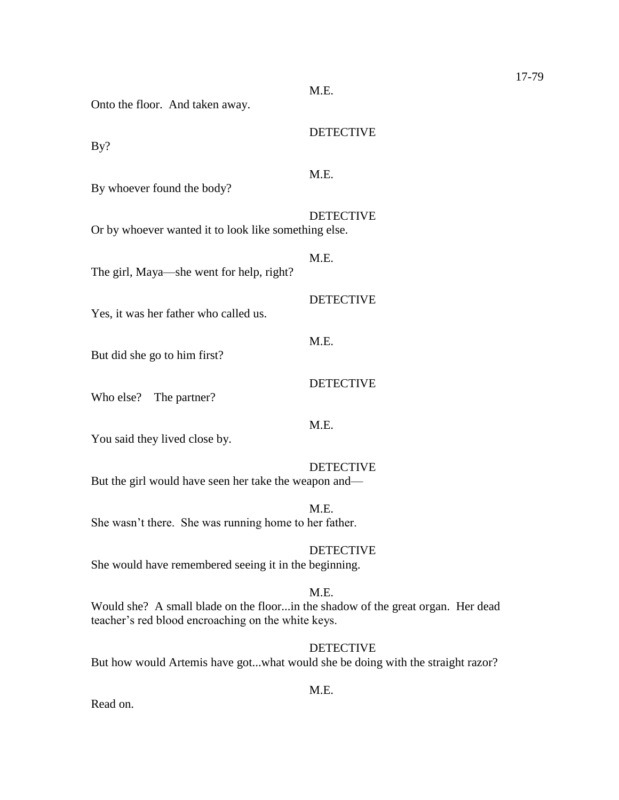| Onto the floor. And taken away.                                                                                                       | M.E.             |
|---------------------------------------------------------------------------------------------------------------------------------------|------------------|
| By?                                                                                                                                   | <b>DETECTIVE</b> |
| By whoever found the body?                                                                                                            | M.E.             |
| Or by whoever wanted it to look like something else.                                                                                  | <b>DETECTIVE</b> |
| The girl, Maya—she went for help, right?                                                                                              | M.E.             |
| Yes, it was her father who called us.                                                                                                 | <b>DETECTIVE</b> |
| But did she go to him first?                                                                                                          | M.E.             |
| Who else?<br>The partner?                                                                                                             | <b>DETECTIVE</b> |
|                                                                                                                                       | M.E.             |
| You said they lived close by.                                                                                                         | <b>DETECTIVE</b> |
| But the girl would have seen her take the weapon and—                                                                                 |                  |
| She wasn't there. She was running home to her father.                                                                                 | M.E.             |
| She would have remembered seeing it in the beginning.                                                                                 | <b>DETECTIVE</b> |
| Would she? A small blade on the floorin the shadow of the great organ. Her dead<br>teacher's red blood encroaching on the white keys. | M.E.             |
|                                                                                                                                       | <b>DETECTIVE</b> |

But how would Artemis have got...what would she be doing with the straight razor?

M.E.

Read on.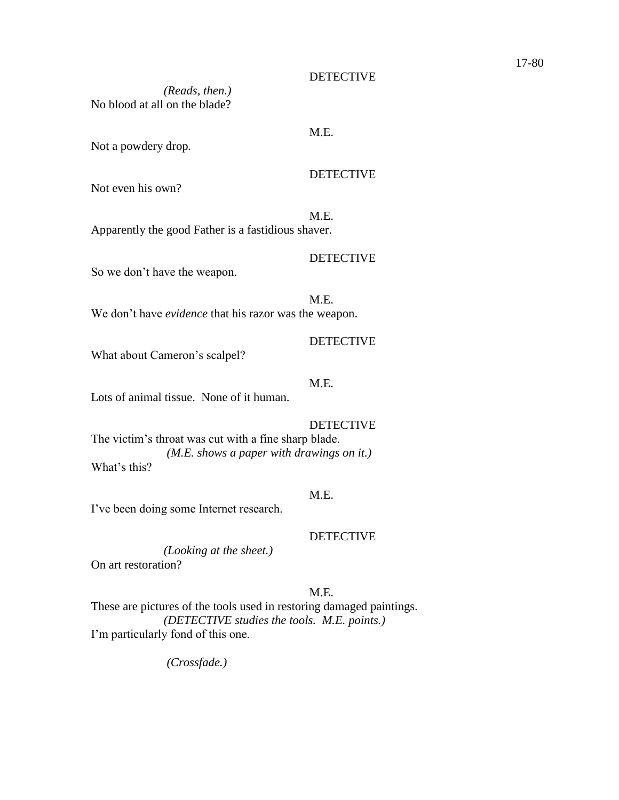# *(Reads, then.)* No blood at all on the blade?

#### M.E.

# Not a powdery drop*.*

# **DETECTIVE**

DETECTIVE

Not even his own?

#### M.E.

Apparently the good Father is a fastidious shaver.

So we don't have the weapon.

M.E. We don't have *evidence* that his razor was the weapon.

# DETECTIVE

What about Cameron's scalpel?

# M.E.

Lots of animal tissue. None of it human.

#### DETECTIVE

The victim's throat was cut with a fine sharp blade. *(M.E. shows a paper with drawings on it.)* What's this?

#### M.E.

I've been doing some Internet research.

## DETECTIVE

*(Looking at the sheet.)* On art restoration?

## M.E.

These are pictures of the tools used in restoring damaged paintings. *(DETECTIVE studies the tools. M.E. points.)* I'm particularly fond of this one.

*(Crossfade.)*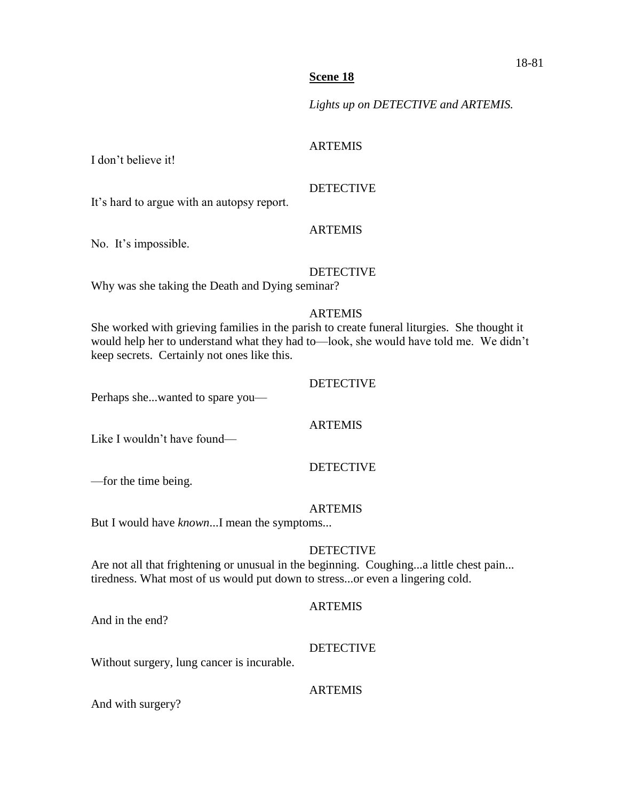*Lights up on DETECTIVE and ARTEMIS.*

## ARTEMIS

I don't believe it!

# DETECTIVE

It's hard to argue with an autopsy report.

## ARTEMIS

No. It's impossible.

## DETECTIVE

Why was she taking the Death and Dying seminar?

#### ARTEMIS

She worked with grieving families in the parish to create funeral liturgies. She thought it would help her to understand what they had to—look, she would have told me. We didn't keep secrets. Certainly not ones like this.

# DETECTIVE

Perhaps she...wanted to spare you—

#### ARTEMIS

Like I wouldn't have found—

## DETECTIVE

—for the time being.

#### ARTEMIS

But I would have *known*...I mean the symptoms...

## DETECTIVE

Are not all that frightening or unusual in the beginning. Coughing...a little chest pain... tiredness. What most of us would put down to stress...or even a lingering cold.

## ARTEMIS

And in the end?

## DETECTIVE

Without surgery, lung cancer is incurable.

# ARTEMIS

And with surgery?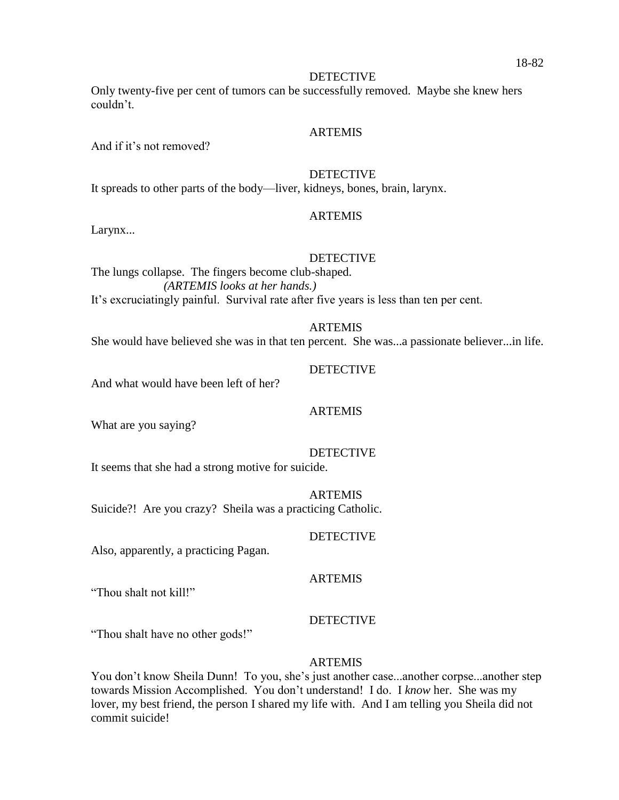Only twenty-five per cent of tumors can be successfully removed. Maybe she knew hers couldn't.

#### ARTEMIS

And if it's not removed?

#### **DETECTIVE**

It spreads to other parts of the body—liver, kidneys, bones, brain, larynx.

#### ARTEMIS

Larynx...

#### DETECTIVE

The lungs collapse. The fingers become club-shaped. *(ARTEMIS looks at her hands.)* It's excruciatingly painful. Survival rate after five years is less than ten per cent.

#### ARTEMIS

She would have believed she was in that ten percent. She was...a passionate believer...in life.

DETECTIVE And what would have been left of her?

#### ARTEMIS

What are you saying?

# **DETECTIVE**

It seems that she had a strong motive for suicide.

#### **ARTEMIS**

Suicide?! Are you crazy? Sheila was a practicing Catholic.

#### DETECTIVE

Also, apparently, a practicing Pagan.

#### ARTEMIS

"Thou shalt not kill!"

#### DETECTIVE

"Thou shalt have no other gods!"

#### **ARTEMIS**

You don't know Sheila Dunn! To you, she's just another case...another corpse...another step towards Mission Accomplished. You don't understand! I do. I *know* her. She was my lover, my best friend, the person I shared my life with. And I am telling you Sheila did not commit suicide!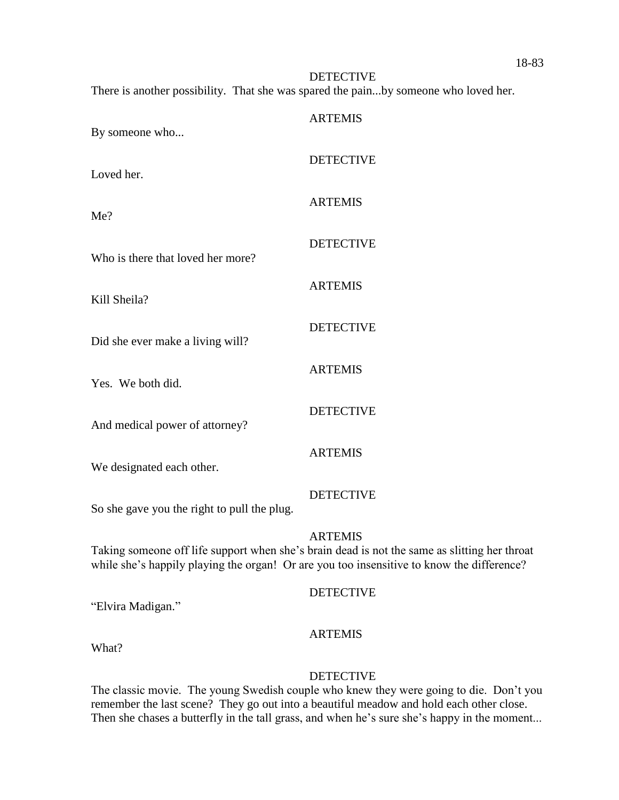**DETECTIVE** There is another possibility. That she was spared the pain...by someone who loved her.

| By someone who                                                           | <b>ARTEMIS</b>   |
|--------------------------------------------------------------------------|------------------|
| Loved her.                                                               | <b>DETECTIVE</b> |
| Me?                                                                      | <b>ARTEMIS</b>   |
| Who is there that loved her more?                                        | <b>DETECTIVE</b> |
| Kill Sheila?                                                             | <b>ARTEMIS</b>   |
| Did she ever make a living will?                                         | <b>DETECTIVE</b> |
| Yes. We both did.                                                        | <b>ARTEMIS</b>   |
| And medical power of attorney?                                           | <b>DETECTIVE</b> |
|                                                                          | <b>ARTEMIS</b>   |
| We designated each other.<br>So she gave you the right to pull the plug. | <b>DETECTIVE</b> |
|                                                                          |                  |

#### ARTEMIS

Taking someone off life support when she's brain dead is not the same as slitting her throat while she's happily playing the organ! Or are you too insensitive to know the difference?

#### **DETECTIVE**

"Elvira Madigan."

#### ARTEMIS

What?

#### DETECTIVE

The classic movie. The young Swedish couple who knew they were going to die. Don't you remember the last scene? They go out into a beautiful meadow and hold each other close. Then she chases a butterfly in the tall grass, and when he's sure she's happy in the moment...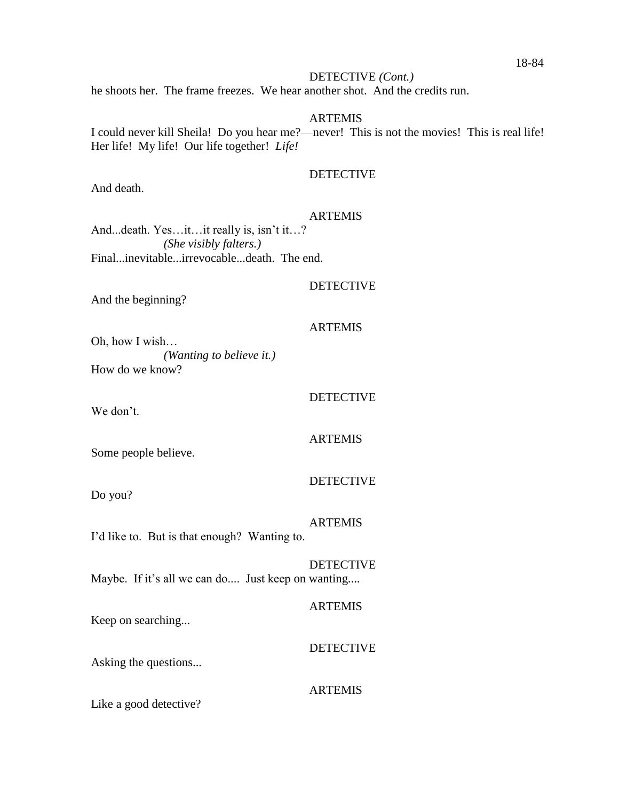#### DETECTIVE *(Cont.)*

he shoots her. The frame freezes. We hear another shot. And the credits run.

#### ARTEMIS

I could never kill Sheila! Do you hear me?—never! This is not the movies! This is real life! Her life! My life! Our life together! *Life!*

#### **DETECTIVE**

And death.

#### **ARTEMIS**

And...death. Yes…it…it really is, isn't it…? *(She visibly falters.)* Final...inevitable...irrevocable...death. The end.

#### **DETECTIVE**

And the beginning?

#### ARTEMIS

Oh, how I wish… *(Wanting to believe it.)* How do we know?

We don't.

# ARTEMIS

DETECTIVE

Some people believe.

Do you?

# **ARTEMIS**

DETECTIVE

I'd like to. But is that enough? Wanting to.

# **DETECTIVE**

Maybe. If it's all we can do.... Just keep on wanting....

#### ARTEMIS

Keep on searching...

#### DETECTIVE

Asking the questions...

#### ARTEMIS

Like a good detective?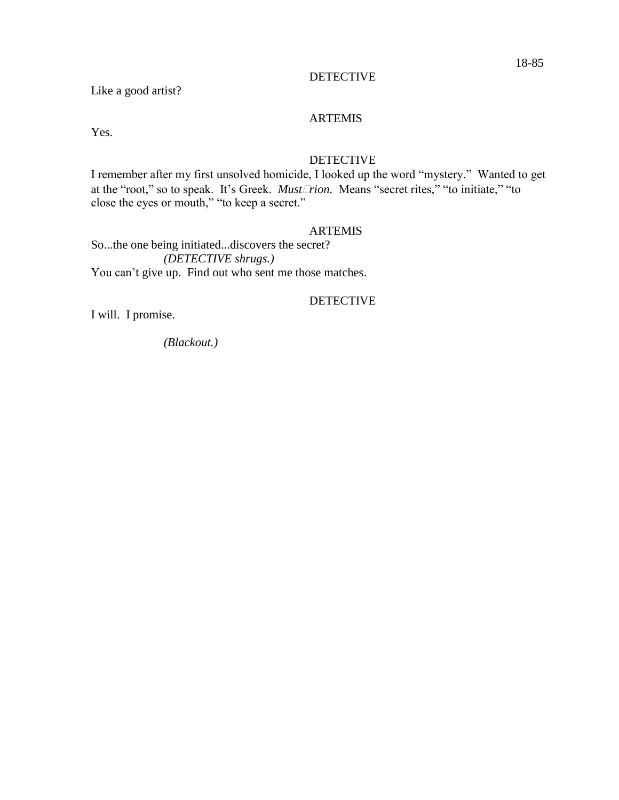Like a good artist?

# ARTEMIS

Yes.

### DETECTIVE

I remember after my first unsolved homicide, I looked up the word "mystery." Wanted to get at the "root," so to speak. It's Greek. *Mustrion.* Means "secret rites," "to initiate," "to close the eyes or mouth," "to keep a secret."

#### ARTEMIS

So...the one being initiated...discovers the secret? *(DETECTIVE shrugs.)* You can't give up. Find out who sent me those matches.

#### DETECTIVE

I will. I promise.

*(Blackout.)*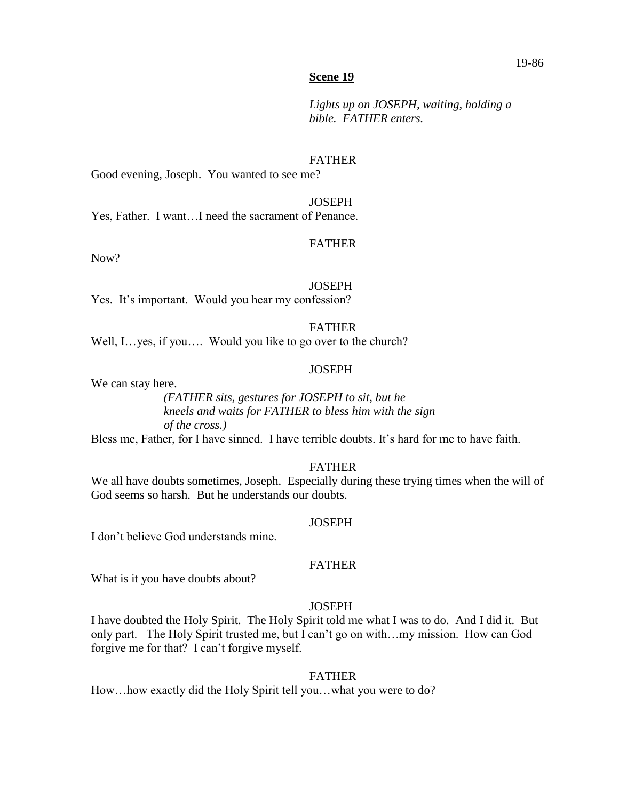*Lights up on JOSEPH, waiting, holding a bible. FATHER enters.*

#### FATHER

Good evening, Joseph. You wanted to see me?

#### **JOSEPH**

Yes, Father. I want…I need the sacrament of Penance.

#### FATHER

Now?

#### **JOSEPH**

Yes. It's important. Would you hear my confession?

#### FATHER

Well, I…yes, if you…. Would you like to go over to the church?

#### **JOSEPH**

We can stay here.

*(FATHER sits, gestures for JOSEPH to sit, but he kneels and waits for FATHER to bless him with the sign of the cross.)*

Bless me, Father, for I have sinned. I have terrible doubts. It's hard for me to have faith.

#### FATHER

We all have doubts sometimes, Joseph. Especially during these trying times when the will of God seems so harsh. But he understands our doubts.

#### **JOSEPH**

I don't believe God understands mine.

#### FATHER

What is it you have doubts about?

#### **JOSEPH**

I have doubted the Holy Spirit. The Holy Spirit told me what I was to do. And I did it. But only part. The Holy Spirit trusted me, but I can't go on with…my mission. How can God forgive me for that? I can't forgive myself.

#### FATHER

How…how exactly did the Holy Spirit tell you…what you were to do?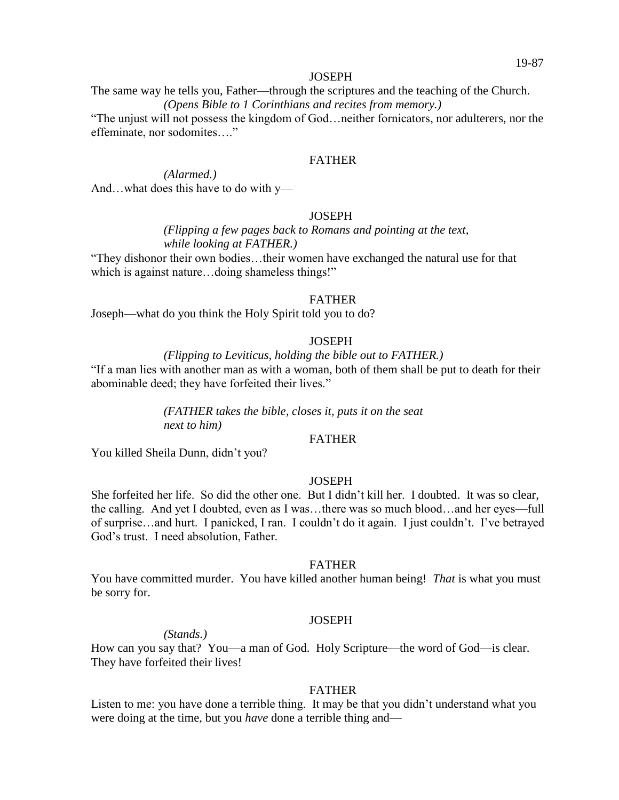The same way he tells you, Father—through the scriptures and the teaching of the Church. *(Opens Bible to 1 Corinthians and recites from memory.)*

"The unjust will not possess the kingdom of God…neither fornicators, nor adulterers, nor the effeminate, nor sodomites…."

#### FATHER

*(Alarmed.)* And…what does this have to do with y—

#### **JOSEPH**

*(Flipping a few pages back to Romans and pointing at the text, while looking at FATHER.)*

"They dishonor their own bodies…their women have exchanged the natural use for that which is against nature...doing shameless things!"

#### FATHER

Joseph—what do you think the Holy Spirit told you to do?

#### **JOSEPH**

*(Flipping to Leviticus, holding the bible out to FATHER.)*

"If a man lies with another man as with a woman, both of them shall be put to death for their abominable deed; they have forfeited their lives."

> *(FATHER takes the bible, closes it, puts it on the seat next to him)*

#### FATHER

You killed Sheila Dunn, didn't you?

#### **JOSEPH**

She forfeited her life. So did the other one. But I didn't kill her. I doubted. It was so clear, the calling. And yet I doubted, even as I was…there was so much blood…and her eyes—full of surprise…and hurt. I panicked, I ran. I couldn't do it again. I just couldn't. I've betrayed God's trust. I need absolution, Father.

#### FATHER

You have committed murder. You have killed another human being! *That* is what you must be sorry for.

#### **JOSEPH**

*(Stands.)*

How can you say that? You—a man of God. Holy Scripture—the word of God—is clear. They have forfeited their lives!

#### FATHER

Listen to me: you have done a terrible thing. It may be that you didn't understand what you were doing at the time, but you *have* done a terrible thing and—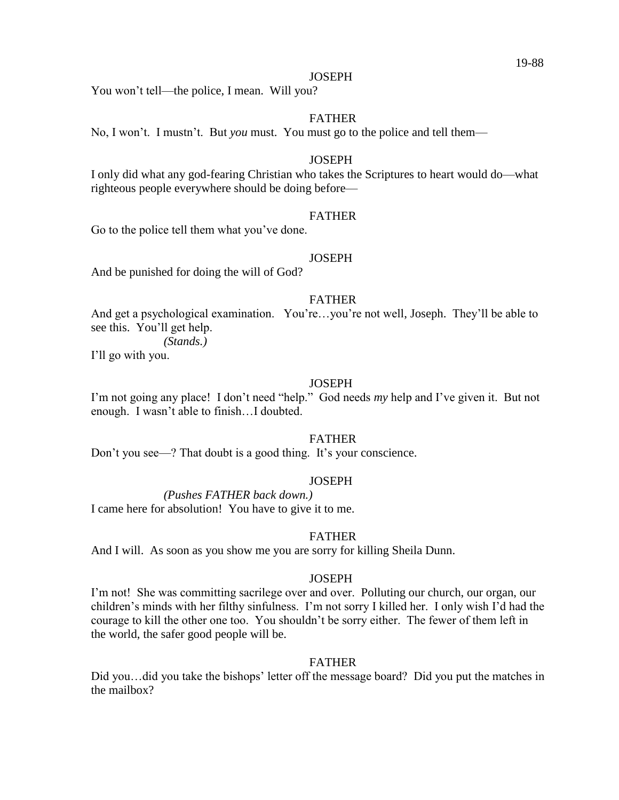You won't tell—the police, I mean. Will you?

#### FATHER

No, I won't. I mustn't. But *you* must. You must go to the police and tell them—

#### **JOSEPH**

I only did what any god-fearing Christian who takes the Scriptures to heart would do—what righteous people everywhere should be doing before—

#### FATHER

Go to the police tell them what you've done.

#### **JOSEPH**

And be punished for doing the will of God?

#### FATHER

And get a psychological examination. You're…you're not well, Joseph. They'll be able to see this. You'll get help.

*(Stands.)*

I'll go with you.

#### **JOSEPH**

I'm not going any place! I don't need "help." God needs *my* help and I've given it. But not enough. I wasn't able to finish…I doubted.

#### FATHER

Don't you see—? That doubt is a good thing. It's your conscience.

#### **JOSEPH**

*(Pushes FATHER back down.)*

I came here for absolution! You have to give it to me.

#### FATHER

And I will. As soon as you show me you are sorry for killing Sheila Dunn.

#### **JOSEPH**

I'm not! She was committing sacrilege over and over. Polluting our church, our organ, our children's minds with her filthy sinfulness. I'm not sorry I killed her. I only wish I'd had the courage to kill the other one too. You shouldn't be sorry either. The fewer of them left in the world, the safer good people will be.

#### FATHER

Did you...did you take the bishops' letter off the message board? Did you put the matches in the mailbox?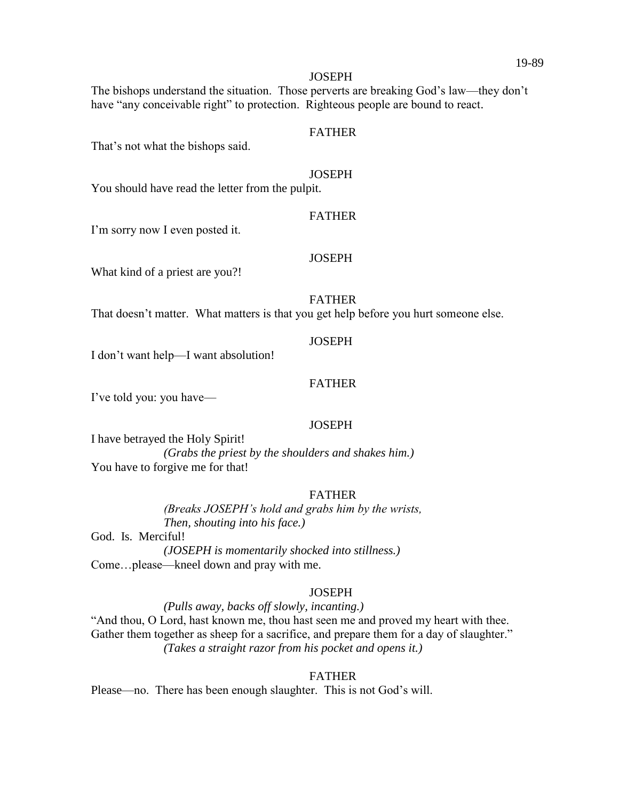The bishops understand the situation. Those perverts are breaking God's law—they don't have "any conceivable right" to protection. Righteous people are bound to react.

#### FATHER

That's not what the bishops said.

#### **JOSEPH**

You should have read the letter from the pulpit.

#### FATHER

I'm sorry now I even posted it.

#### **JOSEPH**

What kind of a priest are you?!

#### FATHER

That doesn't matter. What matters is that you get help before you hurt someone else.

#### **JOSEPH**

I don't want help—I want absolution!

#### FATHER

I've told you: you have—

#### **JOSEPH**

I have betrayed the Holy Spirit! *(Grabs the priest by the shoulders and shakes him.)* You have to forgive me for that!

#### FATHER

*(Breaks JOSEPH's hold and grabs him by the wrists, Then, shouting into his face.)*

God. Is. Merciful! *(JOSEPH is momentarily shocked into stillness.)* Come…please—kneel down and pray with me.

#### **JOSEPH**

*(Pulls away, backs off slowly, incanting.)*

"And thou, O Lord, hast known me, thou hast seen me and proved my heart with thee. Gather them together as sheep for a sacrifice, and prepare them for a day of slaughter." *(Takes a straight razor from his pocket and opens it.)*

#### FATHER

Please—no. There has been enough slaughter. This is not God's will.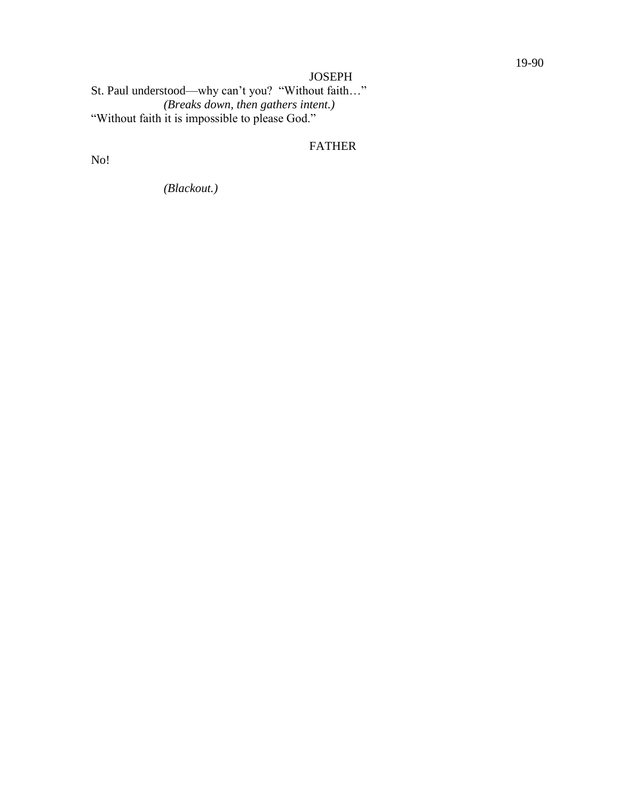St. Paul understood—why can't you? "Without faith…" *(Breaks down, then gathers intent.)* "Without faith it is impossible to please God."

# FATHER

No!

*(Blackout.)*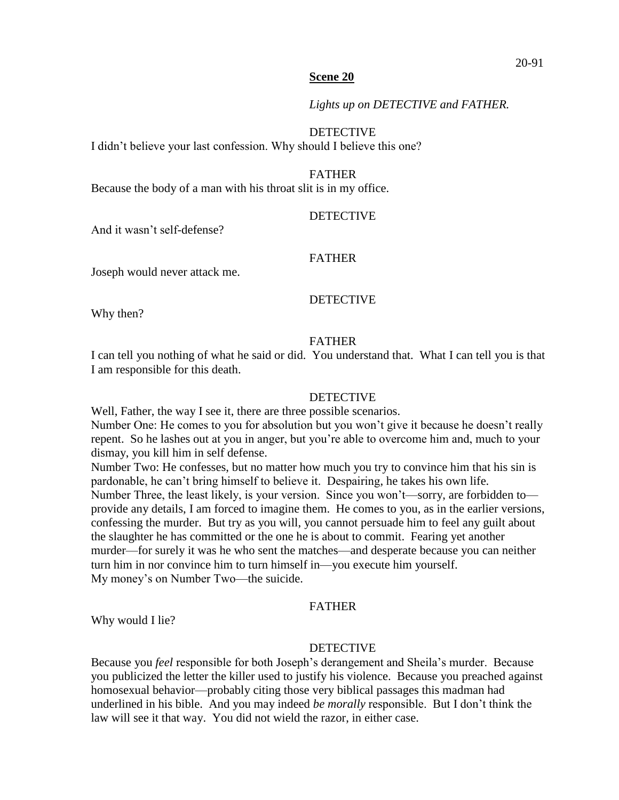*Lights up on DETECTIVE and FATHER.* 

DETECTIVE

I didn't believe your last confession. Why should I believe this one?

FATHER

Because the body of a man with his throat slit is in my office.

#### DETECTIVE

And it wasn't self-defense?

#### FATHER

Joseph would never attack me.

#### DETECTIVE

Why then?

#### FATHER

I can tell you nothing of what he said or did. You understand that. What I can tell you is that I am responsible for this death.

#### DETECTIVE

Well, Father, the way I see it, there are three possible scenarios.

Number One: He comes to you for absolution but you won't give it because he doesn't really repent. So he lashes out at you in anger, but you're able to overcome him and, much to your dismay, you kill him in self defense.

Number Two: He confesses, but no matter how much you try to convince him that his sin is pardonable, he can't bring himself to believe it. Despairing, he takes his own life. Number Three, the least likely, is your version. Since you won't—sorry, are forbidden to provide any details, I am forced to imagine them. He comes to you, as in the earlier versions, confessing the murder. But try as you will, you cannot persuade him to feel any guilt about the slaughter he has committed or the one he is about to commit. Fearing yet another murder—for surely it was he who sent the matches—and desperate because you can neither turn him in nor convince him to turn himself in—you execute him yourself. My money's on Number Two—the suicide.

#### FATHER

Why would I lie?

#### **DETECTIVE**

Because you *feel* responsible for both Joseph's derangement and Sheila's murder. Because you publicized the letter the killer used to justify his violence. Because you preached against homosexual behavior—probably citing those very biblical passages this madman had underlined in his bible. And you may indeed *be morally* responsible. But I don't think the law will see it that way. You did not wield the razor, in either case.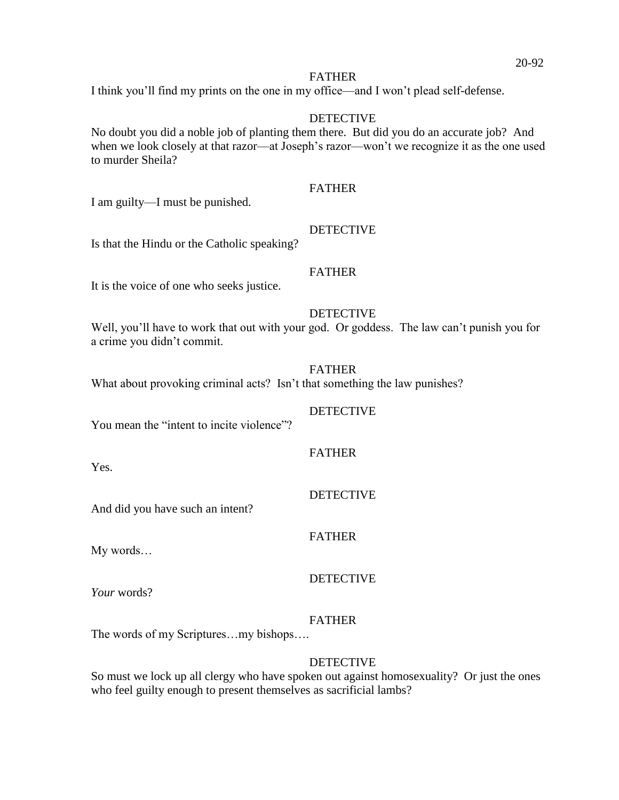#### FATHER

I think you'll find my prints on the one in my office—and I won't plead self-defense.

#### DETECTIVE

No doubt you did a noble job of planting them there. But did you do an accurate job? And when we look closely at that razor—at Joseph's razor—won't we recognize it as the one used to murder Sheila?

#### FATHER

I am guilty—I must be punished.

## DETECTIVE

Is that the Hindu or the Catholic speaking?

#### FATHER

It is the voice of one who seeks justice.

## **DETECTIVE**

Well, you'll have to work that out with your god. Or goddess. The law can't punish you for a crime you didn't commit.

#### FATHER

What about provoking criminal acts? Isn't that something the law punishes?

DETECTIVE You mean the "intent to incite violence"?

Yes.

**DETECTIVE** 

FATHER

FATHER

And did you have such an intent?

My words…

DETECTIVE

*Your* words?

## FATHER

The words of my Scriptures…my bishops….

# **DETECTIVE**

So must we lock up all clergy who have spoken out against homosexuality? Or just the ones who feel guilty enough to present themselves as sacrificial lambs?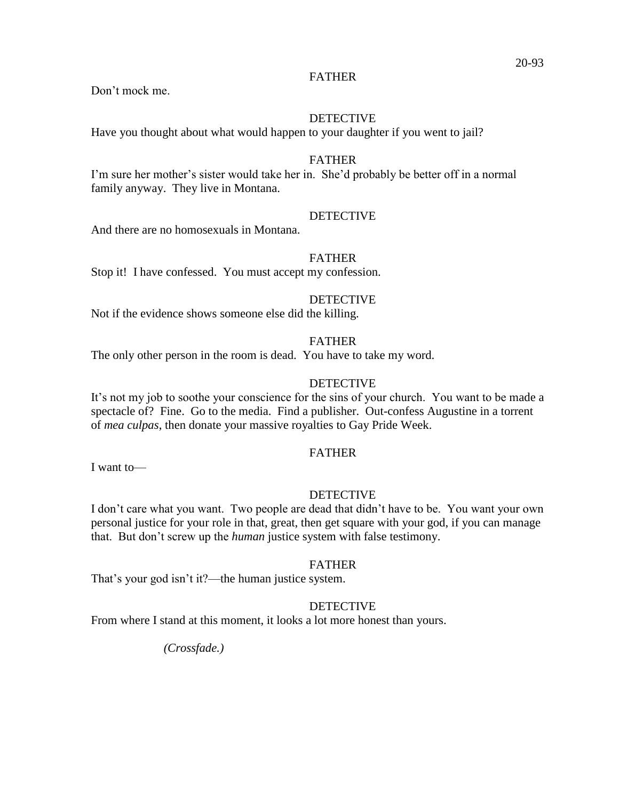#### FATHER

Don't mock me.

#### DETECTIVE

Have you thought about what would happen to your daughter if you went to jail?

#### FATHER

I'm sure her mother's sister would take her in. She'd probably be better off in a normal family anyway. They live in Montana.

#### DETECTIVE

And there are no homosexuals in Montana.

#### FATHER

Stop it! I have confessed. You must accept my confession.

# DETECTIVE

Not if the evidence shows someone else did the killing.

#### FATHER

The only other person in the room is dead. You have to take my word.

# DETECTIVE

It's not my job to soothe your conscience for the sins of your church. You want to be made a spectacle of? Fine. Go to the media. Find a publisher. Out-confess Augustine in a torrent of *mea culpas*, then donate your massive royalties to Gay Pride Week.

# FATHER

I want to—

#### **DETECTIVE**

I don't care what you want. Two people are dead that didn't have to be. You want your own personal justice for your role in that, great, then get square with your god, if you can manage that. But don't screw up the *human* justice system with false testimony.

#### FATHER

That's your god isn't it?—the human justice system.

## DETECTIVE

From where I stand at this moment, it looks a lot more honest than yours.

*(Crossfade.)*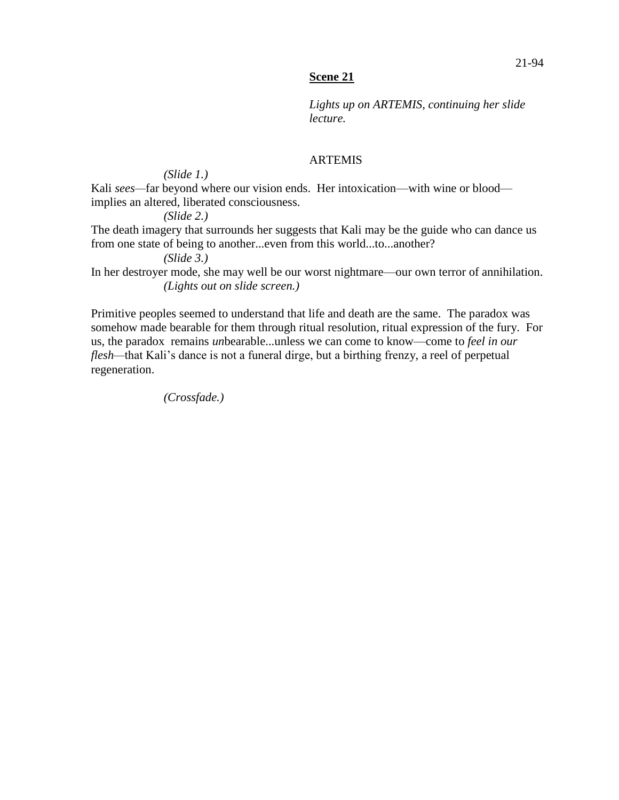*Lights up on ARTEMIS, continuing her slide lecture.*

#### ARTEMIS

# *(Slide 1.)*

Kali sees—far beyond where our vision ends. Her intoxication—with wine or blood implies an altered, liberated consciousness.

*(Slide 2.)*

The death imagery that surrounds her suggests that Kali may be the guide who can dance us from one state of being to another...even from this world...to...another?

*(Slide 3.)*

In her destroyer mode, she may well be our worst nightmare—our own terror of annihilation. *(Lights out on slide screen.)*

Primitive peoples seemed to understand that life and death are the same. The paradox was somehow made bearable for them through ritual resolution, ritual expression of the fury. For us, the paradox remains *un*bearable...unless we can come to know—come to *feel in our flesh—*that Kali's dance is not a funeral dirge, but a birthing frenzy, a reel of perpetual regeneration.

*(Crossfade.)*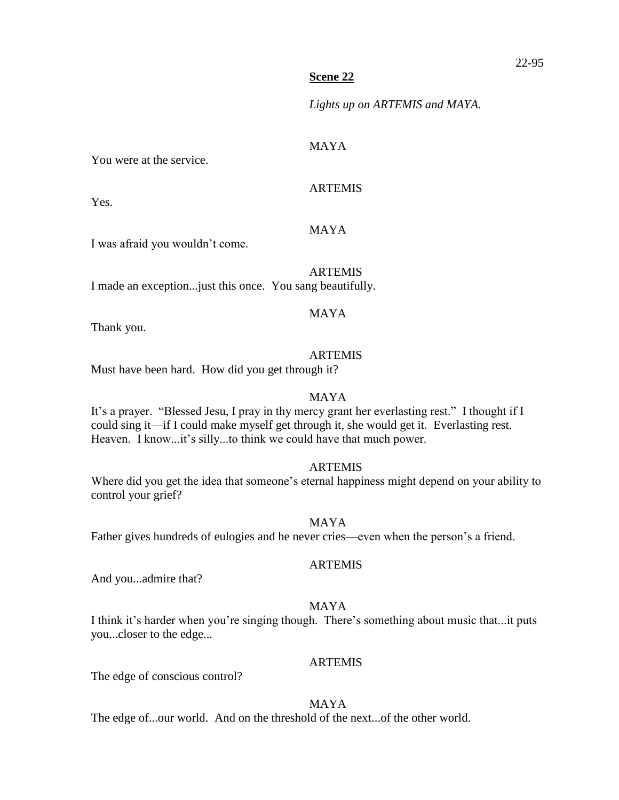*Lights up on ARTEMIS and MAYA.*

#### MAYA

You were at the service.

ARTEMIS

Yes.

# MAYA

I was afraid you wouldn't come.

#### ARTEMIS

I made an exception...just this once. You sang beautifully.

## MAYA

Thank you.

# ARTEMIS

Must have been hard. How did you get through it?

## MAYA

It's a prayer."Blessed Jesu, I pray in thy mercy grant her everlasting rest." I thought if I could sing it—if I could make myself get through it, she would get it. Everlasting rest. Heaven. I know...it's silly...to think we could have that much power.

## ARTEMIS

Where did you get the idea that someone's eternal happiness might depend on your ability to control your grief?

## MAYA

Father gives hundreds of eulogies and he never cries—even when the person's a friend.

#### ARTEMIS

And you...admire that?

# MAYA

I think it's harder when you're singing though. There's something about music that...it puts you...closer to the edge...

## ARTEMIS

The edge of conscious control?

## MAYA

The edge of...our world. And on the threshold of the next...of the other world.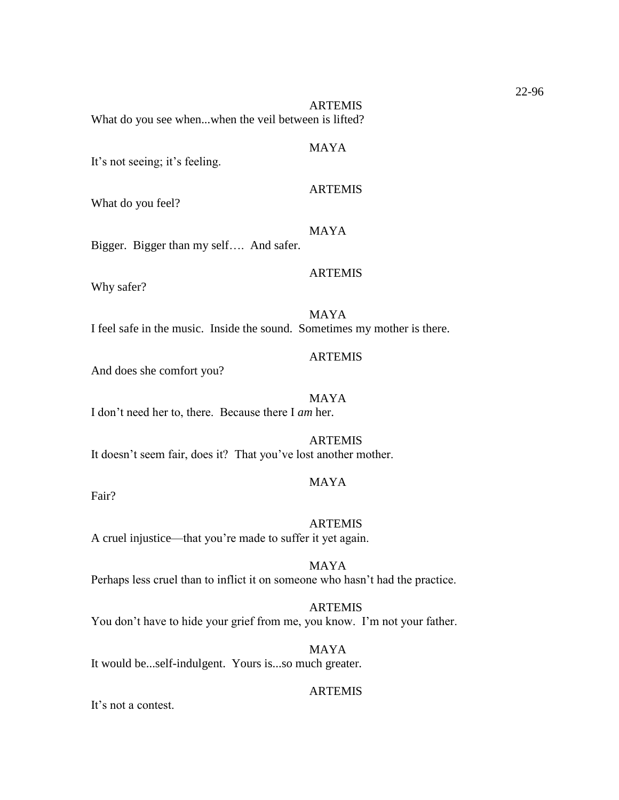ARTEMIS

MAYA

What do you see when...when the veil between is lifted?

It's not seeing; it's feeling.

What do you feel?

MAYA

ARTEMIS

ARTEMIS

Bigger. Bigger than my self…. And safer.

Why safer?

MAYA I feel safe in the music. Inside the sound. Sometimes my mother is there.

#### **ARTEMIS**

And does she comfort you?

MAYA I don't need her to, there. Because there I *am* her.

**ARTEMIS** It doesn't seem fair, does it? That you've lost another mother.

#### MAYA

Fair?

ARTEMIS A cruel injustice—that you're made to suffer it yet again.

MAYA Perhaps less cruel than to inflict it on someone who hasn't had the practice.

**ARTEMIS** You don't have to hide your grief from me, you know. I'm not your father.

MAYA It would be...self-indulgent. Yours is...so much greater.

#### ARTEMIS

It's not a contest.

22-96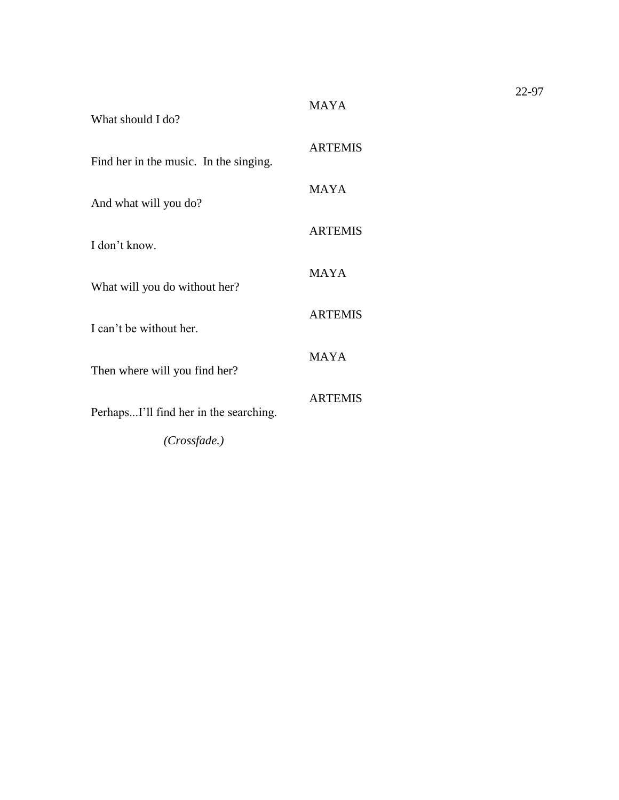| What should I do?                      |                |
|----------------------------------------|----------------|
| Find her in the music. In the singing. | <b>ARTEMIS</b> |
| And what will you do?                  | <b>MAYA</b>    |
| I don't know.                          | <b>ARTEMIS</b> |
| What will you do without her?          | <b>MAYA</b>    |
| I can't be without her.                | <b>ARTEMIS</b> |
| Then where will you find her?          | <b>MAYA</b>    |
| PerhapsI'll find her in the searching. | <b>ARTEMIS</b> |
| (Crossfade.)                           |                |

MAYA

22-97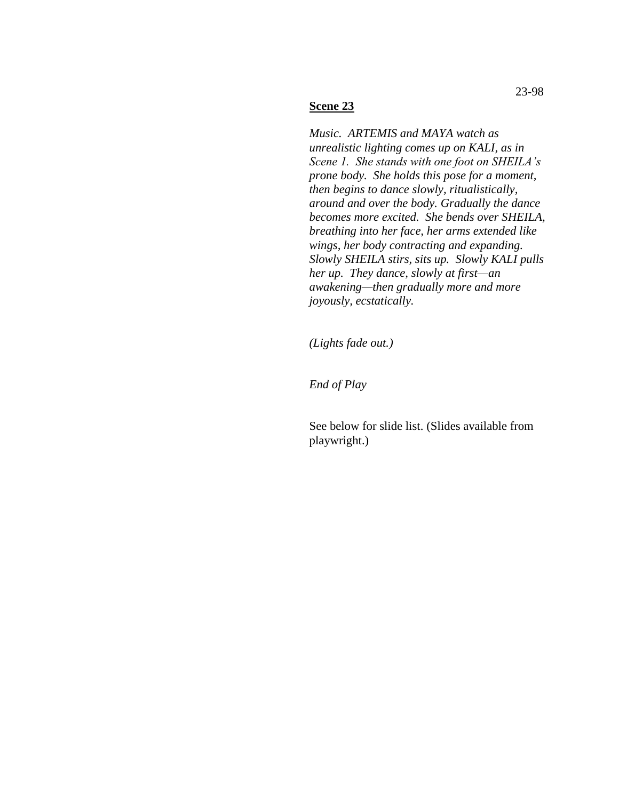*Music. ARTEMIS and MAYA watch as unrealistic lighting comes up on KALI, as in Scene 1. She stands with one foot on SHEILA's prone body. She holds this pose for a moment, then begins to dance slowly, ritualistically, around and over the body. Gradually the dance becomes more excited. She bends over SHEILA, breathing into her face, her arms extended like wings, her body contracting and expanding. Slowly SHEILA stirs, sits up. Slowly KALI pulls her up. They dance, slowly at first—an awakening—then gradually more and more joyously, ecstatically.* 

*(Lights fade out.)*

*End of Play*

See below for slide list. (Slides available from playwright.)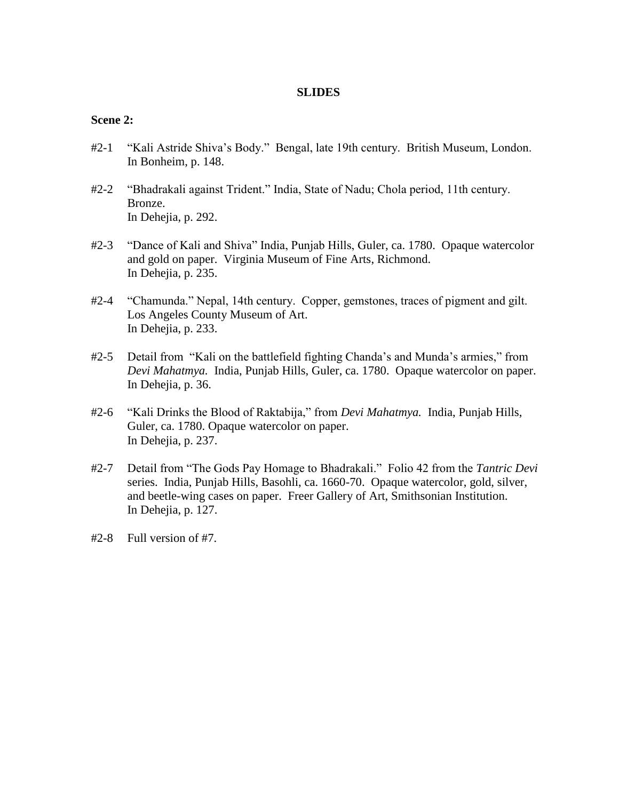#### **SLIDES**

#### **Scene 2:**

- #2-1 "Kali Astride Shiva's Body." Bengal, late 19th century. British Museum, London. In Bonheim, p. 148.
- #2-2 "Bhadrakali against Trident." India, State of Nadu; Chola period, 11th century. Bronze. In Dehejia, p. 292.
- #2-3 "Dance of Kali and Shiva" India, Punjab Hills, Guler, ca. 1780. Opaque watercolor and gold on paper. Virginia Museum of Fine Arts, Richmond. In Dehejia, p. 235.
- #2-4 "Chamunda." Nepal, 14th century. Copper, gemstones, traces of pigment and gilt. Los Angeles County Museum of Art. In Dehejia, p. 233.
- #2-5 Detail from "Kali on the battlefield fighting Chanda's and Munda's armies," from *Devi Mahatmya.* India, Punjab Hills, Guler, ca. 1780. Opaque watercolor on paper. In Dehejia, p. 36.
- #2-6 "Kali Drinks the Blood of Raktabija," from *Devi Mahatmya.* India, Punjab Hills, Guler, ca. 1780. Opaque watercolor on paper. In Dehejia, p. 237.
- #2-7 Detail from "The Gods Pay Homage to Bhadrakali." Folio 42 from the *Tantric Devi* series. India, Punjab Hills, Basohli, ca. 1660-70. Opaque watercolor, gold, silver, and beetle-wing cases on paper. Freer Gallery of Art, Smithsonian Institution. In Dehejia, p. 127.
- #2-8 Full version of #7.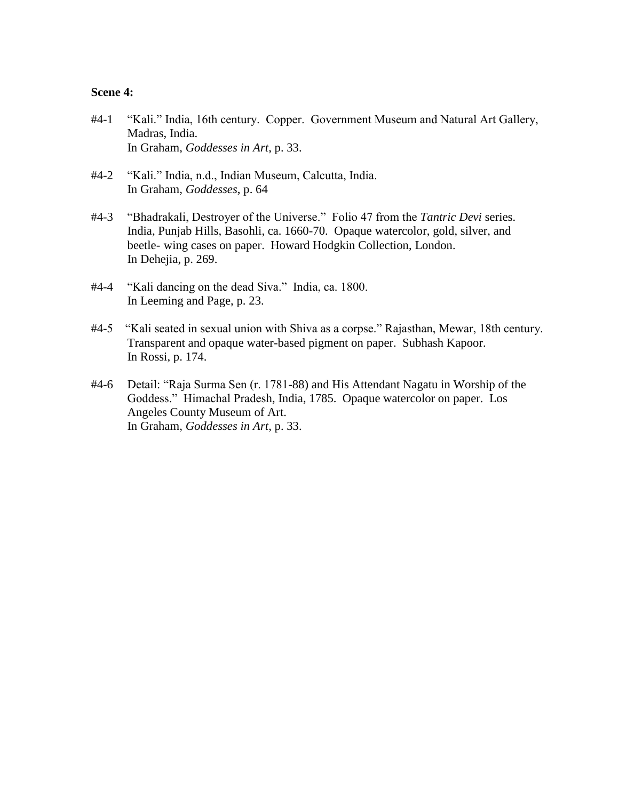#### **Scene 4:**

- #4-1 "Kali." India, 16th century. Copper. Government Museum and Natural Art Gallery, Madras, India. In Graham, *Goddesses in Art*, p. 33.
- #4-2 "Kali." India, n.d., Indian Museum, Calcutta, India. In Graham, *Goddesses*, p. 64
- #4-3 "Bhadrakali, Destroyer of the Universe." Folio 47 from the *Tantric Devi* series. India, Punjab Hills, Basohli, ca. 1660-70. Opaque watercolor, gold, silver, and beetle- wing cases on paper. Howard Hodgkin Collection, London. In Dehejia, p. 269.
- #4-4 "Kali dancing on the dead Siva." India, ca. 1800. In Leeming and Page, p. 23.
- #4-5 "Kali seated in sexual union with Shiva as a corpse." Rajasthan, Mewar, 18th century. Transparent and opaque water-based pigment on paper. Subhash Kapoor. In Rossi, p. 174.
- #4-6 Detail: "Raja Surma Sen (r. 1781-88) and His Attendant Nagatu in Worship of the Goddess." Himachal Pradesh, India, 1785. Opaque watercolor on paper. Los Angeles County Museum of Art. In Graham, *Goddesses in Art*, p. 33.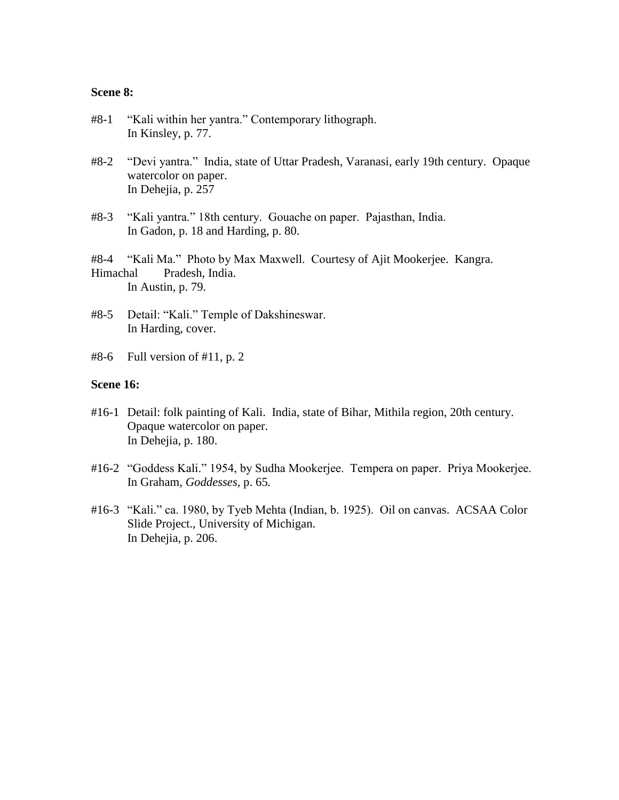#### **Scene 8:**

- #8-1 "Kali within her yantra." Contemporary lithograph. In Kinsley, p. 77.
- #8-2 "Devi yantra." India, state of Uttar Pradesh, Varanasi, early 19th century. Opaque watercolor on paper. In Dehejia, p. 257
- #8-3 "Kali yantra." 18th century. Gouache on paper. Pajasthan, India. In Gadon, p. 18 and Harding, p. 80.

#8-4 "Kali Ma." Photo by Max Maxwell. Courtesy of Ajit Mookerjee. Kangra. Himachal Pradesh, India. In Austin, p. 79.

- #8-5 Detail: "Kali." Temple of Dakshineswar. In Harding, cover.
- $#8-6$  Full version of  $#11$ , p. 2

#### **Scene 16:**

- #16-1 Detail: folk painting of Kali. India, state of Bihar, Mithila region, 20th century. Opaque watercolor on paper. In Dehejia, p. 180.
- #16-2 "Goddess Kali." 1954, by Sudha Mookerjee. Tempera on paper. Priya Mookerjee. In Graham, *Goddesses,* p. 65*.*
- #16-3 "Kali." ca. 1980, by Tyeb Mehta (Indian, b. 1925). Oil on canvas. ACSAA Color Slide Project., University of Michigan. In Dehejia, p. 206.